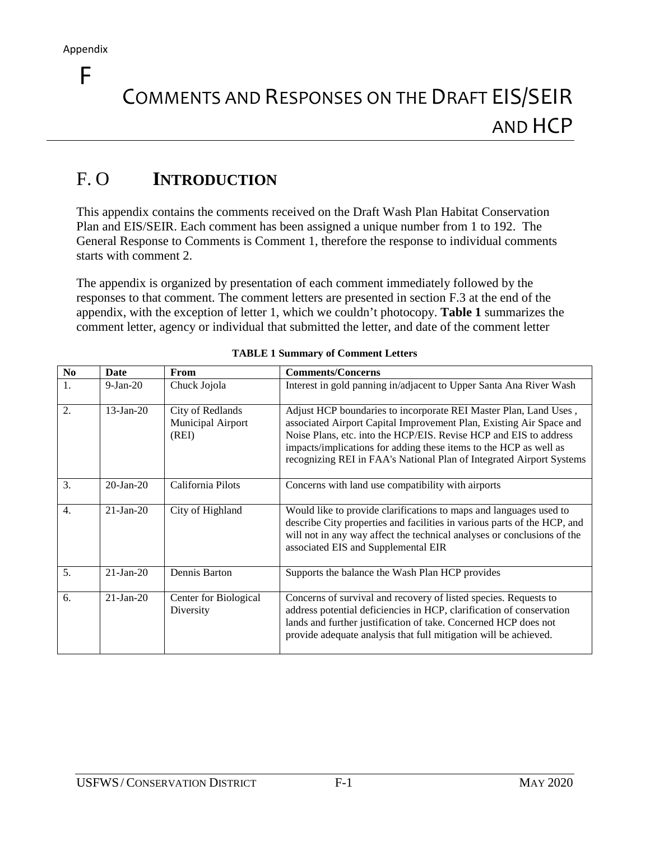F

# COMMENTS AND RESPONSES ON THE DRAFT EIS/SEIR AND HCP

# F. O **INTRODUCTION**

This appendix contains the comments received on the Draft Wash Plan Habitat Conservation Plan and EIS/SEIR. Each comment has been assigned a unique number from 1 to 192. The General Response to Comments is Comment 1, therefore the response to individual comments starts with comment 2.

The appendix is organized by presentation of each comment immediately followed by the responses to that comment. The comment letters are presented in section F.3 at the end of the appendix, with the exception of letter 1, which we couldn't photocopy. **Table 1** summarizes the comment letter, agency or individual that submitted the letter, and date of the comment letter

| N <sub>o</sub>   | Date            | From                                           | <b>Comments/Concerns</b>                                                                                                                                                                                                                                                                                                                                  |
|------------------|-----------------|------------------------------------------------|-----------------------------------------------------------------------------------------------------------------------------------------------------------------------------------------------------------------------------------------------------------------------------------------------------------------------------------------------------------|
| 1.               | $9-Ian-20$      | Chuck Jojola                                   | Interest in gold panning in/adjacent to Upper Santa Ana River Wash                                                                                                                                                                                                                                                                                        |
| 2.               | $13$ -Jan-20    | City of Redlands<br>Municipal Airport<br>(REI) | Adjust HCP boundaries to incorporate REI Master Plan, Land Uses,<br>associated Airport Capital Improvement Plan, Existing Air Space and<br>Noise Plans, etc. into the HCP/EIS. Revise HCP and EIS to address<br>impacts/implications for adding these items to the HCP as well as<br>recognizing REI in FAA's National Plan of Integrated Airport Systems |
| 3.               | $20$ -Jan- $20$ | California Pilots                              | Concerns with land use compatibility with airports                                                                                                                                                                                                                                                                                                        |
| $\overline{4}$ . | $21-Ian-20$     | City of Highland                               | Would like to provide clarifications to maps and languages used to<br>describe City properties and facilities in various parts of the HCP, and<br>will not in any way affect the technical analyses or conclusions of the<br>associated EIS and Supplemental EIR                                                                                          |
| 5.               | $21-Ian-20$     | Dennis Barton                                  | Supports the balance the Wash Plan HCP provides                                                                                                                                                                                                                                                                                                           |
| 6.               | $21-Ian-20$     | Center for Biological<br>Diversity             | Concerns of survival and recovery of listed species. Requests to<br>address potential deficiencies in HCP, clarification of conservation<br>lands and further justification of take. Concerned HCP does not<br>provide adequate analysis that full mitigation will be achieved.                                                                           |

|  | <b>TABLE 1 Summary of Comment Letters</b> |  |
|--|-------------------------------------------|--|
|  |                                           |  |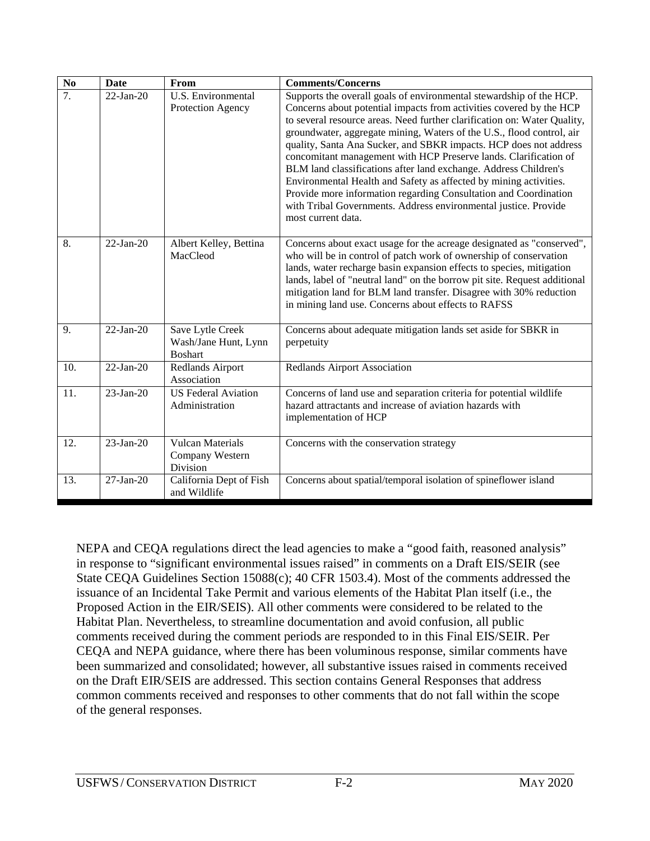| $\mathbf{N}\mathbf{o}$ | Date                    | From                                                       | <b>Comments/Concerns</b>                                                                                                                                                                                                                                                                                                                                                                                                                                                                                                                                                                                                                                                                                                                       |
|------------------------|-------------------------|------------------------------------------------------------|------------------------------------------------------------------------------------------------------------------------------------------------------------------------------------------------------------------------------------------------------------------------------------------------------------------------------------------------------------------------------------------------------------------------------------------------------------------------------------------------------------------------------------------------------------------------------------------------------------------------------------------------------------------------------------------------------------------------------------------------|
| $\overline{7}$ .       | $\overline{22}$ -Jan-20 | U.S. Environmental<br>Protection Agency                    | Supports the overall goals of environmental stewardship of the HCP.<br>Concerns about potential impacts from activities covered by the HCP<br>to several resource areas. Need further clarification on: Water Quality,<br>groundwater, aggregate mining, Waters of the U.S., flood control, air<br>quality, Santa Ana Sucker, and SBKR impacts. HCP does not address<br>concomitant management with HCP Preserve lands. Clarification of<br>BLM land classifications after land exchange. Address Children's<br>Environmental Health and Safety as affected by mining activities.<br>Provide more information regarding Consultation and Coordination<br>with Tribal Governments. Address environmental justice. Provide<br>most current data. |
| 8.                     | $22-Ian-20$             | Albert Kelley, Bettina<br>MacCleod                         | Concerns about exact usage for the acreage designated as "conserved",<br>who will be in control of patch work of ownership of conservation<br>lands, water recharge basin expansion effects to species, mitigation<br>lands, label of "neutral land" on the borrow pit site. Request additional<br>mitigation land for BLM land transfer. Disagree with 30% reduction<br>in mining land use. Concerns about effects to RAFSS                                                                                                                                                                                                                                                                                                                   |
| 9.                     | $22-Jan-20$             | Save Lytle Creek<br>Wash/Jane Hunt, Lynn<br><b>Boshart</b> | Concerns about adequate mitigation lands set aside for SBKR in<br>perpetuity                                                                                                                                                                                                                                                                                                                                                                                                                                                                                                                                                                                                                                                                   |
| 10.                    | $22-Jan-20$             | Redlands Airport<br>Association                            | <b>Redlands Airport Association</b>                                                                                                                                                                                                                                                                                                                                                                                                                                                                                                                                                                                                                                                                                                            |
| 11.                    | $23$ -Jan-20            | <b>US Federal Aviation</b><br>Administration               | Concerns of land use and separation criteria for potential wildlife<br>hazard attractants and increase of aviation hazards with<br>implementation of HCP                                                                                                                                                                                                                                                                                                                                                                                                                                                                                                                                                                                       |
| 12.                    | $23$ -Jan-20            | <b>Vulcan Materials</b><br>Company Western<br>Division     | Concerns with the conservation strategy                                                                                                                                                                                                                                                                                                                                                                                                                                                                                                                                                                                                                                                                                                        |
| 13.                    | $27$ -Jan-20            | California Dept of Fish<br>and Wildlife                    | Concerns about spatial/temporal isolation of spineflower island                                                                                                                                                                                                                                                                                                                                                                                                                                                                                                                                                                                                                                                                                |

NEPA and CEQA regulations direct the lead agencies to make a "good faith, reasoned analysis" in response to "significant environmental issues raised" in comments on a Draft EIS/SEIR (see State CEQA Guidelines Section 15088(c); 40 CFR 1503.4). Most of the comments addressed the issuance of an Incidental Take Permit and various elements of the Habitat Plan itself (i.e., the Proposed Action in the EIR/SEIS). All other comments were considered to be related to the Habitat Plan. Nevertheless, to streamline documentation and avoid confusion, all public comments received during the comment periods are responded to in this Final EIS/SEIR. Per CEQA and NEPA guidance, where there has been voluminous response, similar comments have been summarized and consolidated; however, all substantive issues raised in comments received on the Draft EIR/SEIS are addressed. This section contains General Responses that address common comments received and responses to other comments that do not fall within the scope of the general responses.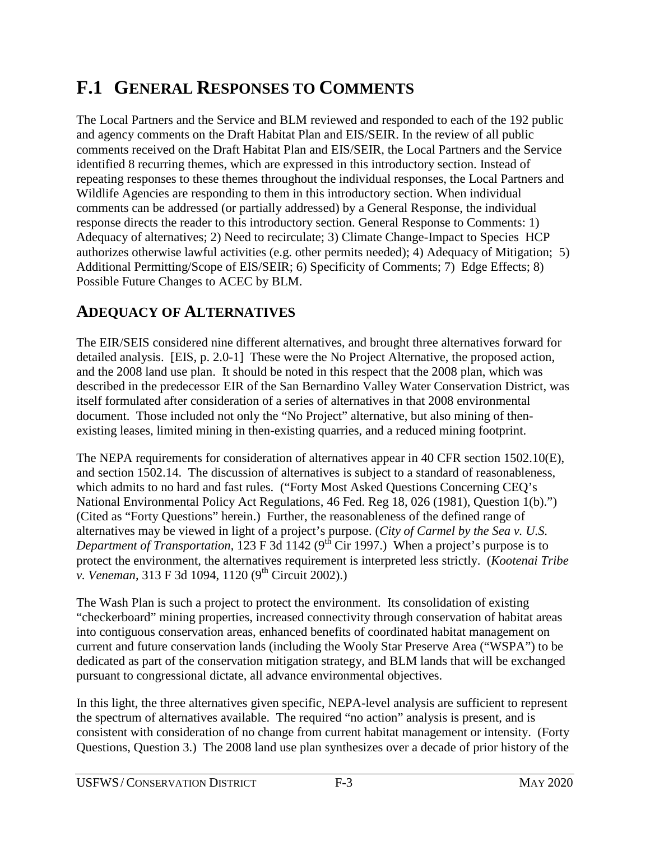# **F.1 GENERAL RESPONSES TO COMMENTS**

The Local Partners and the Service and BLM reviewed and responded to each of the 192 public and agency comments on the Draft Habitat Plan and EIS/SEIR. In the review of all public comments received on the Draft Habitat Plan and EIS/SEIR, the Local Partners and the Service identified 8 recurring themes, which are expressed in this introductory section. Instead of repeating responses to these themes throughout the individual responses, the Local Partners and Wildlife Agencies are responding to them in this introductory section. When individual comments can be addressed (or partially addressed) by a General Response, the individual response directs the reader to this introductory section. General Response to Comments: 1) Adequacy of alternatives; 2) Need to recirculate; 3) Climate Change-Impact to Species HCP authorizes otherwise lawful activities (e.g. other permits needed); 4) Adequacy of Mitigation; 5) Additional Permitting/Scope of EIS/SEIR; 6) Specificity of Comments; 7) Edge Effects; 8) Possible Future Changes to ACEC by BLM.

# **ADEQUACY OF ALTERNATIVES**

The EIR/SEIS considered nine different alternatives, and brought three alternatives forward for detailed analysis. [EIS, p. 2.0-1] These were the No Project Alternative, the proposed action, and the 2008 land use plan. It should be noted in this respect that the 2008 plan, which was described in the predecessor EIR of the San Bernardino Valley Water Conservation District, was itself formulated after consideration of a series of alternatives in that 2008 environmental document. Those included not only the "No Project" alternative, but also mining of thenexisting leases, limited mining in then-existing quarries, and a reduced mining footprint.

The NEPA requirements for consideration of alternatives appear in 40 CFR section 1502.10(E), and section 1502.14. The discussion of alternatives is subject to a standard of reasonableness, which admits to no hard and fast rules. ("Forty Most Asked Questions Concerning CEQ's National Environmental Policy Act Regulations, 46 Fed. Reg 18, 026 (1981), Question 1(b).") (Cited as "Forty Questions" herein.) Further, the reasonableness of the defined range of alternatives may be viewed in light of a project's purpose. (*City of Carmel by the Sea v. U.S. Department of Transportation*, 123 F 3d 1142 (9<sup>th</sup> Cir 1997.) When a project's purpose is to protect the environment, the alternatives requirement is interpreted less strictly. (*Kootenai Tribe v. Veneman*, 313 F 3d 1094, 1120 (9<sup>th</sup> Circuit 2002).)

The Wash Plan is such a project to protect the environment. Its consolidation of existing "checkerboard" mining properties, increased connectivity through conservation of habitat areas into contiguous conservation areas, enhanced benefits of coordinated habitat management on current and future conservation lands (including the Wooly Star Preserve Area ("WSPA") to be dedicated as part of the conservation mitigation strategy, and BLM lands that will be exchanged pursuant to congressional dictate, all advance environmental objectives.

In this light, the three alternatives given specific, NEPA-level analysis are sufficient to represent the spectrum of alternatives available. The required "no action" analysis is present, and is consistent with consideration of no change from current habitat management or intensity. (Forty Questions, Question 3.) The 2008 land use plan synthesizes over a decade of prior history of the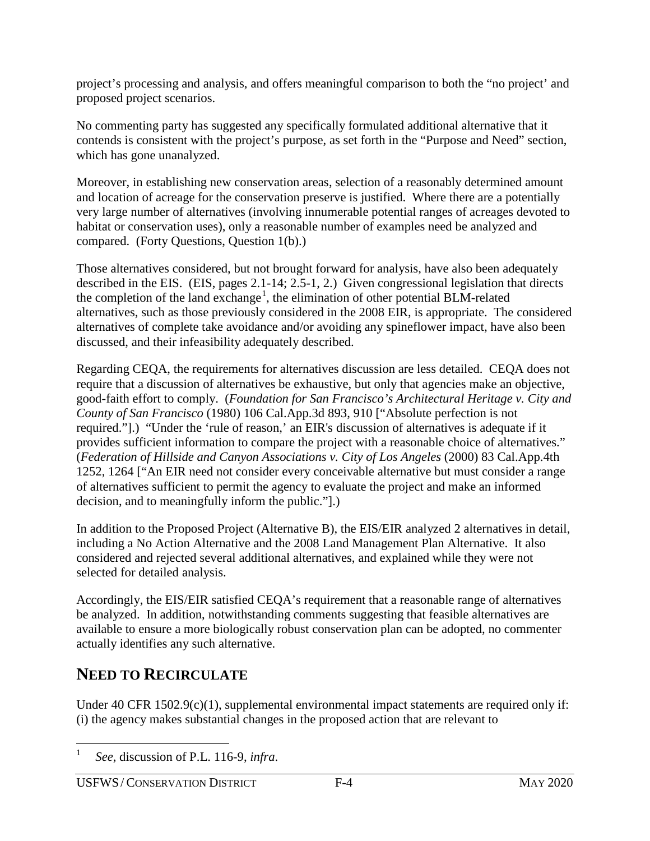project's processing and analysis, and offers meaningful comparison to both the "no project' and proposed project scenarios.

No commenting party has suggested any specifically formulated additional alternative that it contends is consistent with the project's purpose, as set forth in the "Purpose and Need" section, which has gone unanalyzed.

Moreover, in establishing new conservation areas, selection of a reasonably determined amount and location of acreage for the conservation preserve is justified. Where there are a potentially very large number of alternatives (involving innumerable potential ranges of acreages devoted to habitat or conservation uses), only a reasonable number of examples need be analyzed and compared. (Forty Questions, Question 1(b).)

Those alternatives considered, but not brought forward for analysis, have also been adequately described in the EIS. (EIS, pages 2.1-14; 2.5-1, 2.) Given congressional legislation that directs the completion of the land exchange<sup>[1](#page-3-0)</sup>, the elimination of other potential BLM-related alternatives, such as those previously considered in the 2008 EIR, is appropriate. The considered alternatives of complete take avoidance and/or avoiding any spineflower impact, have also been discussed, and their infeasibility adequately described.

Regarding CEQA, the requirements for alternatives discussion are less detailed. CEQA does not require that a discussion of alternatives be exhaustive, but only that agencies make an objective, good-faith effort to comply. (*Foundation for San Francisco's Architectural Heritage v. City and County of San Francisco* (1980) 106 Cal.App.3d 893, 910 ["Absolute perfection is not required."].) "Under the 'rule of reason,' an EIR's discussion of alternatives is adequate if it provides sufficient information to compare the project with a reasonable choice of alternatives." (*Federation of Hillside and Canyon Associations v. City of Los Angeles* (2000) 83 Cal.App.4th 1252, 1264 ["An EIR need not consider every conceivable alternative but must consider a range of alternatives sufficient to permit the agency to evaluate the project and make an informed decision, and to meaningfully inform the public."].)

In addition to the Proposed Project (Alternative B), the EIS/EIR analyzed 2 alternatives in detail, including a No Action Alternative and the 2008 Land Management Plan Alternative. It also considered and rejected several additional alternatives, and explained while they were not selected for detailed analysis.

Accordingly, the EIS/EIR satisfied CEQA's requirement that a reasonable range of alternatives be analyzed. In addition, notwithstanding comments suggesting that feasible alternatives are available to ensure a more biologically robust conservation plan can be adopted, no commenter actually identifies any such alternative.

# **NEED TO RECIRCULATE**

Under 40 CFR 1502.9(c)(1), supplemental environmental impact statements are required only if: (i) the agency makes substantial changes in the proposed action that are relevant to

<span id="page-3-0"></span> <sup>1</sup> *See*, discussion of P.L. 116-9, *infra*.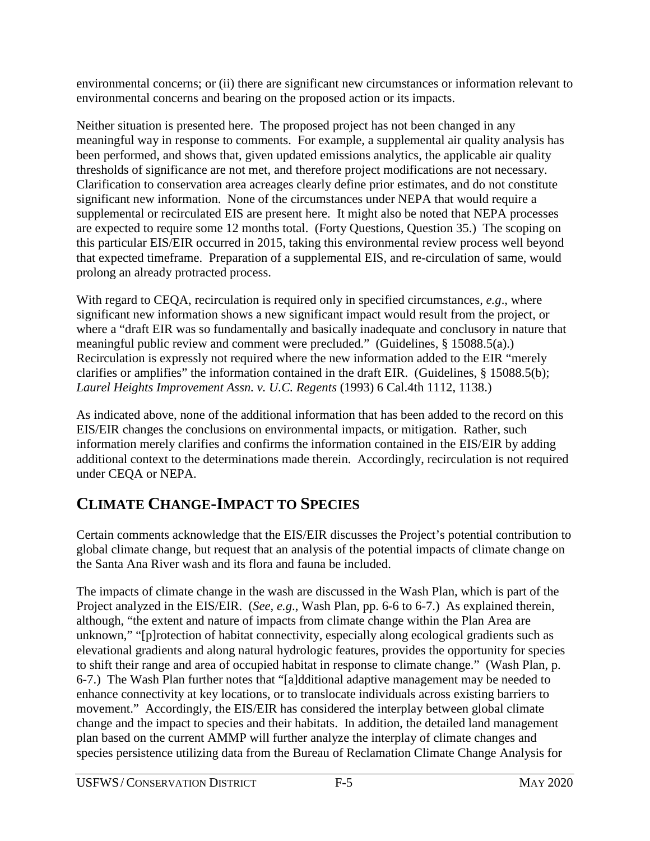environmental concerns; or (ii) there are significant new circumstances or information relevant to environmental concerns and bearing on the proposed action or its impacts.

Neither situation is presented here. The proposed project has not been changed in any meaningful way in response to comments. For example, a supplemental air quality analysis has been performed, and shows that, given updated emissions analytics, the applicable air quality thresholds of significance are not met, and therefore project modifications are not necessary. Clarification to conservation area acreages clearly define prior estimates, and do not constitute significant new information. None of the circumstances under NEPA that would require a supplemental or recirculated EIS are present here. It might also be noted that NEPA processes are expected to require some 12 months total. (Forty Questions, Question 35.) The scoping on this particular EIS/EIR occurred in 2015, taking this environmental review process well beyond that expected timeframe. Preparation of a supplemental EIS, and re-circulation of same, would prolong an already protracted process.

With regard to CEQA, recirculation is required only in specified circumstances, *e.g*., where significant new information shows a new significant impact would result from the project, or where a "draft EIR was so fundamentally and basically inadequate and conclusory in nature that meaningful public review and comment were precluded." (Guidelines, § 15088.5(a).) Recirculation is expressly not required where the new information added to the EIR "merely clarifies or amplifies" the information contained in the draft EIR. (Guidelines, § 15088.5(b); *Laurel Heights Improvement Assn. v. U.C. Regents* (1993) 6 Cal.4th 1112, 1138.)

As indicated above, none of the additional information that has been added to the record on this EIS/EIR changes the conclusions on environmental impacts, or mitigation. Rather, such information merely clarifies and confirms the information contained in the EIS/EIR by adding additional context to the determinations made therein. Accordingly, recirculation is not required under CEQA or NEPA.

# **CLIMATE CHANGE-IMPACT TO SPECIES**

Certain comments acknowledge that the EIS/EIR discusses the Project's potential contribution to global climate change, but request that an analysis of the potential impacts of climate change on the Santa Ana River wash and its flora and fauna be included.

The impacts of climate change in the wash are discussed in the Wash Plan, which is part of the Project analyzed in the EIS/EIR. (*See, e.g*., Wash Plan, pp. 6-6 to 6-7.) As explained therein, although, "the extent and nature of impacts from climate change within the Plan Area are unknown," "[p]rotection of habitat connectivity, especially along ecological gradients such as elevational gradients and along natural hydrologic features, provides the opportunity for species to shift their range and area of occupied habitat in response to climate change." (Wash Plan, p. 6-7.) The Wash Plan further notes that "[a]dditional adaptive management may be needed to enhance connectivity at key locations, or to translocate individuals across existing barriers to movement." Accordingly, the EIS/EIR has considered the interplay between global climate change and the impact to species and their habitats. In addition, the detailed land management plan based on the current AMMP will further analyze the interplay of climate changes and species persistence utilizing data from the Bureau of Reclamation Climate Change Analysis for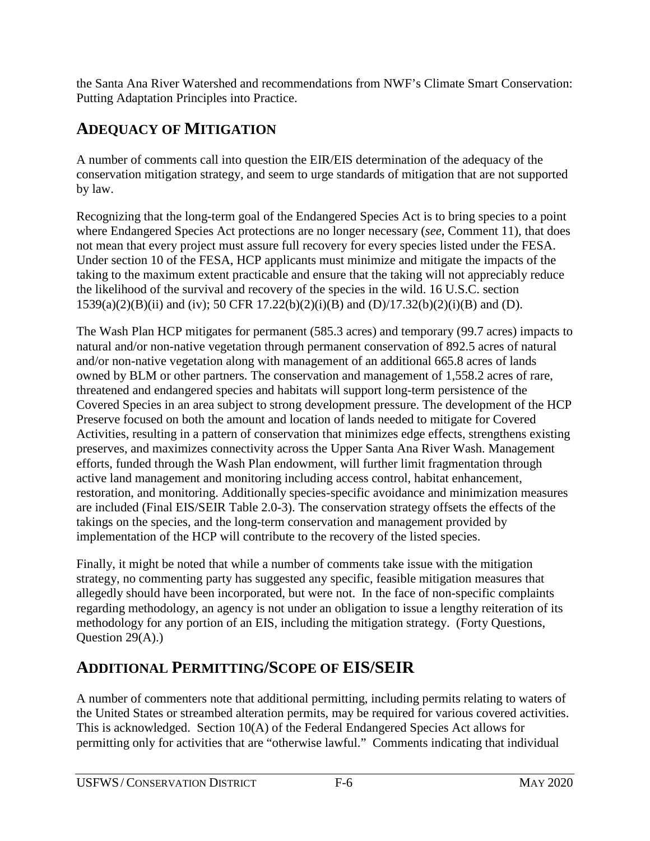the Santa Ana River Watershed and recommendations from NWF's Climate Smart Conservation: Putting Adaptation Principles into Practice.

# **ADEQUACY OF MITIGATION**

A number of comments call into question the EIR/EIS determination of the adequacy of the conservation mitigation strategy, and seem to urge standards of mitigation that are not supported by law.

Recognizing that the long-term goal of the Endangered Species Act is to bring species to a point where Endangered Species Act protections are no longer necessary (*see*, Comment 11), that does not mean that every project must assure full recovery for every species listed under the FESA. Under section 10 of the FESA, HCP applicants must minimize and mitigate the impacts of the taking to the maximum extent practicable and ensure that the taking will not appreciably reduce the likelihood of the survival and recovery of the species in the wild. 16 U.S.C. section 1539(a)(2)(B)(ii) and (iv); 50 CFR 17.22(b)(2)(i)(B) and (D)/17.32(b)(2)(i)(B) and (D).

The Wash Plan HCP mitigates for permanent (585.3 acres) and temporary (99.7 acres) impacts to natural and/or non-native vegetation through permanent conservation of 892.5 acres of natural and/or non-native vegetation along with management of an additional 665.8 acres of lands owned by BLM or other partners. The conservation and management of 1,558.2 acres of rare, threatened and endangered species and habitats will support long-term persistence of the Covered Species in an area subject to strong development pressure. The development of the HCP Preserve focused on both the amount and location of lands needed to mitigate for Covered Activities, resulting in a pattern of conservation that minimizes edge effects, strengthens existing preserves, and maximizes connectivity across the Upper Santa Ana River Wash. Management efforts, funded through the Wash Plan endowment, will further limit fragmentation through active land management and monitoring including access control, habitat enhancement, restoration, and monitoring. Additionally species-specific avoidance and minimization measures are included (Final EIS/SEIR Table 2.0-3). The conservation strategy offsets the effects of the takings on the species, and the long-term conservation and management provided by implementation of the HCP will contribute to the recovery of the listed species.

Finally, it might be noted that while a number of comments take issue with the mitigation strategy, no commenting party has suggested any specific, feasible mitigation measures that allegedly should have been incorporated, but were not. In the face of non-specific complaints regarding methodology, an agency is not under an obligation to issue a lengthy reiteration of its methodology for any portion of an EIS, including the mitigation strategy. (Forty Questions, Ouestion  $29(A)$ .)

# **ADDITIONAL PERMITTING/SCOPE OF EIS/SEIR**

A number of commenters note that additional permitting, including permits relating to waters of the United States or streambed alteration permits, may be required for various covered activities. This is acknowledged. Section 10(A) of the Federal Endangered Species Act allows for permitting only for activities that are "otherwise lawful." Comments indicating that individual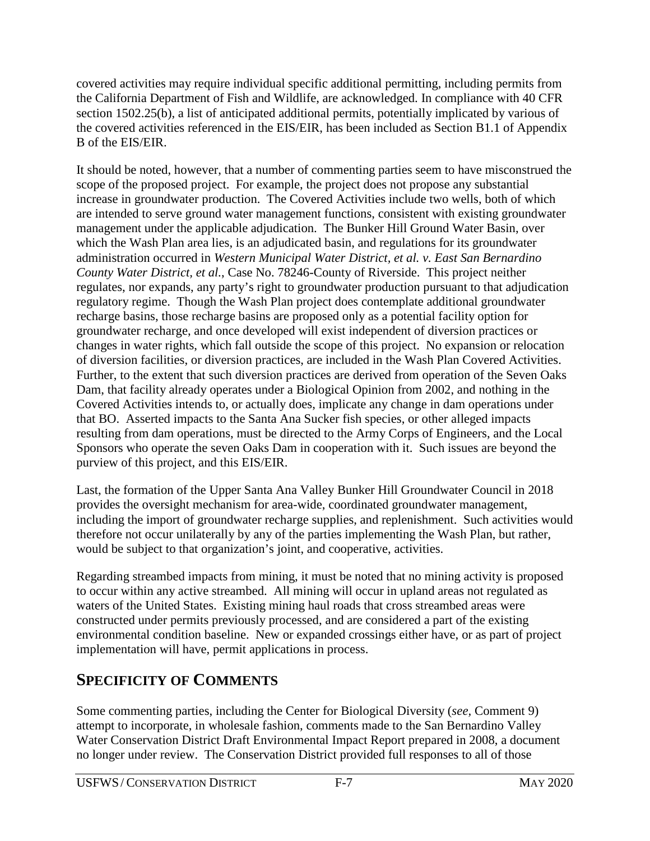covered activities may require individual specific additional permitting, including permits from the California Department of Fish and Wildlife, are acknowledged. In compliance with 40 CFR section 1502.25(b), a list of anticipated additional permits, potentially implicated by various of the covered activities referenced in the EIS/EIR, has been included as Section B1.1 of Appendix B of the EIS/EIR.

It should be noted, however, that a number of commenting parties seem to have misconstrued the scope of the proposed project. For example, the project does not propose any substantial increase in groundwater production. The Covered Activities include two wells, both of which are intended to serve ground water management functions, consistent with existing groundwater management under the applicable adjudication. The Bunker Hill Ground Water Basin, over which the Wash Plan area lies, is an adjudicated basin, and regulations for its groundwater administration occurred in *Western Municipal Water District, et al. v. East San Bernardino County Water District, et al.*, Case No. 78246-County of Riverside. This project neither regulates, nor expands, any party's right to groundwater production pursuant to that adjudication regulatory regime. Though the Wash Plan project does contemplate additional groundwater recharge basins, those recharge basins are proposed only as a potential facility option for groundwater recharge, and once developed will exist independent of diversion practices or changes in water rights, which fall outside the scope of this project. No expansion or relocation of diversion facilities, or diversion practices, are included in the Wash Plan Covered Activities. Further, to the extent that such diversion practices are derived from operation of the Seven Oaks Dam, that facility already operates under a Biological Opinion from 2002, and nothing in the Covered Activities intends to, or actually does, implicate any change in dam operations under that BO. Asserted impacts to the Santa Ana Sucker fish species, or other alleged impacts resulting from dam operations, must be directed to the Army Corps of Engineers, and the Local Sponsors who operate the seven Oaks Dam in cooperation with it. Such issues are beyond the purview of this project, and this EIS/EIR.

Last, the formation of the Upper Santa Ana Valley Bunker Hill Groundwater Council in 2018 provides the oversight mechanism for area-wide, coordinated groundwater management, including the import of groundwater recharge supplies, and replenishment. Such activities would therefore not occur unilaterally by any of the parties implementing the Wash Plan, but rather, would be subject to that organization's joint, and cooperative, activities.

Regarding streambed impacts from mining, it must be noted that no mining activity is proposed to occur within any active streambed. All mining will occur in upland areas not regulated as waters of the United States. Existing mining haul roads that cross streambed areas were constructed under permits previously processed, and are considered a part of the existing environmental condition baseline. New or expanded crossings either have, or as part of project implementation will have, permit applications in process.

# **SPECIFICITY OF COMMENTS**

Some commenting parties, including the Center for Biological Diversity (*see,* Comment 9) attempt to incorporate, in wholesale fashion, comments made to the San Bernardino Valley Water Conservation District Draft Environmental Impact Report prepared in 2008, a document no longer under review. The Conservation District provided full responses to all of those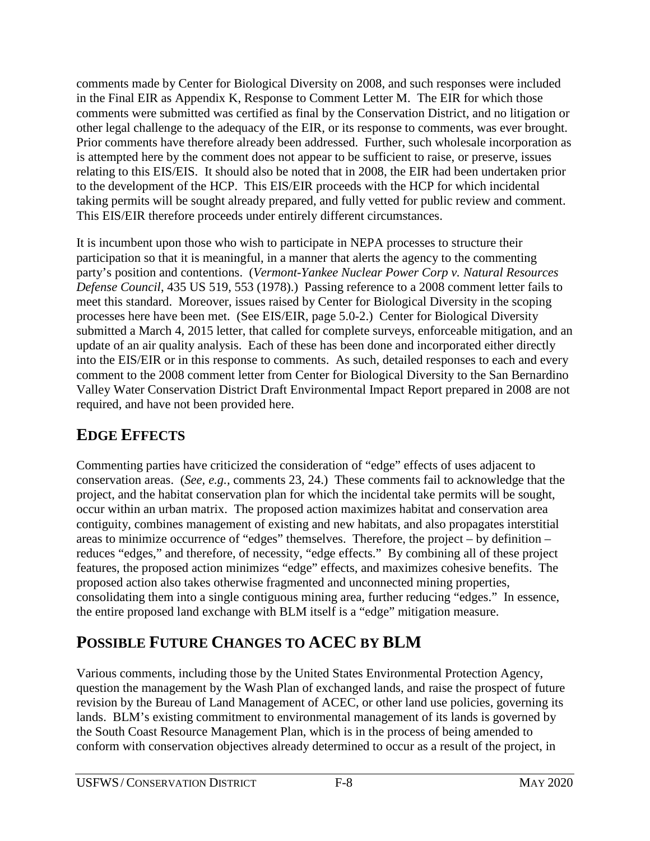comments made by Center for Biological Diversity on 2008, and such responses were included in the Final EIR as Appendix K, Response to Comment Letter M. The EIR for which those comments were submitted was certified as final by the Conservation District, and no litigation or other legal challenge to the adequacy of the EIR, or its response to comments, was ever brought. Prior comments have therefore already been addressed. Further, such wholesale incorporation as is attempted here by the comment does not appear to be sufficient to raise, or preserve, issues relating to this EIS/EIS. It should also be noted that in 2008, the EIR had been undertaken prior to the development of the HCP. This EIS/EIR proceeds with the HCP for which incidental taking permits will be sought already prepared, and fully vetted for public review and comment. This EIS/EIR therefore proceeds under entirely different circumstances.

It is incumbent upon those who wish to participate in NEPA processes to structure their participation so that it is meaningful, in a manner that alerts the agency to the commenting party's position and contentions. (*Vermont-Yankee Nuclear Power Corp v. Natural Resources Defense Council*, 435 US 519, 553 (1978).) Passing reference to a 2008 comment letter fails to meet this standard. Moreover, issues raised by Center for Biological Diversity in the scoping processes here have been met. (See EIS/EIR, page 5.0-2.) Center for Biological Diversity submitted a March 4, 2015 letter, that called for complete surveys, enforceable mitigation, and an update of an air quality analysis. Each of these has been done and incorporated either directly into the EIS/EIR or in this response to comments. As such, detailed responses to each and every comment to the 2008 comment letter from Center for Biological Diversity to the San Bernardino Valley Water Conservation District Draft Environmental Impact Report prepared in 2008 are not required, and have not been provided here.

# **EDGE EFFECTS**

Commenting parties have criticized the consideration of "edge" effects of uses adjacent to conservation areas. (*See, e.g.,* comments 23, 24.) These comments fail to acknowledge that the project, and the habitat conservation plan for which the incidental take permits will be sought, occur within an urban matrix. The proposed action maximizes habitat and conservation area contiguity, combines management of existing and new habitats, and also propagates interstitial areas to minimize occurrence of "edges" themselves. Therefore, the project – by definition – reduces "edges," and therefore, of necessity, "edge effects." By combining all of these project features, the proposed action minimizes "edge" effects, and maximizes cohesive benefits. The proposed action also takes otherwise fragmented and unconnected mining properties, consolidating them into a single contiguous mining area, further reducing "edges." In essence, the entire proposed land exchange with BLM itself is a "edge" mitigation measure.

# **POSSIBLE FUTURE CHANGES TO ACEC BY BLM**

Various comments, including those by the United States Environmental Protection Agency, question the management by the Wash Plan of exchanged lands, and raise the prospect of future revision by the Bureau of Land Management of ACEC, or other land use policies, governing its lands. BLM's existing commitment to environmental management of its lands is governed by the South Coast Resource Management Plan, which is in the process of being amended to conform with conservation objectives already determined to occur as a result of the project, in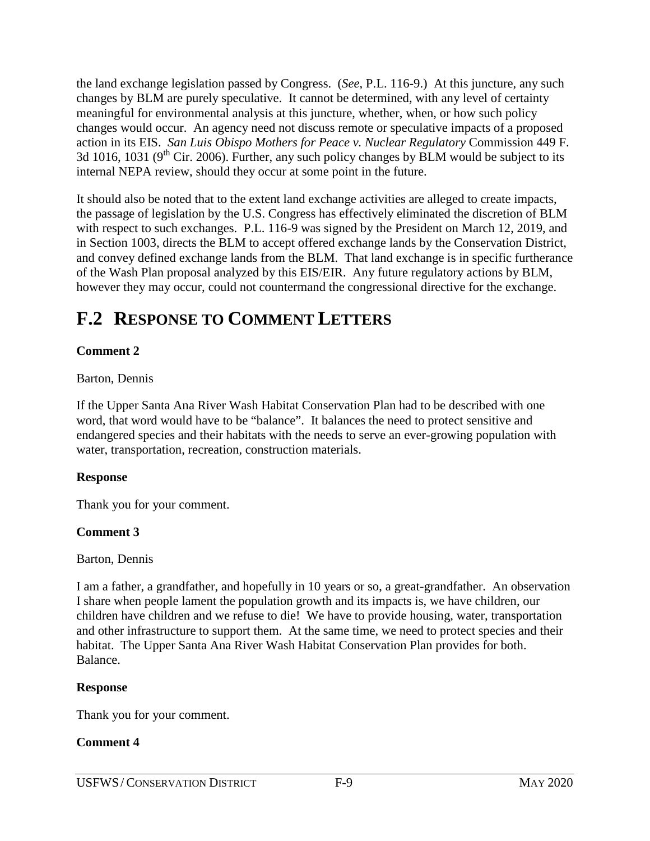the land exchange legislation passed by Congress. (*See*, P.L. 116-9.) At this juncture, any such changes by BLM are purely speculative. It cannot be determined, with any level of certainty meaningful for environmental analysis at this juncture, whether, when, or how such policy changes would occur. An agency need not discuss remote or speculative impacts of a proposed action in its EIS. *San Luis Obispo Mothers for Peace v. Nuclear Regulatory* Commission 449 F. 3d 1016, 1031 ( $9<sup>th</sup>$  Cir. 2006). Further, any such policy changes by BLM would be subject to its internal NEPA review, should they occur at some point in the future.

It should also be noted that to the extent land exchange activities are alleged to create impacts, the passage of legislation by the U.S. Congress has effectively eliminated the discretion of BLM with respect to such exchanges. P.L. 116-9 was signed by the President on March 12, 2019, and in Section 1003, directs the BLM to accept offered exchange lands by the Conservation District, and convey defined exchange lands from the BLM. That land exchange is in specific furtherance of the Wash Plan proposal analyzed by this EIS/EIR. Any future regulatory actions by BLM, however they may occur, could not countermand the congressional directive for the exchange.

# **F.2 RESPONSE TO COMMENT LETTERS**

# **Comment 2**

Barton, Dennis

If the Upper Santa Ana River Wash Habitat Conservation Plan had to be described with one word, that word would have to be "balance". It balances the need to protect sensitive and endangered species and their habitats with the needs to serve an ever-growing population with water, transportation, recreation, construction materials.

#### **Response**

Thank you for your comment.

#### **Comment 3**

Barton, Dennis

I am a father, a grandfather, and hopefully in 10 years or so, a great-grandfather. An observation I share when people lament the population growth and its impacts is, we have children, our children have children and we refuse to die! We have to provide housing, water, transportation and other infrastructure to support them. At the same time, we need to protect species and their habitat. The Upper Santa Ana River Wash Habitat Conservation Plan provides for both. Balance.

#### **Response**

Thank you for your comment.

# **Comment 4**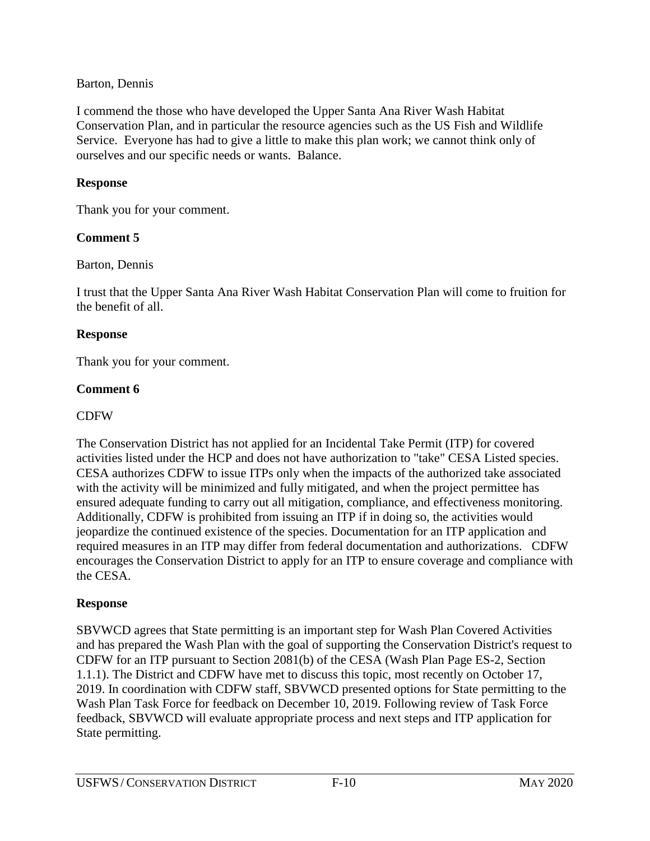#### Barton, Dennis

I commend the those who have developed the Upper Santa Ana River Wash Habitat Conservation Plan, and in particular the resource agencies such as the US Fish and Wildlife Service. Everyone has had to give a little to make this plan work; we cannot think only of ourselves and our specific needs or wants. Balance.

#### **Response**

Thank you for your comment.

#### **Comment 5**

Barton, Dennis

I trust that the Upper Santa Ana River Wash Habitat Conservation Plan will come to fruition for the benefit of all.

#### **Response**

Thank you for your comment.

#### **Comment 6**

#### CDFW

The Conservation District has not applied for an Incidental Take Permit (ITP) for covered activities listed under the HCP and does not have authorization to "take" CESA Listed species. CESA authorizes CDFW to issue ITPs only when the impacts of the authorized take associated with the activity will be minimized and fully mitigated, and when the project permittee has ensured adequate funding to carry out all mitigation, compliance, and effectiveness monitoring. Additionally, CDFW is prohibited from issuing an ITP if in doing so, the activities would jeopardize the continued existence of the species. Documentation for an ITP application and required measures in an ITP may differ from federal documentation and authorizations. CDFW encourages the Conservation District to apply for an ITP to ensure coverage and compliance with the CESA.

#### **Response**

SBVWCD agrees that State permitting is an important step for Wash Plan Covered Activities and has prepared the Wash Plan with the goal of supporting the Conservation District's request to CDFW for an ITP pursuant to Section 2081(b) of the CESA (Wash Plan Page ES-2, Section 1.1.1). The District and CDFW have met to discuss this topic, most recently on October 17, 2019. In coordination with CDFW staff, SBVWCD presented options for State permitting to the Wash Plan Task Force for feedback on December 10, 2019. Following review of Task Force feedback, SBVWCD will evaluate appropriate process and next steps and ITP application for State permitting.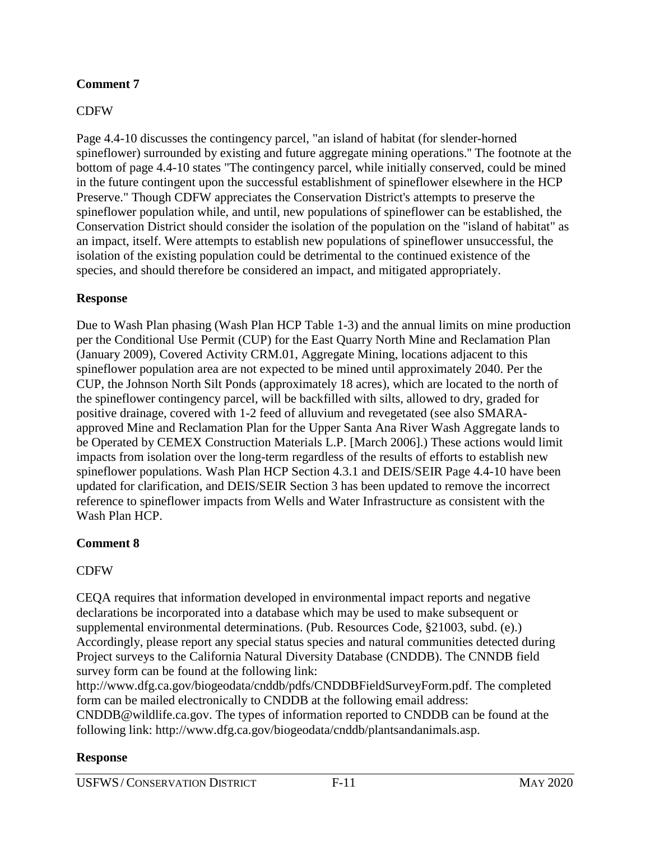#### **Comment 7**

#### CDFW

Page 4.4-10 discusses the contingency parcel, "an island of habitat (for slender-horned spineflower) surrounded by existing and future aggregate mining operations.'' The footnote at the bottom of page 4.4-10 states "The contingency parcel, while initially conserved, could be mined in the future contingent upon the successful establishment of spineflower elsewhere in the HCP Preserve." Though CDFW appreciates the Conservation District's attempts to preserve the spineflower population while, and until, new populations of spineflower can be established, the Conservation District should consider the isolation of the population on the "island of habitat" as an impact, itself. Were attempts to establish new populations of spineflower unsuccessful, the isolation of the existing population could be detrimental to the continued existence of the species, and should therefore be considered an impact, and mitigated appropriately.

#### **Response**

Due to Wash Plan phasing (Wash Plan HCP Table 1-3) and the annual limits on mine production per the Conditional Use Permit (CUP) for the East Quarry North Mine and Reclamation Plan (January 2009), Covered Activity CRM.01, Aggregate Mining, locations adjacent to this spineflower population area are not expected to be mined until approximately 2040. Per the CUP, the Johnson North Silt Ponds (approximately 18 acres), which are located to the north of the spineflower contingency parcel, will be backfilled with silts, allowed to dry, graded for positive drainage, covered with 1-2 feed of alluvium and revegetated (see also SMARAapproved Mine and Reclamation Plan for the Upper Santa Ana River Wash Aggregate lands to be Operated by CEMEX Construction Materials L.P. [March 2006].) These actions would limit impacts from isolation over the long-term regardless of the results of efforts to establish new spineflower populations. Wash Plan HCP Section 4.3.1 and DEIS/SEIR Page 4.4-10 have been updated for clarification, and DEIS/SEIR Section 3 has been updated to remove the incorrect reference to spineflower impacts from Wells and Water Infrastructure as consistent with the Wash Plan HCP.

# **Comment 8**

# CDFW

CEQA requires that information developed in environmental impact reports and negative declarations be incorporated into a database which may be used to make subsequent or supplemental environmental determinations. (Pub. Resources Code, §21003, subd. (e).) Accordingly, please report any special status species and natural communities detected during Project surveys to the California Natural Diversity Database (CNDDB). The CNNDB field survey form can be found at the following link:

http://www.dfg.ca.gov/biogeodata/cnddb/pdfs/CNDDBFieldSurveyForm.pdf. The completed form can be mailed electronically to CNDDB at the following email address:

CNDDB@wildlife.ca.gov. The types of information reported to CNDDB can be found at the following link: http://www.dfg.ca.gov/biogeodata/cnddb/plantsandanimals.asp.

# **Response**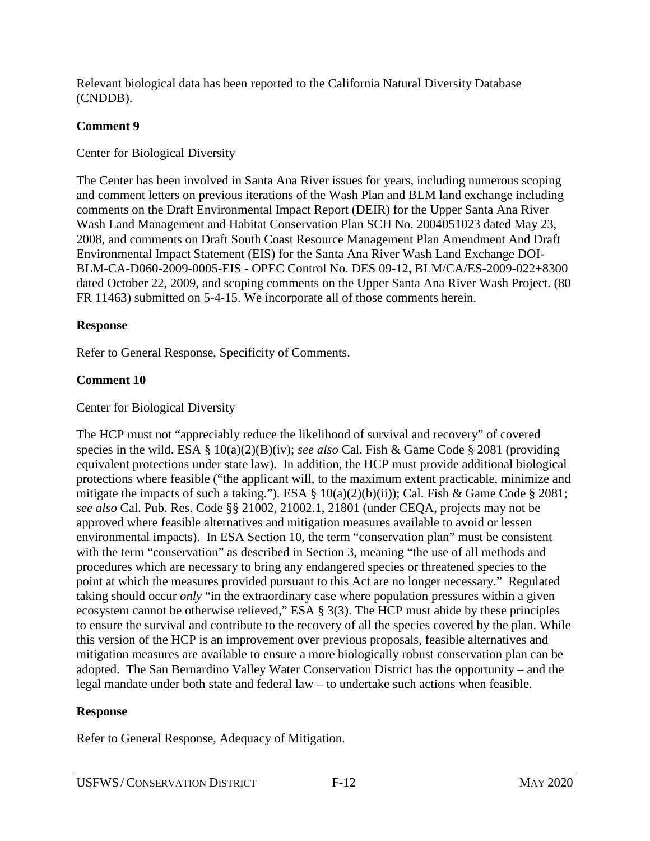Relevant biological data has been reported to the California Natural Diversity Database (CNDDB).

# **Comment 9**

Center for Biological Diversity

The Center has been involved in Santa Ana River issues for years, including numerous scoping and comment letters on previous iterations of the Wash Plan and BLM land exchange including comments on the Draft Environmental Impact Report (DEIR) for the Upper Santa Ana River Wash Land Management and Habitat Conservation Plan SCH No. 2004051023 dated May 23, 2008, and comments on Draft South Coast Resource Management Plan Amendment And Draft Environmental Impact Statement (EIS) for the Santa Ana River Wash Land Exchange DOI-BLM-CA-D060-2009-0005-EIS - OPEC Control No. DES 09-12, BLM/CA/ES-2009-022+8300 dated October 22, 2009, and scoping comments on the Upper Santa Ana River Wash Project. (80) FR 11463) submitted on 5-4-15. We incorporate all of those comments herein.

# **Response**

Refer to General Response, Specificity of Comments.

# **Comment 10**

# Center for Biological Diversity

The HCP must not "appreciably reduce the likelihood of survival and recovery" of covered species in the wild. ESA § 10(a)(2)(B)(iv); *see also* Cal. Fish & Game Code § 2081 (providing equivalent protections under state law). In addition, the HCP must provide additional biological protections where feasible ("the applicant will, to the maximum extent practicable, minimize and mitigate the impacts of such a taking."). ESA § 10(a)(2)(b)(ii)); Cal. Fish & Game Code § 2081; *see also* Cal. Pub. Res. Code §§ 21002, 21002.1, 21801 (under CEQA, projects may not be approved where feasible alternatives and mitigation measures available to avoid or lessen environmental impacts). In ESA Section 10, the term "conservation plan" must be consistent with the term "conservation" as described in Section 3, meaning "the use of all methods and procedures which are necessary to bring any endangered species or threatened species to the point at which the measures provided pursuant to this Act are no longer necessary." Regulated taking should occur *only* "in the extraordinary case where population pressures within a given ecosystem cannot be otherwise relieved," ESA § 3(3). The HCP must abide by these principles to ensure the survival and contribute to the recovery of all the species covered by the plan. While this version of the HCP is an improvement over previous proposals, feasible alternatives and mitigation measures are available to ensure a more biologically robust conservation plan can be adopted. The San Bernardino Valley Water Conservation District has the opportunity – and the legal mandate under both state and federal law – to undertake such actions when feasible.

# **Response**

Refer to General Response, Adequacy of Mitigation.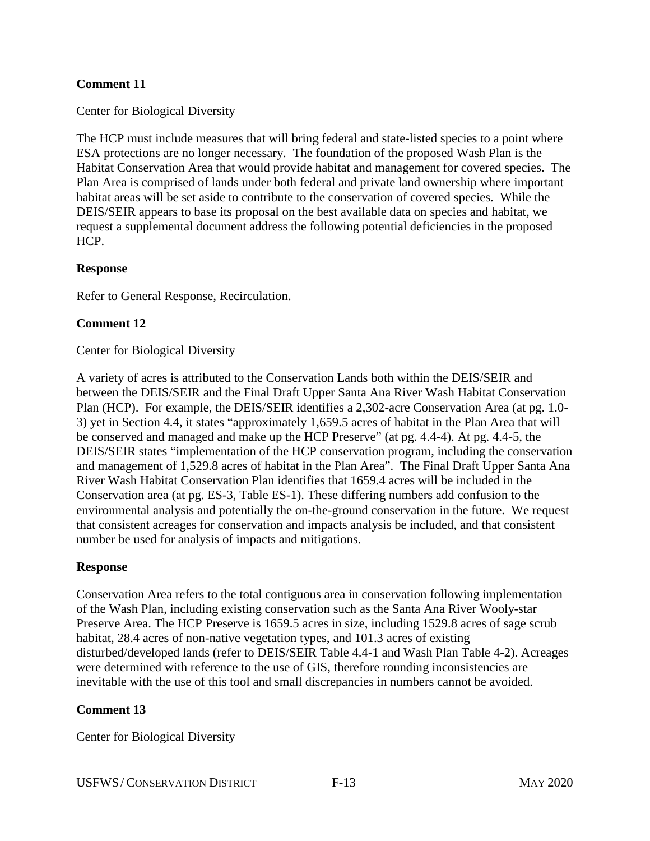#### **Comment 11**

Center for Biological Diversity

The HCP must include measures that will bring federal and state-listed species to a point where ESA protections are no longer necessary. The foundation of the proposed Wash Plan is the Habitat Conservation Area that would provide habitat and management for covered species. The Plan Area is comprised of lands under both federal and private land ownership where important habitat areas will be set aside to contribute to the conservation of covered species. While the DEIS/SEIR appears to base its proposal on the best available data on species and habitat, we request a supplemental document address the following potential deficiencies in the proposed HCP.

#### **Response**

Refer to General Response, Recirculation.

#### **Comment 12**

#### Center for Biological Diversity

A variety of acres is attributed to the Conservation Lands both within the DEIS/SEIR and between the DEIS/SEIR and the Final Draft Upper Santa Ana River Wash Habitat Conservation Plan (HCP). For example, the DEIS/SEIR identifies a 2,302-acre Conservation Area (at pg. 1.0- 3) yet in Section 4.4, it states "approximately 1,659.5 acres of habitat in the Plan Area that will be conserved and managed and make up the HCP Preserve" (at pg. 4.4-4). At pg. 4.4-5, the DEIS/SEIR states "implementation of the HCP conservation program, including the conservation and management of 1,529.8 acres of habitat in the Plan Area". The Final Draft Upper Santa Ana River Wash Habitat Conservation Plan identifies that 1659.4 acres will be included in the Conservation area (at pg. ES-3, Table ES-1). These differing numbers add confusion to the environmental analysis and potentially the on-the-ground conservation in the future. We request that consistent acreages for conservation and impacts analysis be included, and that consistent number be used for analysis of impacts and mitigations.

#### **Response**

Conservation Area refers to the total contiguous area in conservation following implementation of the Wash Plan, including existing conservation such as the Santa Ana River Wooly-star Preserve Area. The HCP Preserve is 1659.5 acres in size, including 1529.8 acres of sage scrub habitat, 28.4 acres of non-native vegetation types, and 101.3 acres of existing disturbed/developed lands (refer to DEIS/SEIR Table 4.4-1 and Wash Plan Table 4-2). Acreages were determined with reference to the use of GIS, therefore rounding inconsistencies are inevitable with the use of this tool and small discrepancies in numbers cannot be avoided.

#### **Comment 13**

Center for Biological Diversity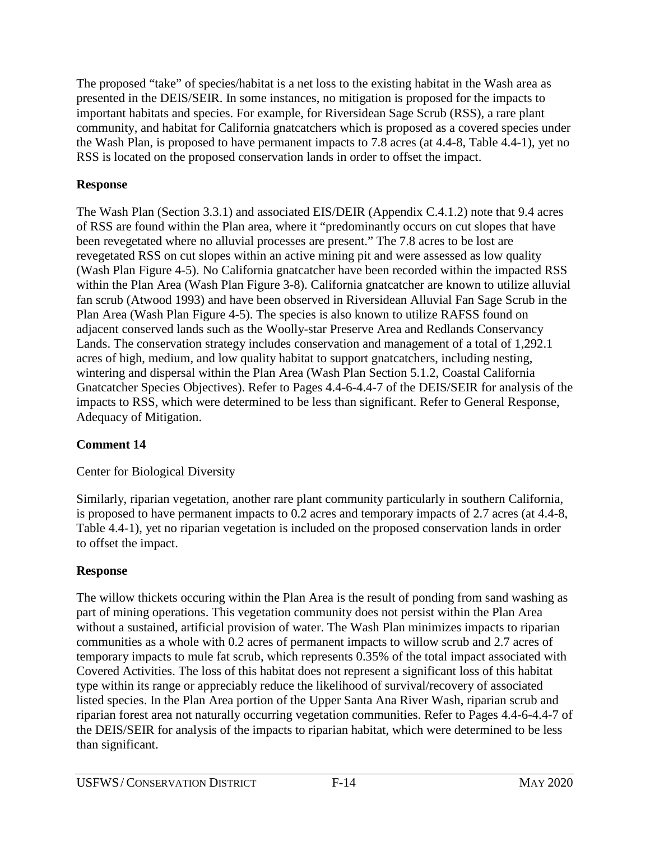The proposed "take" of species/habitat is a net loss to the existing habitat in the Wash area as presented in the DEIS/SEIR. In some instances, no mitigation is proposed for the impacts to important habitats and species. For example, for Riversidean Sage Scrub (RSS), a rare plant community, and habitat for California gnatcatchers which is proposed as a covered species under the Wash Plan, is proposed to have permanent impacts to 7.8 acres (at 4.4-8, Table 4.4-1), yet no RSS is located on the proposed conservation lands in order to offset the impact.

# **Response**

The Wash Plan (Section 3.3.1) and associated EIS/DEIR (Appendix C.4.1.2) note that 9.4 acres of RSS are found within the Plan area, where it "predominantly occurs on cut slopes that have been revegetated where no alluvial processes are present." The 7.8 acres to be lost are revegetated RSS on cut slopes within an active mining pit and were assessed as low quality (Wash Plan Figure 4-5). No California gnatcatcher have been recorded within the impacted RSS within the Plan Area (Wash Plan Figure 3-8). California gnatcatcher are known to utilize alluvial fan scrub (Atwood 1993) and have been observed in Riversidean Alluvial Fan Sage Scrub in the Plan Area (Wash Plan Figure 4-5). The species is also known to utilize RAFSS found on adjacent conserved lands such as the Woolly-star Preserve Area and Redlands Conservancy Lands. The conservation strategy includes conservation and management of a total of 1,292.1 acres of high, medium, and low quality habitat to support gnatcatchers, including nesting, wintering and dispersal within the Plan Area (Wash Plan Section 5.1.2, Coastal California Gnatcatcher Species Objectives). Refer to Pages 4.4-6-4.4-7 of the DEIS/SEIR for analysis of the impacts to RSS, which were determined to be less than significant. Refer to General Response, Adequacy of Mitigation.

# **Comment 14**

# Center for Biological Diversity

Similarly, riparian vegetation, another rare plant community particularly in southern California, is proposed to have permanent impacts to 0.2 acres and temporary impacts of 2.7 acres (at 4.4-8, Table 4.4-1), yet no riparian vegetation is included on the proposed conservation lands in order to offset the impact.

# **Response**

The willow thickets occuring within the Plan Area is the result of ponding from sand washing as part of mining operations. This vegetation community does not persist within the Plan Area without a sustained, artificial provision of water. The Wash Plan minimizes impacts to riparian communities as a whole with 0.2 acres of permanent impacts to willow scrub and 2.7 acres of temporary impacts to mule fat scrub, which represents 0.35% of the total impact associated with Covered Activities. The loss of this habitat does not represent a significant loss of this habitat type within its range or appreciably reduce the likelihood of survival/recovery of associated listed species. In the Plan Area portion of the Upper Santa Ana River Wash, riparian scrub and riparian forest area not naturally occurring vegetation communities. Refer to Pages 4.4-6-4.4-7 of the DEIS/SEIR for analysis of the impacts to riparian habitat, which were determined to be less than significant.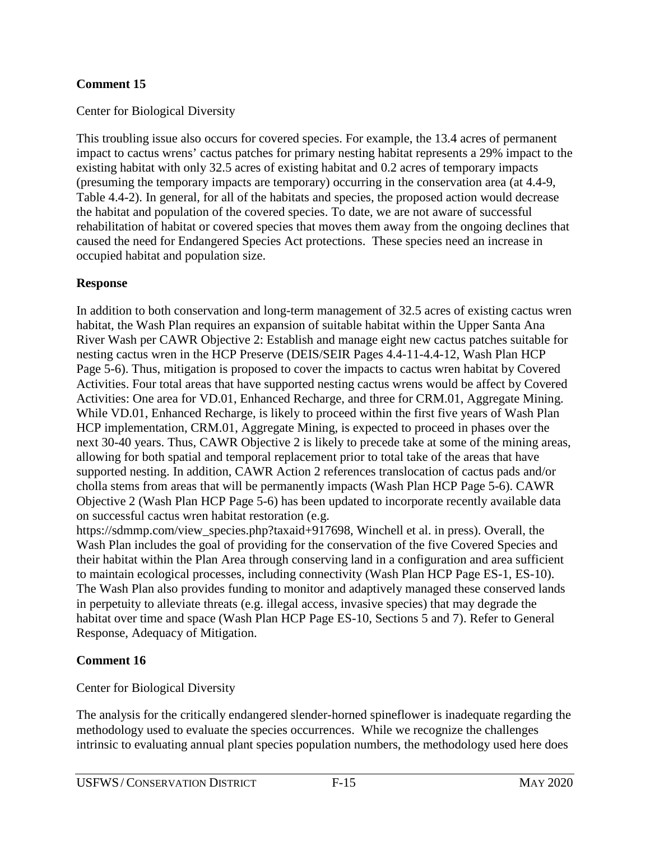#### **Comment 15**

Center for Biological Diversity

This troubling issue also occurs for covered species. For example, the 13.4 acres of permanent impact to cactus wrens' cactus patches for primary nesting habitat represents a 29% impact to the existing habitat with only 32.5 acres of existing habitat and 0.2 acres of temporary impacts (presuming the temporary impacts are temporary) occurring in the conservation area (at 4.4-9, Table 4.4-2). In general, for all of the habitats and species, the proposed action would decrease the habitat and population of the covered species. To date, we are not aware of successful rehabilitation of habitat or covered species that moves them away from the ongoing declines that caused the need for Endangered Species Act protections. These species need an increase in occupied habitat and population size.

#### **Response**

In addition to both conservation and long-term management of 32.5 acres of existing cactus wren habitat, the Wash Plan requires an expansion of suitable habitat within the Upper Santa Ana River Wash per CAWR Objective 2: Establish and manage eight new cactus patches suitable for nesting cactus wren in the HCP Preserve (DEIS/SEIR Pages 4.4-11-4.4-12, Wash Plan HCP Page 5-6). Thus, mitigation is proposed to cover the impacts to cactus wren habitat by Covered Activities. Four total areas that have supported nesting cactus wrens would be affect by Covered Activities: One area for VD.01, Enhanced Recharge, and three for CRM.01, Aggregate Mining. While VD.01, Enhanced Recharge, is likely to proceed within the first five years of Wash Plan HCP implementation, CRM.01, Aggregate Mining, is expected to proceed in phases over the next 30-40 years. Thus, CAWR Objective 2 is likely to precede take at some of the mining areas, allowing for both spatial and temporal replacement prior to total take of the areas that have supported nesting. In addition, CAWR Action 2 references translocation of cactus pads and/or cholla stems from areas that will be permanently impacts (Wash Plan HCP Page 5-6). CAWR Objective 2 (Wash Plan HCP Page 5-6) has been updated to incorporate recently available data on successful cactus wren habitat restoration (e.g.

https://sdmmp.com/view\_species.php?taxaid+917698, Winchell et al. in press). Overall, the Wash Plan includes the goal of providing for the conservation of the five Covered Species and their habitat within the Plan Area through conserving land in a configuration and area sufficient to maintain ecological processes, including connectivity (Wash Plan HCP Page ES-1, ES-10). The Wash Plan also provides funding to monitor and adaptively managed these conserved lands in perpetuity to alleviate threats (e.g. illegal access, invasive species) that may degrade the habitat over time and space (Wash Plan HCP Page ES-10, Sections 5 and 7). Refer to General Response, Adequacy of Mitigation.

#### **Comment 16**

Center for Biological Diversity

The analysis for the critically endangered slender-horned spineflower is inadequate regarding the methodology used to evaluate the species occurrences. While we recognize the challenges intrinsic to evaluating annual plant species population numbers, the methodology used here does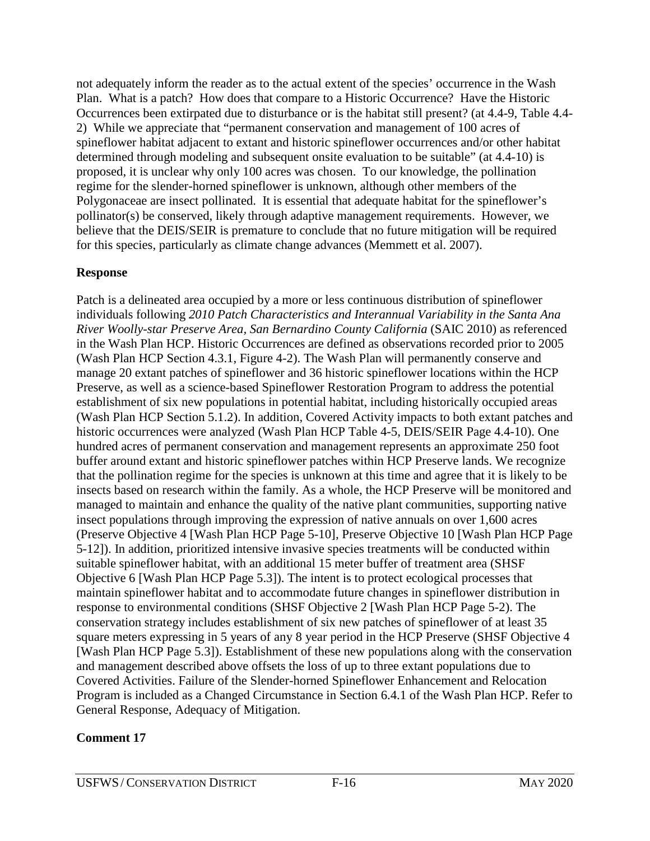not adequately inform the reader as to the actual extent of the species' occurrence in the Wash Plan. What is a patch? How does that compare to a Historic Occurrence? Have the Historic Occurrences been extirpated due to disturbance or is the habitat still present? (at 4.4-9, Table 4.4- 2) While we appreciate that "permanent conservation and management of 100 acres of spineflower habitat adjacent to extant and historic spineflower occurrences and/or other habitat determined through modeling and subsequent onsite evaluation to be suitable" (at 4.4-10) is proposed, it is unclear why only 100 acres was chosen. To our knowledge, the pollination regime for the slender-horned spineflower is unknown, although other members of the Polygonaceae are insect pollinated. It is essential that adequate habitat for the spineflower's pollinator(s) be conserved, likely through adaptive management requirements. However, we believe that the DEIS/SEIR is premature to conclude that no future mitigation will be required for this species, particularly as climate change advances (Memmett et al. 2007).

#### **Response**

Patch is a delineated area occupied by a more or less continuous distribution of spineflower individuals following *2010 Patch Characteristics and Interannual Variability in the Santa Ana River Woolly-star Preserve Area, San Bernardino County California* (SAIC 2010) as referenced in the Wash Plan HCP. Historic Occurrences are defined as observations recorded prior to 2005 (Wash Plan HCP Section 4.3.1, Figure 4-2). The Wash Plan will permanently conserve and manage 20 extant patches of spineflower and 36 historic spineflower locations within the HCP Preserve, as well as a science-based Spineflower Restoration Program to address the potential establishment of six new populations in potential habitat, including historically occupied areas (Wash Plan HCP Section 5.1.2). In addition, Covered Activity impacts to both extant patches and historic occurrences were analyzed (Wash Plan HCP Table 4-5, DEIS/SEIR Page 4.4-10). One hundred acres of permanent conservation and management represents an approximate 250 foot buffer around extant and historic spineflower patches within HCP Preserve lands. We recognize that the pollination regime for the species is unknown at this time and agree that it is likely to be insects based on research within the family. As a whole, the HCP Preserve will be monitored and managed to maintain and enhance the quality of the native plant communities, supporting native insect populations through improving the expression of native annuals on over 1,600 acres (Preserve Objective 4 [Wash Plan HCP Page 5-10], Preserve Objective 10 [Wash Plan HCP Page 5-12]). In addition, prioritized intensive invasive species treatments will be conducted within suitable spineflower habitat, with an additional 15 meter buffer of treatment area (SHSF Objective 6 [Wash Plan HCP Page 5.3]). The intent is to protect ecological processes that maintain spineflower habitat and to accommodate future changes in spineflower distribution in response to environmental conditions (SHSF Objective 2 [Wash Plan HCP Page 5-2). The conservation strategy includes establishment of six new patches of spineflower of at least 35 square meters expressing in 5 years of any 8 year period in the HCP Preserve (SHSF Objective 4 [Wash Plan HCP Page 5.3]). Establishment of these new populations along with the conservation and management described above offsets the loss of up to three extant populations due to Covered Activities. Failure of the Slender-horned Spineflower Enhancement and Relocation Program is included as a Changed Circumstance in Section 6.4.1 of the Wash Plan HCP. Refer to General Response, Adequacy of Mitigation.

# **Comment 17**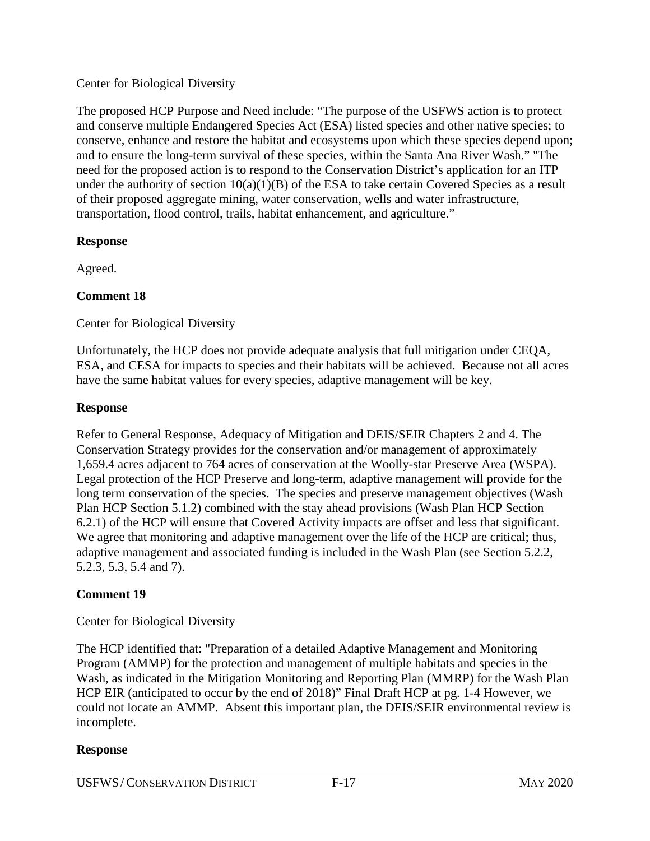#### Center for Biological Diversity

The proposed HCP Purpose and Need include: "The purpose of the USFWS action is to protect and conserve multiple Endangered Species Act (ESA) listed species and other native species; to conserve, enhance and restore the habitat and ecosystems upon which these species depend upon; and to ensure the long-term survival of these species, within the Santa Ana River Wash." "The need for the proposed action is to respond to the Conservation District's application for an ITP under the authority of section  $10(a)(1)(B)$  of the ESA to take certain Covered Species as a result of their proposed aggregate mining, water conservation, wells and water infrastructure, transportation, flood control, trails, habitat enhancement, and agriculture."

#### **Response**

Agreed.

# **Comment 18**

Center for Biological Diversity

Unfortunately, the HCP does not provide adequate analysis that full mitigation under CEQA, ESA, and CESA for impacts to species and their habitats will be achieved. Because not all acres have the same habitat values for every species, adaptive management will be key.

#### **Response**

Refer to General Response, Adequacy of Mitigation and DEIS/SEIR Chapters 2 and 4. The Conservation Strategy provides for the conservation and/or management of approximately 1,659.4 acres adjacent to 764 acres of conservation at the Woolly-star Preserve Area (WSPA). Legal protection of the HCP Preserve and long-term, adaptive management will provide for the long term conservation of the species. The species and preserve management objectives (Wash Plan HCP Section 5.1.2) combined with the stay ahead provisions (Wash Plan HCP Section 6.2.1) of the HCP will ensure that Covered Activity impacts are offset and less that significant. We agree that monitoring and adaptive management over the life of the HCP are critical; thus, adaptive management and associated funding is included in the Wash Plan (see Section 5.2.2, 5.2.3, 5.3, 5.4 and 7).

# **Comment 19**

Center for Biological Diversity

The HCP identified that: "Preparation of a detailed Adaptive Management and Monitoring Program (AMMP) for the protection and management of multiple habitats and species in the Wash, as indicated in the Mitigation Monitoring and Reporting Plan (MMRP) for the Wash Plan HCP EIR (anticipated to occur by the end of 2018)" Final Draft HCP at pg. 1-4 However, we could not locate an AMMP. Absent this important plan, the DEIS/SEIR environmental review is incomplete.

#### **Response**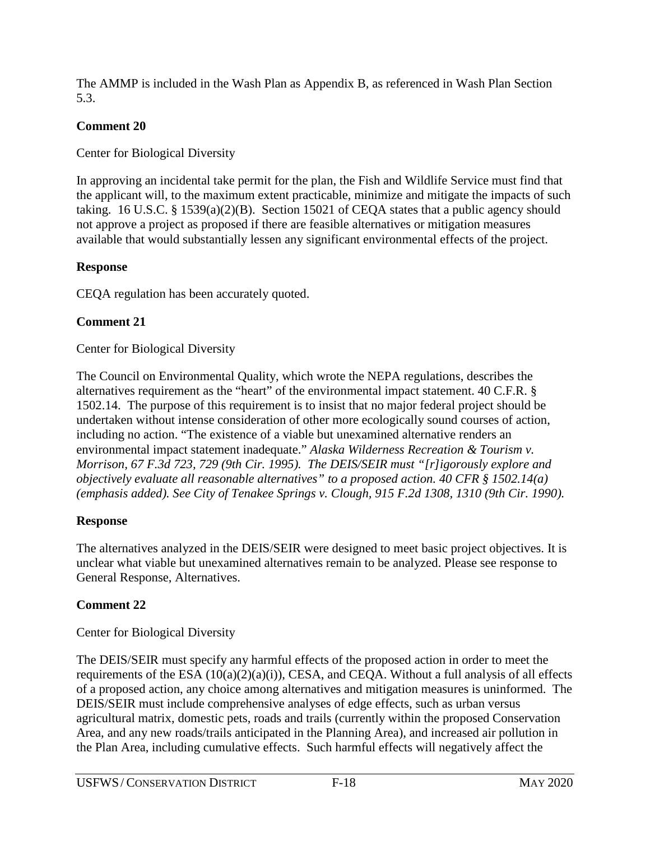The AMMP is included in the Wash Plan as Appendix B, as referenced in Wash Plan Section 5.3.

# **Comment 20**

Center for Biological Diversity

In approving an incidental take permit for the plan, the Fish and Wildlife Service must find that the applicant will, to the maximum extent practicable, minimize and mitigate the impacts of such taking. 16 U.S.C. § 1539(a)(2)(B). Section 15021 of CEQA states that a public agency should not approve a project as proposed if there are feasible alternatives or mitigation measures available that would substantially lessen any significant environmental effects of the project.

# **Response**

CEQA regulation has been accurately quoted.

# **Comment 21**

# Center for Biological Diversity

The Council on Environmental Quality, which wrote the NEPA regulations, describes the alternatives requirement as the "heart" of the environmental impact statement. 40 C.F.R. § 1502.14. The purpose of this requirement is to insist that no major federal project should be undertaken without intense consideration of other more ecologically sound courses of action, including no action. "The existence of a viable but unexamined alternative renders an environmental impact statement inadequate." *Alaska Wilderness Recreation & Tourism v. Morrison, 67 F.3d 723, 729 (9th Cir. 1995). The DEIS/SEIR must "[r]igorously explore and objectively evaluate all reasonable alternatives" to a proposed action. 40 CFR § 1502.14(a) (emphasis added). See City of Tenakee Springs v. Clough, 915 F.2d 1308, 1310 (9th Cir. 1990).*

# **Response**

The alternatives analyzed in the DEIS/SEIR were designed to meet basic project objectives. It is unclear what viable but unexamined alternatives remain to be analyzed. Please see response to General Response, Alternatives.

# **Comment 22**

Center for Biological Diversity

The DEIS/SEIR must specify any harmful effects of the proposed action in order to meet the requirements of the ESA  $(10(a)(2)(a)(i))$ , CESA, and CEQA. Without a full analysis of all effects of a proposed action, any choice among alternatives and mitigation measures is uninformed. The DEIS/SEIR must include comprehensive analyses of edge effects, such as urban versus agricultural matrix, domestic pets, roads and trails (currently within the proposed Conservation Area, and any new roads/trails anticipated in the Planning Area), and increased air pollution in the Plan Area, including cumulative effects. Such harmful effects will negatively affect the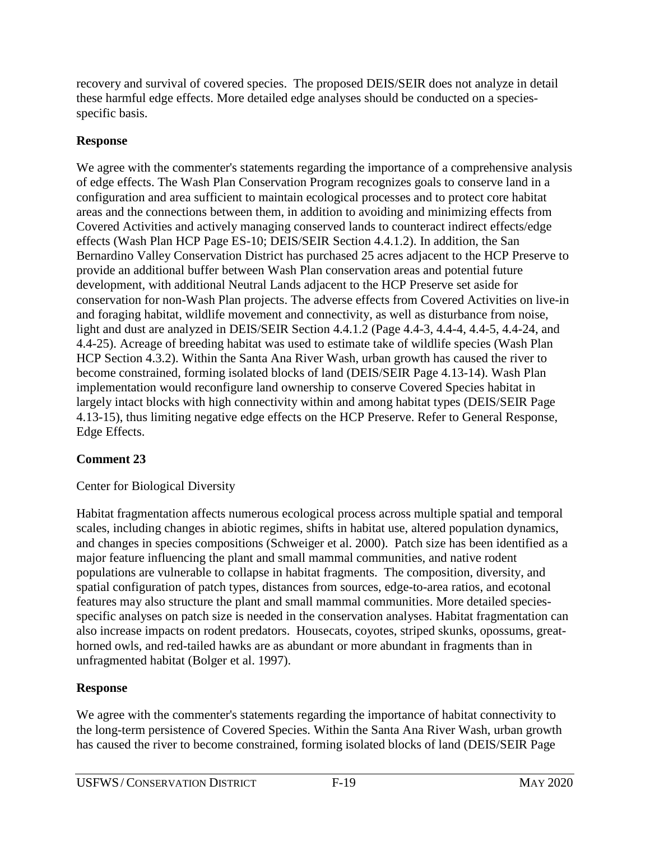recovery and survival of covered species. The proposed DEIS/SEIR does not analyze in detail these harmful edge effects. More detailed edge analyses should be conducted on a speciesspecific basis.

# **Response**

We agree with the commenter's statements regarding the importance of a comprehensive analysis of edge effects. The Wash Plan Conservation Program recognizes goals to conserve land in a configuration and area sufficient to maintain ecological processes and to protect core habitat areas and the connections between them, in addition to avoiding and minimizing effects from Covered Activities and actively managing conserved lands to counteract indirect effects/edge effects (Wash Plan HCP Page ES-10; DEIS/SEIR Section 4.4.1.2). In addition, the San Bernardino Valley Conservation District has purchased 25 acres adjacent to the HCP Preserve to provide an additional buffer between Wash Plan conservation areas and potential future development, with additional Neutral Lands adjacent to the HCP Preserve set aside for conservation for non-Wash Plan projects. The adverse effects from Covered Activities on live-in and foraging habitat, wildlife movement and connectivity, as well as disturbance from noise, light and dust are analyzed in DEIS/SEIR Section 4.4.1.2 (Page 4.4-3, 4.4-4, 4.4-5, 4.4-24, and 4.4-25). Acreage of breeding habitat was used to estimate take of wildlife species (Wash Plan HCP Section 4.3.2). Within the Santa Ana River Wash, urban growth has caused the river to become constrained, forming isolated blocks of land (DEIS/SEIR Page 4.13-14). Wash Plan implementation would reconfigure land ownership to conserve Covered Species habitat in largely intact blocks with high connectivity within and among habitat types (DEIS/SEIR Page 4.13-15), thus limiting negative edge effects on the HCP Preserve. Refer to General Response, Edge Effects.

# **Comment 23**

# Center for Biological Diversity

Habitat fragmentation affects numerous ecological process across multiple spatial and temporal scales, including changes in abiotic regimes, shifts in habitat use, altered population dynamics, and changes in species compositions (Schweiger et al. 2000). Patch size has been identified as a major feature influencing the plant and small mammal communities, and native rodent populations are vulnerable to collapse in habitat fragments. The composition, diversity, and spatial configuration of patch types, distances from sources, edge-to-area ratios, and ecotonal features may also structure the plant and small mammal communities. More detailed speciesspecific analyses on patch size is needed in the conservation analyses. Habitat fragmentation can also increase impacts on rodent predators. Housecats, coyotes, striped skunks, opossums, greathorned owls, and red-tailed hawks are as abundant or more abundant in fragments than in unfragmented habitat (Bolger et al. 1997).

# **Response**

We agree with the commenter's statements regarding the importance of habitat connectivity to the long-term persistence of Covered Species. Within the Santa Ana River Wash, urban growth has caused the river to become constrained, forming isolated blocks of land (DEIS/SEIR Page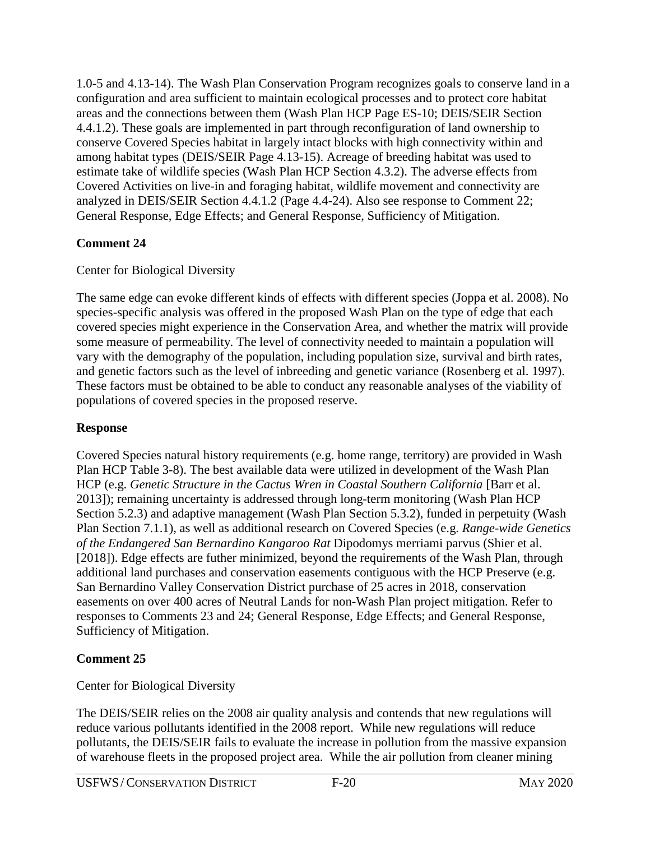1.0-5 and 4.13-14). The Wash Plan Conservation Program recognizes goals to conserve land in a configuration and area sufficient to maintain ecological processes and to protect core habitat areas and the connections between them (Wash Plan HCP Page ES-10; DEIS/SEIR Section 4.4.1.2). These goals are implemented in part through reconfiguration of land ownership to conserve Covered Species habitat in largely intact blocks with high connectivity within and among habitat types (DEIS/SEIR Page 4.13-15). Acreage of breeding habitat was used to estimate take of wildlife species (Wash Plan HCP Section 4.3.2). The adverse effects from Covered Activities on live-in and foraging habitat, wildlife movement and connectivity are analyzed in DEIS/SEIR Section 4.4.1.2 (Page 4.4-24). Also see response to Comment 22; General Response, Edge Effects; and General Response, Sufficiency of Mitigation.

# **Comment 24**

# Center for Biological Diversity

The same edge can evoke different kinds of effects with different species (Joppa et al. 2008). No species-specific analysis was offered in the proposed Wash Plan on the type of edge that each covered species might experience in the Conservation Area, and whether the matrix will provide some measure of permeability. The level of connectivity needed to maintain a population will vary with the demography of the population, including population size, survival and birth rates, and genetic factors such as the level of inbreeding and genetic variance (Rosenberg et al. 1997). These factors must be obtained to be able to conduct any reasonable analyses of the viability of populations of covered species in the proposed reserve.

# **Response**

Covered Species natural history requirements (e.g. home range, territory) are provided in Wash Plan HCP Table 3-8). The best available data were utilized in development of the Wash Plan HCP (e.g. *Genetic Structure in the Cactus Wren in Coastal Southern California* [Barr et al. 2013]); remaining uncertainty is addressed through long-term monitoring (Wash Plan HCP Section 5.2.3) and adaptive management (Wash Plan Section 5.3.2), funded in perpetuity (Wash Plan Section 7.1.1), as well as additional research on Covered Species (e.g. *Range-wide Genetics of the Endangered San Bernardino Kangaroo Rat* Dipodomys merriami parvus (Shier et al. [2018]). Edge effects are futher minimized, beyond the requirements of the Wash Plan, through additional land purchases and conservation easements contiguous with the HCP Preserve (e.g. San Bernardino Valley Conservation District purchase of 25 acres in 2018, conservation easements on over 400 acres of Neutral Lands for non-Wash Plan project mitigation. Refer to responses to Comments 23 and 24; General Response, Edge Effects; and General Response, Sufficiency of Mitigation.

# **Comment 25**

Center for Biological Diversity

The DEIS/SEIR relies on the 2008 air quality analysis and contends that new regulations will reduce various pollutants identified in the 2008 report. While new regulations will reduce pollutants, the DEIS/SEIR fails to evaluate the increase in pollution from the massive expansion of warehouse fleets in the proposed project area. While the air pollution from cleaner mining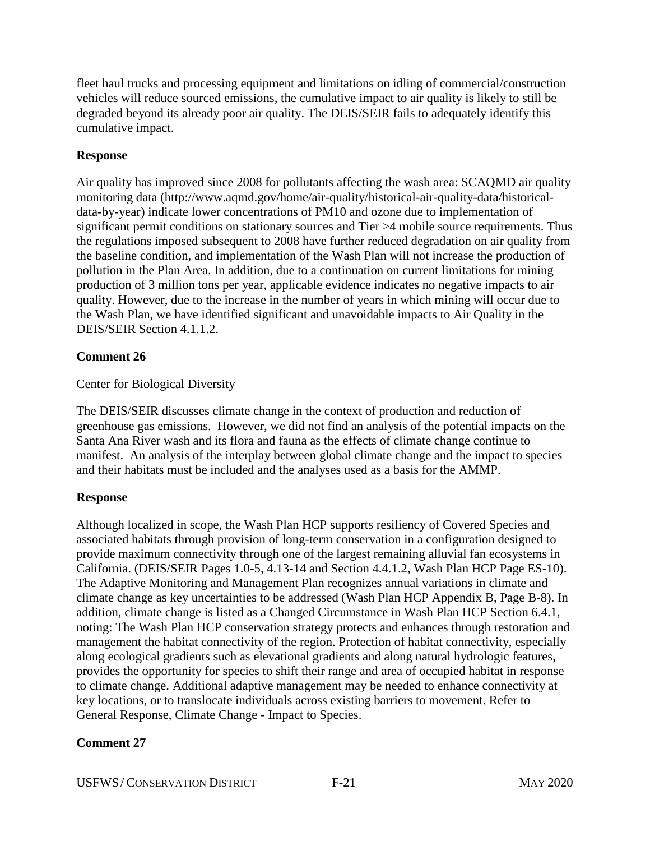fleet haul trucks and processing equipment and limitations on idling of commercial/construction vehicles will reduce sourced emissions, the cumulative impact to air quality is likely to still be degraded beyond its already poor air quality. The DEIS/SEIR fails to adequately identify this cumulative impact.

# **Response**

Air quality has improved since 2008 for pollutants affecting the wash area: SCAQMD air quality monitoring data (http://www.aqmd.gov/home/air-quality/historical-air-quality-data/historicaldata-by-year) indicate lower concentrations of PM10 and ozone due to implementation of significant permit conditions on stationary sources and Tier >4 mobile source requirements. Thus the regulations imposed subsequent to 2008 have further reduced degradation on air quality from the baseline condition, and implementation of the Wash Plan will not increase the production of pollution in the Plan Area. In addition, due to a continuation on current limitations for mining production of 3 million tons per year, applicable evidence indicates no negative impacts to air quality. However, due to the increase in the number of years in which mining will occur due to the Wash Plan, we have identified significant and unavoidable impacts to Air Quality in the DEIS/SEIR Section 4.1.1.2.

# **Comment 26**

# Center for Biological Diversity

The DEIS/SEIR discusses climate change in the context of production and reduction of greenhouse gas emissions. However, we did not find an analysis of the potential impacts on the Santa Ana River wash and its flora and fauna as the effects of climate change continue to manifest. An analysis of the interplay between global climate change and the impact to species and their habitats must be included and the analyses used as a basis for the AMMP.

# **Response**

Although localized in scope, the Wash Plan HCP supports resiliency of Covered Species and associated habitats through provision of long-term conservation in a configuration designed to provide maximum connectivity through one of the largest remaining alluvial fan ecosystems in California. (DEIS/SEIR Pages 1.0-5, 4.13-14 and Section 4.4.1.2, Wash Plan HCP Page ES-10). The Adaptive Monitoring and Management Plan recognizes annual variations in climate and climate change as key uncertainties to be addressed (Wash Plan HCP Appendix B, Page B-8). In addition, climate change is listed as a Changed Circumstance in Wash Plan HCP Section 6.4.1, noting: The Wash Plan HCP conservation strategy protects and enhances through restoration and management the habitat connectivity of the region. Protection of habitat connectivity, especially along ecological gradients such as elevational gradients and along natural hydrologic features, provides the opportunity for species to shift their range and area of occupied habitat in response to climate change. Additional adaptive management may be needed to enhance connectivity at key locations, or to translocate individuals across existing barriers to movement. Refer to General Response, Climate Change - Impact to Species.

# **Comment 27**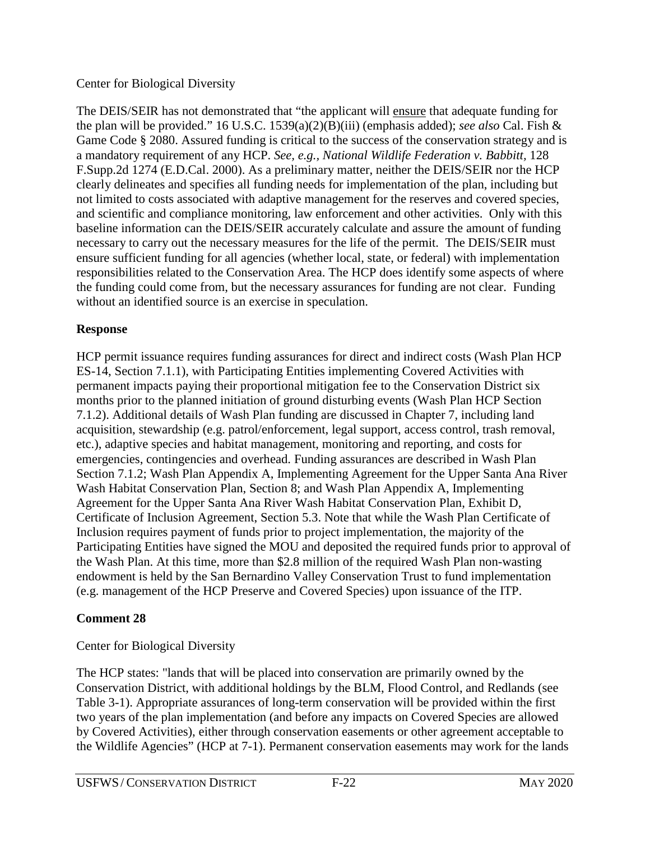#### Center for Biological Diversity

The DEIS/SEIR has not demonstrated that "the applicant will ensure that adequate funding for the plan will be provided." 16 U.S.C. 1539(a)(2)(B)(iii) (emphasis added); *see also* Cal. Fish & Game Code § 2080. Assured funding is critical to the success of the conservation strategy and is a mandatory requirement of any HCP. *See, e.g., National Wildlife Federation v. Babbitt,* 128 F.Supp.2d 1274 (E.D.Cal. 2000). As a preliminary matter, neither the DEIS/SEIR nor the HCP clearly delineates and specifies all funding needs for implementation of the plan, including but not limited to costs associated with adaptive management for the reserves and covered species, and scientific and compliance monitoring, law enforcement and other activities. Only with this baseline information can the DEIS/SEIR accurately calculate and assure the amount of funding necessary to carry out the necessary measures for the life of the permit. The DEIS/SEIR must ensure sufficient funding for all agencies (whether local, state, or federal) with implementation responsibilities related to the Conservation Area. The HCP does identify some aspects of where the funding could come from, but the necessary assurances for funding are not clear. Funding without an identified source is an exercise in speculation.

#### **Response**

HCP permit issuance requires funding assurances for direct and indirect costs (Wash Plan HCP ES-14, Section 7.1.1), with Participating Entities implementing Covered Activities with permanent impacts paying their proportional mitigation fee to the Conservation District six months prior to the planned initiation of ground disturbing events (Wash Plan HCP Section 7.1.2). Additional details of Wash Plan funding are discussed in Chapter 7, including land acquisition, stewardship (e.g. patrol/enforcement, legal support, access control, trash removal, etc.), adaptive species and habitat management, monitoring and reporting, and costs for emergencies, contingencies and overhead. Funding assurances are described in Wash Plan Section 7.1.2; Wash Plan Appendix A, Implementing Agreement for the Upper Santa Ana River Wash Habitat Conservation Plan, Section 8; and Wash Plan Appendix A, Implementing Agreement for the Upper Santa Ana River Wash Habitat Conservation Plan, Exhibit D, Certificate of Inclusion Agreement, Section 5.3. Note that while the Wash Plan Certificate of Inclusion requires payment of funds prior to project implementation, the majority of the Participating Entities have signed the MOU and deposited the required funds prior to approval of the Wash Plan. At this time, more than \$2.8 million of the required Wash Plan non-wasting endowment is held by the San Bernardino Valley Conservation Trust to fund implementation (e.g. management of the HCP Preserve and Covered Species) upon issuance of the ITP.

# **Comment 28**

# Center for Biological Diversity

The HCP states: "lands that will be placed into conservation are primarily owned by the Conservation District, with additional holdings by the BLM, Flood Control, and Redlands (see Table 3-1). Appropriate assurances of long-term conservation will be provided within the first two years of the plan implementation (and before any impacts on Covered Species are allowed by Covered Activities), either through conservation easements or other agreement acceptable to the Wildlife Agencies" (HCP at 7-1). Permanent conservation easements may work for the lands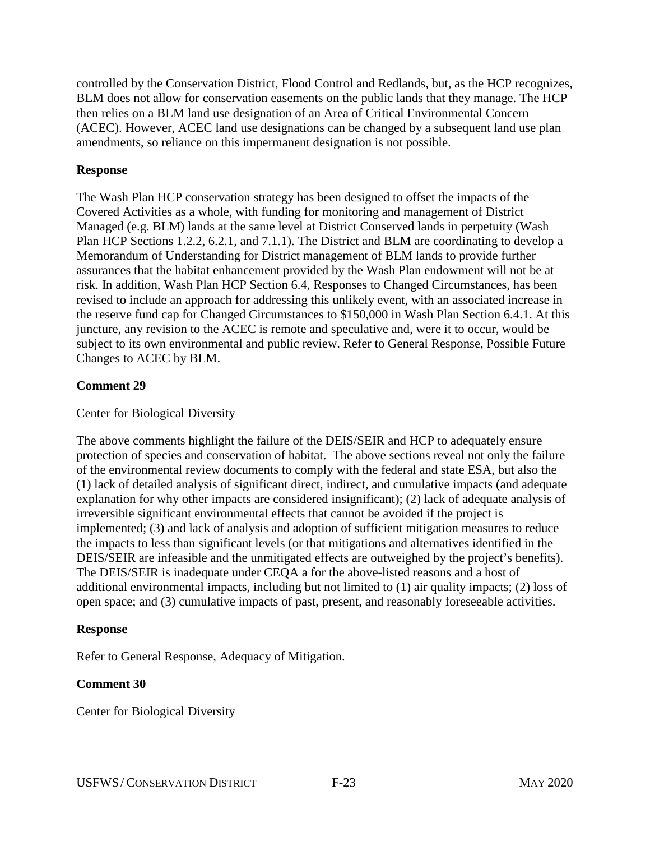controlled by the Conservation District, Flood Control and Redlands, but, as the HCP recognizes, BLM does not allow for conservation easements on the public lands that they manage. The HCP then relies on a BLM land use designation of an Area of Critical Environmental Concern (ACEC). However, ACEC land use designations can be changed by a subsequent land use plan amendments, so reliance on this impermanent designation is not possible.

#### **Response**

The Wash Plan HCP conservation strategy has been designed to offset the impacts of the Covered Activities as a whole, with funding for monitoring and management of District Managed (e.g. BLM) lands at the same level at District Conserved lands in perpetuity (Wash Plan HCP Sections 1.2.2, 6.2.1, and 7.1.1). The District and BLM are coordinating to develop a Memorandum of Understanding for District management of BLM lands to provide further assurances that the habitat enhancement provided by the Wash Plan endowment will not be at risk. In addition, Wash Plan HCP Section 6.4, Responses to Changed Circumstances, has been revised to include an approach for addressing this unlikely event, with an associated increase in the reserve fund cap for Changed Circumstances to \$150,000 in Wash Plan Section 6.4.1. At this juncture, any revision to the ACEC is remote and speculative and, were it to occur, would be subject to its own environmental and public review. Refer to General Response, Possible Future Changes to ACEC by BLM.

# **Comment 29**

# Center for Biological Diversity

The above comments highlight the failure of the DEIS/SEIR and HCP to adequately ensure protection of species and conservation of habitat. The above sections reveal not only the failure of the environmental review documents to comply with the federal and state ESA, but also the (1) lack of detailed analysis of significant direct, indirect, and cumulative impacts (and adequate explanation for why other impacts are considered insignificant); (2) lack of adequate analysis of irreversible significant environmental effects that cannot be avoided if the project is implemented; (3) and lack of analysis and adoption of sufficient mitigation measures to reduce the impacts to less than significant levels (or that mitigations and alternatives identified in the DEIS/SEIR are infeasible and the unmitigated effects are outweighed by the project's benefits). The DEIS/SEIR is inadequate under CEQA a for the above-listed reasons and a host of additional environmental impacts, including but not limited to (1) air quality impacts; (2) loss of open space; and (3) cumulative impacts of past, present, and reasonably foreseeable activities.

# **Response**

Refer to General Response, Adequacy of Mitigation.

# **Comment 30**

Center for Biological Diversity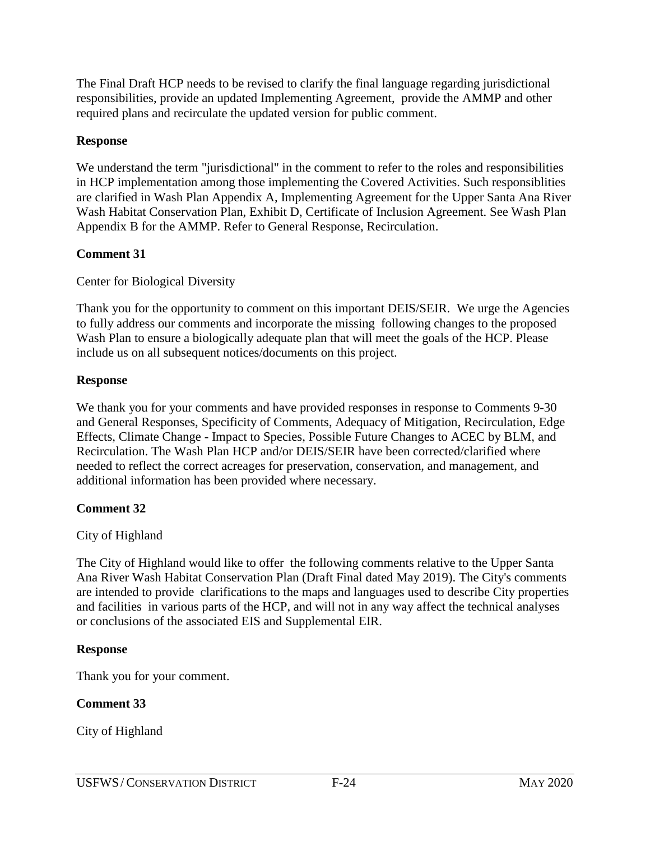The Final Draft HCP needs to be revised to clarify the final language regarding jurisdictional responsibilities, provide an updated Implementing Agreement, provide the AMMP and other required plans and recirculate the updated version for public comment.

#### **Response**

We understand the term "jurisdictional" in the comment to refer to the roles and responsibilities in HCP implementation among those implementing the Covered Activities. Such responsiblities are clarified in Wash Plan Appendix A, Implementing Agreement for the Upper Santa Ana River Wash Habitat Conservation Plan, Exhibit D, Certificate of Inclusion Agreement. See Wash Plan Appendix B for the AMMP. Refer to General Response, Recirculation.

# **Comment 31**

Center for Biological Diversity

Thank you for the opportunity to comment on this important DEIS/SEIR. We urge the Agencies to fully address our comments and incorporate the missing following changes to the proposed Wash Plan to ensure a biologically adequate plan that will meet the goals of the HCP. Please include us on all subsequent notices/documents on this project.

#### **Response**

We thank you for your comments and have provided responses in response to Comments 9-30 and General Responses, Specificity of Comments, Adequacy of Mitigation, Recirculation, Edge Effects, Climate Change - Impact to Species, Possible Future Changes to ACEC by BLM, and Recirculation. The Wash Plan HCP and/or DEIS/SEIR have been corrected/clarified where needed to reflect the correct acreages for preservation, conservation, and management, and additional information has been provided where necessary.

# **Comment 32**

#### City of Highland

The City of Highland would like to offer the following comments relative to the Upper Santa Ana River Wash Habitat Conservation Plan (Draft Final dated May 2019). The City's comments are intended to provide clarifications to the maps and languages used to describe City properties and facilities in various parts of the HCP, and will not in any way affect the technical analyses or conclusions of the associated EIS and Supplemental EIR.

# **Response**

Thank you for your comment.

# **Comment 33**

City of Highland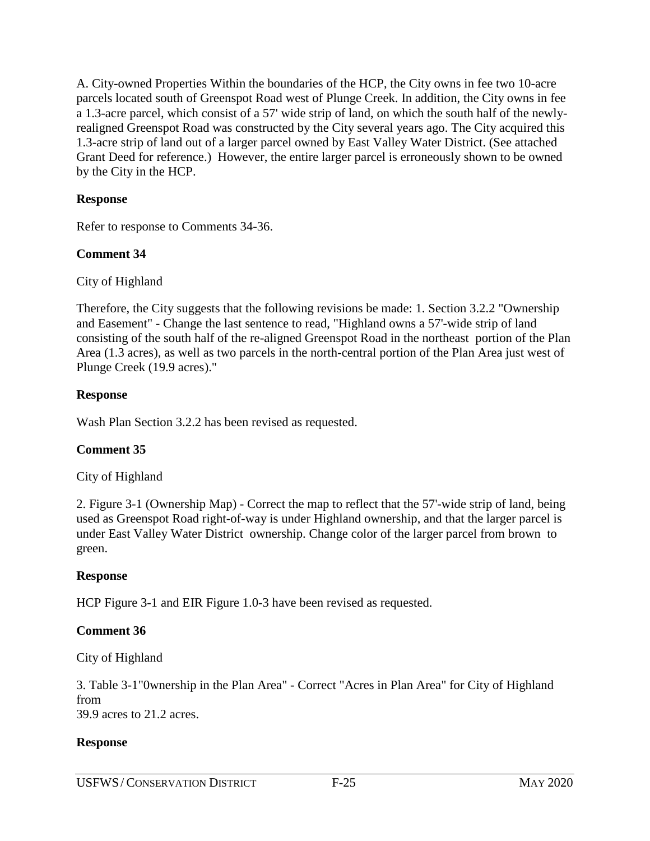A. City-owned Properties Within the boundaries of the HCP, the City owns in fee two 10-acre parcels located south of Greenspot Road west of Plunge Creek. In addition, the City owns in fee a 1.3-acre parcel, which consist of a 57' wide strip of land, on which the south half of the newlyrealigned Greenspot Road was constructed by the City several years ago. The City acquired this 1.3-acre strip of land out of a larger parcel owned by East Valley Water District. (See attached Grant Deed for reference.) However, the entire larger parcel is erroneously shown to be owned by the City in the HCP.

#### **Response**

Refer to response to Comments 34-36.

#### **Comment 34**

City of Highland

Therefore, the City suggests that the following revisions be made: 1. Section 3.2.2 "Ownership and Easement" - Change the last sentence to read, "Highland owns a 57'-wide strip of land consisting of the south half of the re-aligned Greenspot Road in the northeast portion of the Plan Area (1.3 acres), as well as two parcels in the north-central portion of the Plan Area just west of Plunge Creek (19.9 acres)."

#### **Response**

Wash Plan Section 3.2.2 has been revised as requested.

#### **Comment 35**

City of Highland

2. Figure 3-1 (Ownership Map) - Correct the map to reflect that the 57'-wide strip of land, being used as Greenspot Road right-of-way is under Highland ownership, and that the larger parcel is under East Valley Water District ownership. Change color of the larger parcel from brown to green.

#### **Response**

HCP Figure 3-1 and EIR Figure 1.0-3 have been revised as requested.

#### **Comment 36**

City of Highland

3. Table 3-1"0wnership in the Plan Area" - Correct "Acres in Plan Area" for City of Highland from 39.9 acres to 21.2 acres.

#### **Response**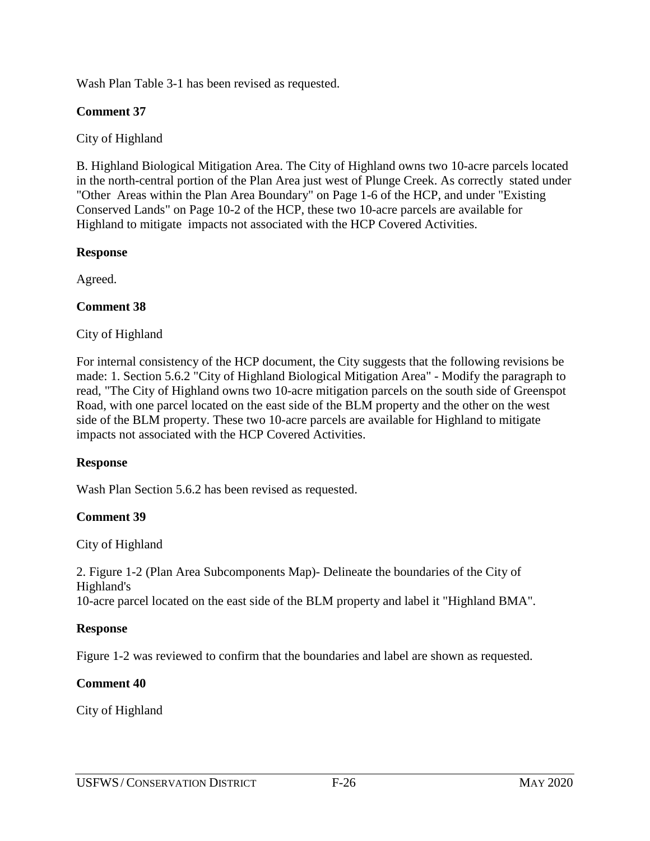Wash Plan Table 3-1 has been revised as requested.

#### **Comment 37**

City of Highland

B. Highland Biological Mitigation Area. The City of Highland owns two 10-acre parcels located in the north-central portion of the Plan Area just west of Plunge Creek. As correctly stated under "Other Areas within the Plan Area Boundary" on Page 1-6 of the HCP, and under "Existing Conserved Lands" on Page 10-2 of the HCP, these two 10-acre parcels are available for Highland to mitigate impacts not associated with the HCP Covered Activities.

#### **Response**

Agreed.

#### **Comment 38**

City of Highland

For internal consistency of the HCP document, the City suggests that the following revisions be made: 1. Section 5.6.2 "City of Highland Biological Mitigation Area" - Modify the paragraph to read, "The City of Highland owns two 10-acre mitigation parcels on the south side of Greenspot Road, with one parcel located on the east side of the BLM property and the other on the west side of the BLM property. These two 10-acre parcels are available for Highland to mitigate impacts not associated with the HCP Covered Activities.

#### **Response**

Wash Plan Section 5.6.2 has been revised as requested.

#### **Comment 39**

City of Highland

2. Figure 1-2 (Plan Area Subcomponents Map)- Delineate the boundaries of the City of Highland's 10-acre parcel located on the east side of the BLM property and label it "Highland BMA".

#### **Response**

Figure 1-2 was reviewed to confirm that the boundaries and label are shown as requested.

#### **Comment 40**

City of Highland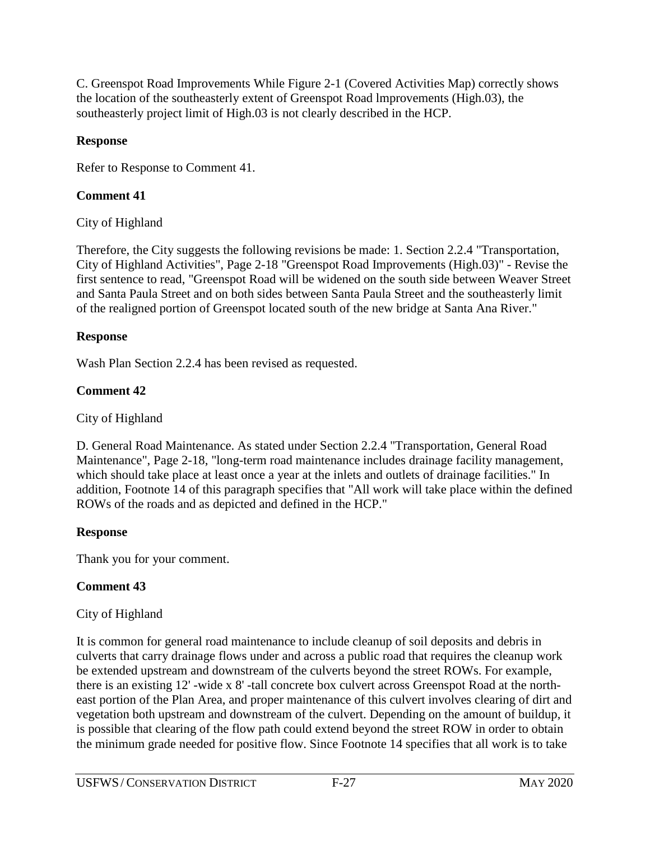C. Greenspot Road Improvements While Figure 2-1 (Covered Activities Map) correctly shows the location of the southeasterly extent of Greenspot Road lmprovements (High.03), the southeasterly project limit of High.03 is not clearly described in the HCP.

#### **Response**

Refer to Response to Comment 41.

# **Comment 41**

City of Highland

Therefore, the City suggests the following revisions be made: 1. Section 2.2.4 "Transportation, City of Highland Activities", Page 2-18 "Greenspot Road Improvements (High.03)" - Revise the first sentence to read, "Greenspot Road will be widened on the south side between Weaver Street and Santa Paula Street and on both sides between Santa Paula Street and the southeasterly limit of the realigned portion of Greenspot located south of the new bridge at Santa Ana River."

# **Response**

Wash Plan Section 2.2.4 has been revised as requested.

# **Comment 42**

City of Highland

D. General Road Maintenance. As stated under Section 2.2.4 "Transportation, General Road Maintenance", Page 2-18, "long-term road maintenance includes drainage facility management, which should take place at least once a year at the inlets and outlets of drainage facilities." In addition, Footnote 14 of this paragraph specifies that "All work will take place within the defined ROWs of the roads and as depicted and defined in the HCP."

# **Response**

Thank you for your comment.

# **Comment 43**

# City of Highland

It is common for general road maintenance to include cleanup of soil deposits and debris in culverts that carry drainage flows under and across a public road that requires the cleanup work be extended upstream and downstream of the culverts beyond the street ROWs. For example, there is an existing 12' -wide x 8' -tall concrete box culvert across Greenspot Road at the northeast portion of the Plan Area, and proper maintenance of this culvert involves clearing of dirt and vegetation both upstream and downstream of the culvert. Depending on the amount of buildup, it is possible that clearing of the flow path could extend beyond the street ROW in order to obtain the minimum grade needed for positive flow. Since Footnote 14 specifies that all work is to take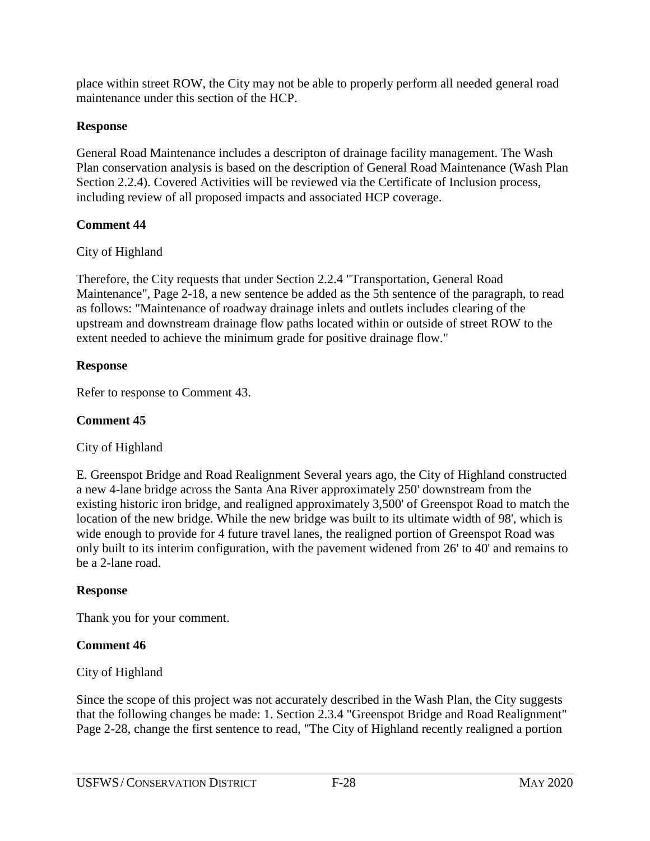place within street ROW, the City may not be able to properly perform all needed general road maintenance under this section of the HCP.

# **Response**

General Road Maintenance includes a descripton of drainage facility management. The Wash Plan conservation analysis is based on the description of General Road Maintenance (Wash Plan Section 2.2.4). Covered Activities will be reviewed via the Certificate of Inclusion process, including review of all proposed impacts and associated HCP coverage.

#### **Comment 44**

#### City of Highland

Therefore, the City requests that under Section 2.2.4 "Transportation, General Road Maintenance", Page 2-18, a new sentence be added as the 5th sentence of the paragraph, to read as follows: "Maintenance of roadway drainage inlets and outlets includes clearing of the upstream and downstream drainage flow paths located within or outside of street ROW to the extent needed to achieve the minimum grade for positive drainage flow."

#### **Response**

Refer to response to Comment 43.

# **Comment 45**

# City of Highland

E. Greenspot Bridge and Road Realignment Several years ago, the City of Highland constructed a new 4-lane bridge across the Santa Ana River approximately 250' downstream from the existing historic iron bridge, and realigned approximately 3,500' of Greenspot Road to match the location of the new bridge. While the new bridge was built to its ultimate width of 98', which is wide enough to provide for 4 future travel lanes, the realigned portion of Greenspot Road was only built to its interim configuration, with the pavement widened from 26' to 40' and remains to be a 2-lane road.

# **Response**

Thank you for your comment.

# **Comment 46**

# City of Highland

Since the scope of this project was not accurately described in the Wash Plan, the City suggests that the following changes be made: 1. Section 2.3.4 "Greenspot Bridge and Road Realignment" Page 2-28, change the first sentence to read, "The City of Highland recently realigned a portion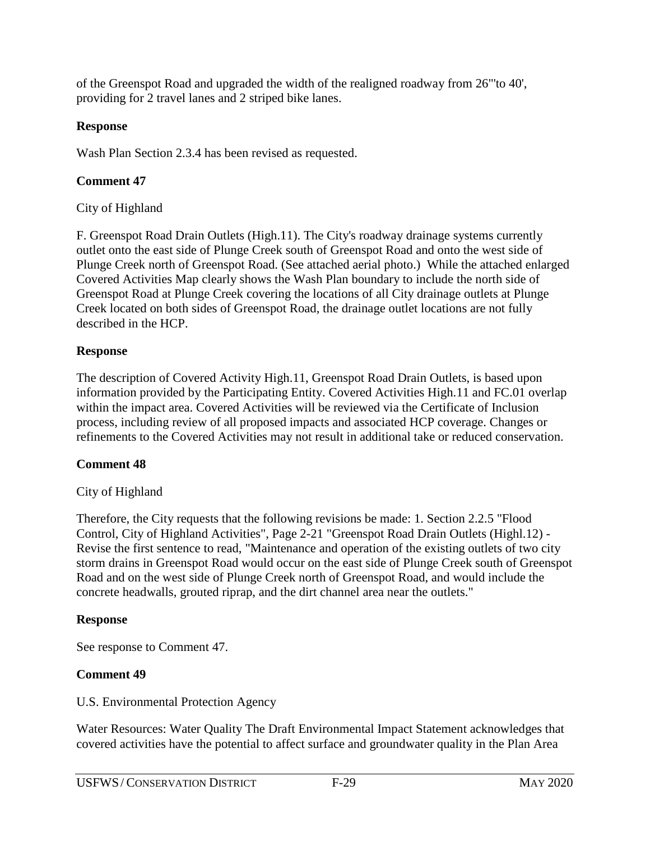of the Greenspot Road and upgraded the width of the realigned roadway from 26"'to 40', providing for 2 travel lanes and 2 striped bike lanes.

#### **Response**

Wash Plan Section 2.3.4 has been revised as requested.

# **Comment 47**

# City of Highland

F. Greenspot Road Drain Outlets (High.11). The City's roadway drainage systems currently outlet onto the east side of Plunge Creek south of Greenspot Road and onto the west side of Plunge Creek north of Greenspot Road. (See attached aerial photo.) While the attached enlarged Covered Activities Map clearly shows the Wash Plan boundary to include the north side of Greenspot Road at Plunge Creek covering the locations of all City drainage outlets at Plunge Creek located on both sides of Greenspot Road, the drainage outlet locations are not fully described in the HCP.

#### **Response**

The description of Covered Activity High.11, Greenspot Road Drain Outlets, is based upon information provided by the Participating Entity. Covered Activities High.11 and FC.01 overlap within the impact area. Covered Activities will be reviewed via the Certificate of Inclusion process, including review of all proposed impacts and associated HCP coverage. Changes or refinements to the Covered Activities may not result in additional take or reduced conservation.

# **Comment 48**

# City of Highland

Therefore, the City requests that the following revisions be made: 1. Section 2.2.5 "Flood Control, City of Highland Activities", Page 2-21 "Greenspot Road Drain Outlets (Highl.12) - Revise the first sentence to read, "Maintenance and operation of the existing outlets of two city storm drains in Greenspot Road would occur on the east side of Plunge Creek south of Greenspot Road and on the west side of Plunge Creek north of Greenspot Road, and would include the concrete headwalls, grouted riprap, and the dirt channel area near the outlets."

# **Response**

See response to Comment 47.

# **Comment 49**

U.S. Environmental Protection Agency

Water Resources: Water Quality The Draft Environmental Impact Statement acknowledges that covered activities have the potential to affect surface and groundwater quality in the Plan Area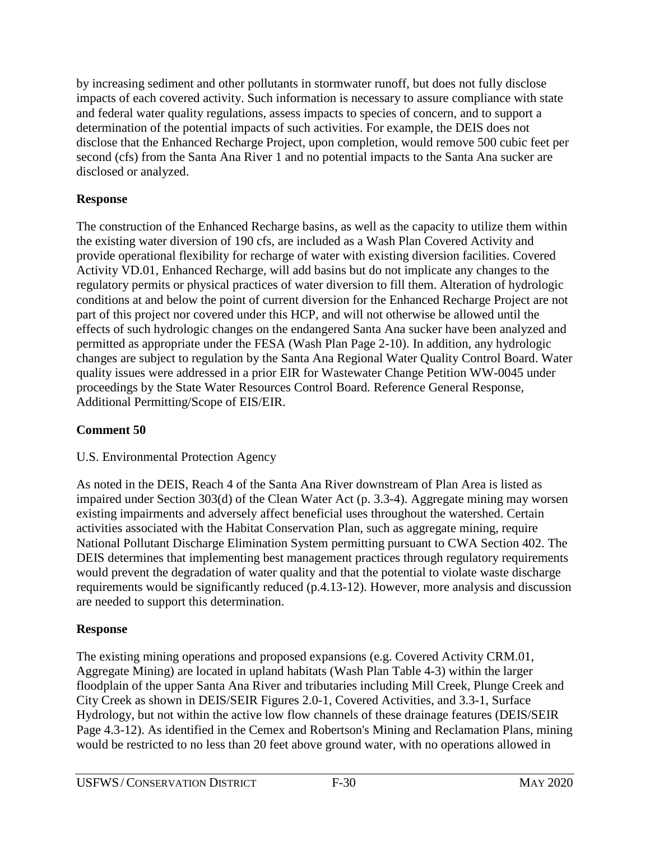by increasing sediment and other pollutants in stormwater runoff, but does not fully disclose impacts of each covered activity. Such information is necessary to assure compliance with state and federal water quality regulations, assess impacts to species of concern, and to support a determination of the potential impacts of such activities. For example, the DEIS does not disclose that the Enhanced Recharge Project, upon completion, would remove 500 cubic feet per second (cfs) from the Santa Ana River 1 and no potential impacts to the Santa Ana sucker are disclosed or analyzed.

#### **Response**

The construction of the Enhanced Recharge basins, as well as the capacity to utilize them within the existing water diversion of 190 cfs, are included as a Wash Plan Covered Activity and provide operational flexibility for recharge of water with existing diversion facilities. Covered Activity VD.01, Enhanced Recharge, will add basins but do not implicate any changes to the regulatory permits or physical practices of water diversion to fill them. Alteration of hydrologic conditions at and below the point of current diversion for the Enhanced Recharge Project are not part of this project nor covered under this HCP, and will not otherwise be allowed until the effects of such hydrologic changes on the endangered Santa Ana sucker have been analyzed and permitted as appropriate under the FESA (Wash Plan Page 2-10). In addition, any hydrologic changes are subject to regulation by the Santa Ana Regional Water Quality Control Board. Water quality issues were addressed in a prior EIR for Wastewater Change Petition WW-0045 under proceedings by the State Water Resources Control Board. Reference General Response, Additional Permitting/Scope of EIS/EIR.

# **Comment 50**

# U.S. Environmental Protection Agency

As noted in the DEIS, Reach 4 of the Santa Ana River downstream of Plan Area is listed as impaired under Section 303(d) of the Clean Water Act (p. 3.3-4). Aggregate mining may worsen existing impairments and adversely affect beneficial uses throughout the watershed. Certain activities associated with the Habitat Conservation Plan, such as aggregate mining, require National Pollutant Discharge Elimination System permitting pursuant to CWA Section 402. The DEIS determines that implementing best management practices through regulatory requirements would prevent the degradation of water quality and that the potential to violate waste discharge requirements would be significantly reduced (p.4.13-12). However, more analysis and discussion are needed to support this determination.

# **Response**

The existing mining operations and proposed expansions (e.g. Covered Activity CRM.01, Aggregate Mining) are located in upland habitats (Wash Plan Table 4-3) within the larger floodplain of the upper Santa Ana River and tributaries including Mill Creek, Plunge Creek and City Creek as shown in DEIS/SEIR Figures 2.0-1, Covered Activities, and 3.3-1, Surface Hydrology, but not within the active low flow channels of these drainage features (DEIS/SEIR Page 4.3-12). As identified in the Cemex and Robertson's Mining and Reclamation Plans, mining would be restricted to no less than 20 feet above ground water, with no operations allowed in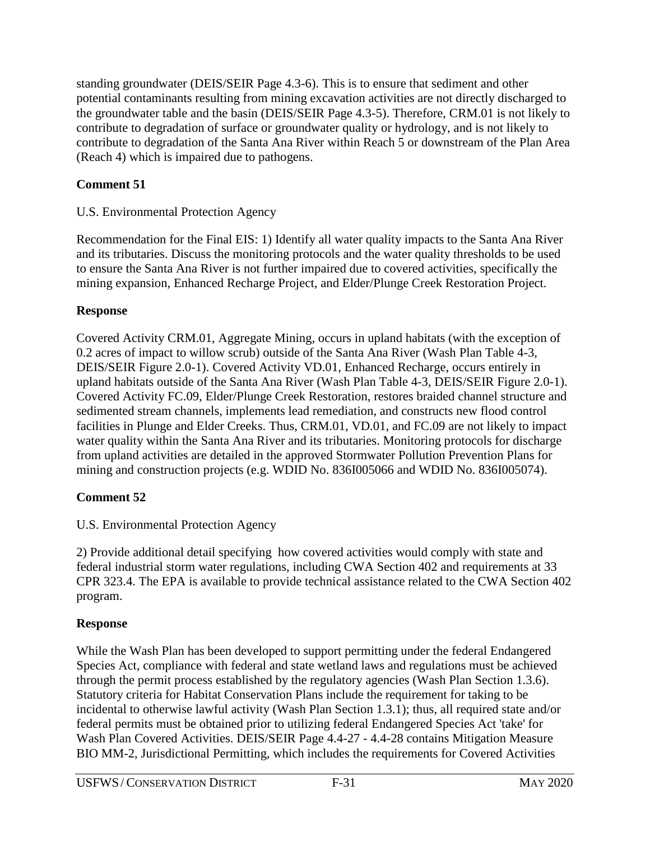standing groundwater (DEIS/SEIR Page 4.3-6). This is to ensure that sediment and other potential contaminants resulting from mining excavation activities are not directly discharged to the groundwater table and the basin (DEIS/SEIR Page 4.3-5). Therefore, CRM.01 is not likely to contribute to degradation of surface or groundwater quality or hydrology, and is not likely to contribute to degradation of the Santa Ana River within Reach 5 or downstream of the Plan Area (Reach 4) which is impaired due to pathogens.

# **Comment 51**

# U.S. Environmental Protection Agency

Recommendation for the Final EIS: 1) Identify all water quality impacts to the Santa Ana River and its tributaries. Discuss the monitoring protocols and the water quality thresholds to be used to ensure the Santa Ana River is not further impaired due to covered activities, specifically the mining expansion, Enhanced Recharge Project, and Elder/Plunge Creek Restoration Project.

# **Response**

Covered Activity CRM.01, Aggregate Mining, occurs in upland habitats (with the exception of 0.2 acres of impact to willow scrub) outside of the Santa Ana River (Wash Plan Table 4-3, DEIS/SEIR Figure 2.0-1). Covered Activity VD.01, Enhanced Recharge, occurs entirely in upland habitats outside of the Santa Ana River (Wash Plan Table 4-3, DEIS/SEIR Figure 2.0-1). Covered Activity FC.09, Elder/Plunge Creek Restoration, restores braided channel structure and sedimented stream channels, implements lead remediation, and constructs new flood control facilities in Plunge and Elder Creeks. Thus, CRM.01, VD.01, and FC.09 are not likely to impact water quality within the Santa Ana River and its tributaries. Monitoring protocols for discharge from upland activities are detailed in the approved Stormwater Pollution Prevention Plans for mining and construction projects (e.g. WDID No. 836I005066 and WDID No. 836I005074).

# **Comment 52**

# U.S. Environmental Protection Agency

2) Provide additional detail specifying how covered activities would comply with state and federal industrial storm water regulations, including CWA Section 402 and requirements at 33 CPR 323.4. The EPA is available to provide technical assistance related to the CWA Section 402 program.

# **Response**

While the Wash Plan has been developed to support permitting under the federal Endangered Species Act, compliance with federal and state wetland laws and regulations must be achieved through the permit process established by the regulatory agencies (Wash Plan Section 1.3.6). Statutory criteria for Habitat Conservation Plans include the requirement for taking to be incidental to otherwise lawful activity (Wash Plan Section 1.3.1); thus, all required state and/or federal permits must be obtained prior to utilizing federal Endangered Species Act 'take' for Wash Plan Covered Activities. DEIS/SEIR Page 4.4-27 - 4.4-28 contains Mitigation Measure BIO MM-2, Jurisdictional Permitting, which includes the requirements for Covered Activities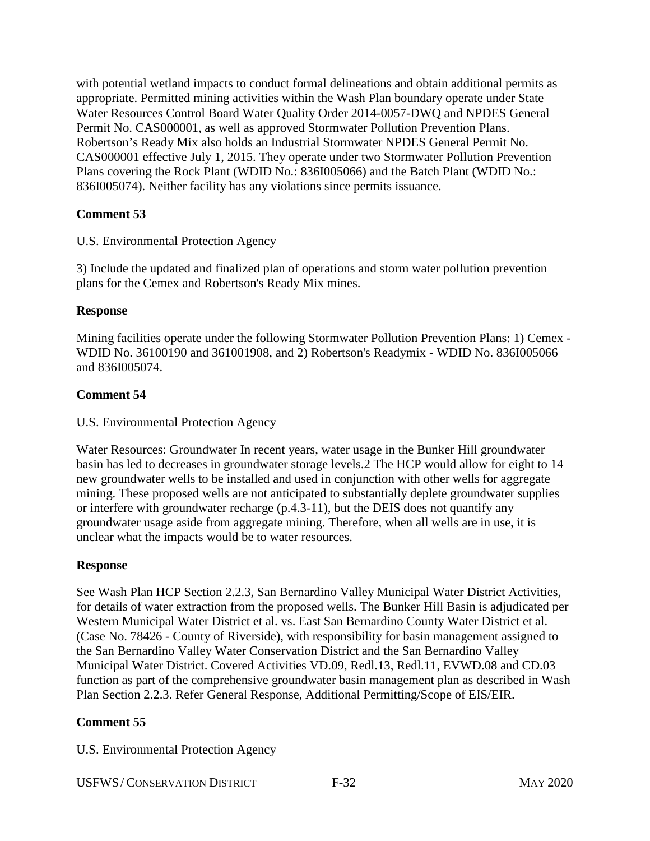with potential wetland impacts to conduct formal delineations and obtain additional permits as appropriate. Permitted mining activities within the Wash Plan boundary operate under State Water Resources Control Board Water Quality Order 2014-0057-DWQ and NPDES General Permit No. CAS000001, as well as approved Stormwater Pollution Prevention Plans. Robertson's Ready Mix also holds an Industrial Stormwater NPDES General Permit No. CAS000001 effective July 1, 2015. They operate under two Stormwater Pollution Prevention Plans covering the Rock Plant (WDID No.: 836I005066) and the Batch Plant (WDID No.: 836I005074). Neither facility has any violations since permits issuance.

#### **Comment 53**

#### U.S. Environmental Protection Agency

3) Include the updated and finalized plan of operations and storm water pollution prevention plans for the Cemex and Robertson's Ready Mix mines.

#### **Response**

Mining facilities operate under the following Stormwater Pollution Prevention Plans: 1) Cemex - WDID No. 36100190 and 361001908, and 2) Robertson's Readymix - WDID No. 836I005066 and 836I005074.

# **Comment 54**

#### U.S. Environmental Protection Agency

Water Resources: Groundwater In recent years, water usage in the Bunker Hill groundwater basin has led to decreases in groundwater storage levels.2 The HCP would allow for eight to 14 new groundwater wells to be installed and used in conjunction with other wells for aggregate mining. These proposed wells are not anticipated to substantially deplete groundwater supplies or interfere with groundwater recharge (p.4.3-11), but the DEIS does not quantify any groundwater usage aside from aggregate mining. Therefore, when all wells are in use, it is unclear what the impacts would be to water resources.

# **Response**

See Wash Plan HCP Section 2.2.3, San Bernardino Valley Municipal Water District Activities, for details of water extraction from the proposed wells. The Bunker Hill Basin is adjudicated per Western Municipal Water District et al. vs. East San Bernardino County Water District et al. (Case No. 78426 - County of Riverside), with responsibility for basin management assigned to the San Bernardino Valley Water Conservation District and the San Bernardino Valley Municipal Water District. Covered Activities VD.09, Redl.13, Redl.11, EVWD.08 and CD.03 function as part of the comprehensive groundwater basin management plan as described in Wash Plan Section 2.2.3. Refer General Response, Additional Permitting/Scope of EIS/EIR.

# **Comment 55**

#### U.S. Environmental Protection Agency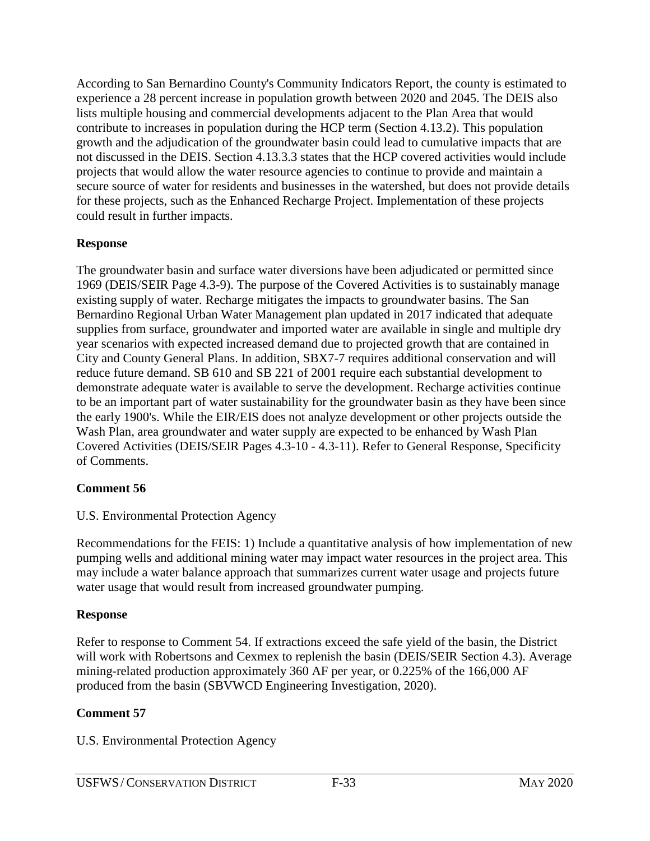According to San Bernardino County's Community Indicators Report, the county is estimated to experience a 28 percent increase in population growth between 2020 and 2045. The DEIS also lists multiple housing and commercial developments adjacent to the Plan Area that would contribute to increases in population during the HCP term (Section 4.13.2). This population growth and the adjudication of the groundwater basin could lead to cumulative impacts that are not discussed in the DEIS. Section 4.13.3.3 states that the HCP covered activities would include projects that would allow the water resource agencies to continue to provide and maintain a secure source of water for residents and businesses in the watershed, but does not provide details for these projects, such as the Enhanced Recharge Project. Implementation of these projects could result in further impacts.

#### **Response**

The groundwater basin and surface water diversions have been adjudicated or permitted since 1969 (DEIS/SEIR Page 4.3-9). The purpose of the Covered Activities is to sustainably manage existing supply of water. Recharge mitigates the impacts to groundwater basins. The San Bernardino Regional Urban Water Management plan updated in 2017 indicated that adequate supplies from surface, groundwater and imported water are available in single and multiple dry year scenarios with expected increased demand due to projected growth that are contained in City and County General Plans. In addition, SBX7-7 requires additional conservation and will reduce future demand. SB 610 and SB 221 of 2001 require each substantial development to demonstrate adequate water is available to serve the development. Recharge activities continue to be an important part of water sustainability for the groundwater basin as they have been since the early 1900's. While the EIR/EIS does not analyze development or other projects outside the Wash Plan, area groundwater and water supply are expected to be enhanced by Wash Plan Covered Activities (DEIS/SEIR Pages 4.3-10 - 4.3-11). Refer to General Response, Specificity of Comments.

#### **Comment 56**

#### U.S. Environmental Protection Agency

Recommendations for the FEIS: 1) Include a quantitative analysis of how implementation of new pumping wells and additional mining water may impact water resources in the project area. This may include a water balance approach that summarizes current water usage and projects future water usage that would result from increased groundwater pumping.

#### **Response**

Refer to response to Comment 54. If extractions exceed the safe yield of the basin, the District will work with Robertsons and Cexmex to replenish the basin (DEIS/SEIR Section 4.3). Average mining-related production approximately 360 AF per year, or 0.225% of the 166,000 AF produced from the basin (SBVWCD Engineering Investigation, 2020).

#### **Comment 57**

U.S. Environmental Protection Agency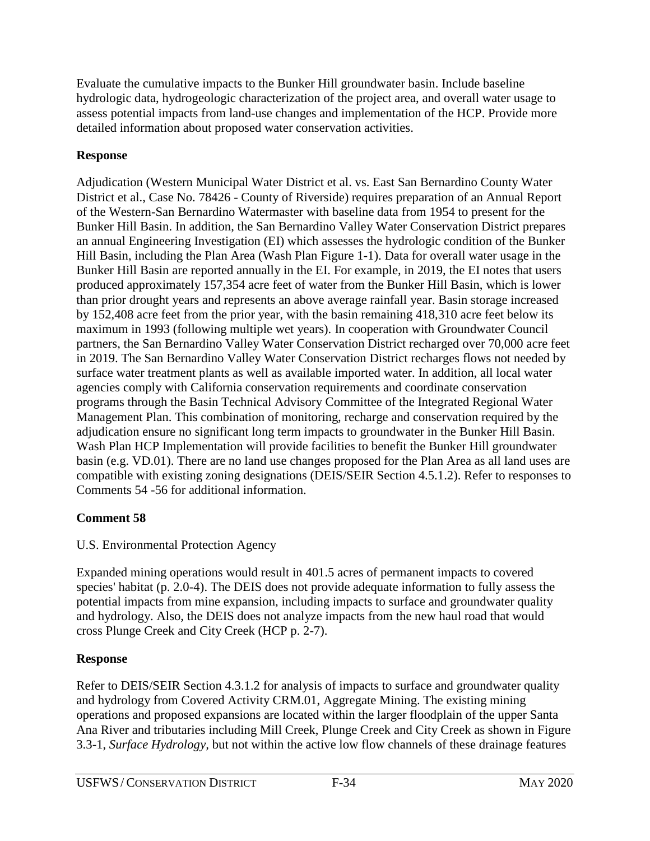Evaluate the cumulative impacts to the Bunker Hill groundwater basin. Include baseline hydrologic data, hydrogeologic characterization of the project area, and overall water usage to assess potential impacts from land-use changes and implementation of the HCP. Provide more detailed information about proposed water conservation activities.

# **Response**

Adjudication (Western Municipal Water District et al. vs. East San Bernardino County Water District et al., Case No. 78426 - County of Riverside) requires preparation of an Annual Report of the Western-San Bernardino Watermaster with baseline data from 1954 to present for the Bunker Hill Basin. In addition, the San Bernardino Valley Water Conservation District prepares an annual Engineering Investigation (EI) which assesses the hydrologic condition of the Bunker Hill Basin, including the Plan Area (Wash Plan Figure 1-1). Data for overall water usage in the Bunker Hill Basin are reported annually in the EI. For example, in 2019, the EI notes that users produced approximately 157,354 acre feet of water from the Bunker Hill Basin, which is lower than prior drought years and represents an above average rainfall year. Basin storage increased by 152,408 acre feet from the prior year, with the basin remaining 418,310 acre feet below its maximum in 1993 (following multiple wet years). In cooperation with Groundwater Council partners, the San Bernardino Valley Water Conservation District recharged over 70,000 acre feet in 2019. The San Bernardino Valley Water Conservation District recharges flows not needed by surface water treatment plants as well as available imported water. In addition, all local water agencies comply with California conservation requirements and coordinate conservation programs through the Basin Technical Advisory Committee of the Integrated Regional Water Management Plan. This combination of monitoring, recharge and conservation required by the adjudication ensure no significant long term impacts to groundwater in the Bunker Hill Basin. Wash Plan HCP Implementation will provide facilities to benefit the Bunker Hill groundwater basin (e.g. VD.01). There are no land use changes proposed for the Plan Area as all land uses are compatible with existing zoning designations (DEIS/SEIR Section 4.5.1.2). Refer to responses to Comments 54 -56 for additional information.

# **Comment 58**

# U.S. Environmental Protection Agency

Expanded mining operations would result in 401.5 acres of permanent impacts to covered species' habitat (p. 2.0-4). The DEIS does not provide adequate information to fully assess the potential impacts from mine expansion, including impacts to surface and groundwater quality and hydrology. Also, the DEIS does not analyze impacts from the new haul road that would cross Plunge Creek and City Creek (HCP p. 2-7).

# **Response**

Refer to DEIS/SEIR Section 4.3.1.2 for analysis of impacts to surface and groundwater quality and hydrology from Covered Activity CRM.01, Aggregate Mining. The existing mining operations and proposed expansions are located within the larger floodplain of the upper Santa Ana River and tributaries including Mill Creek, Plunge Creek and City Creek as shown in Figure 3.3-1, *Surface Hydrology,* but not within the active low flow channels of these drainage features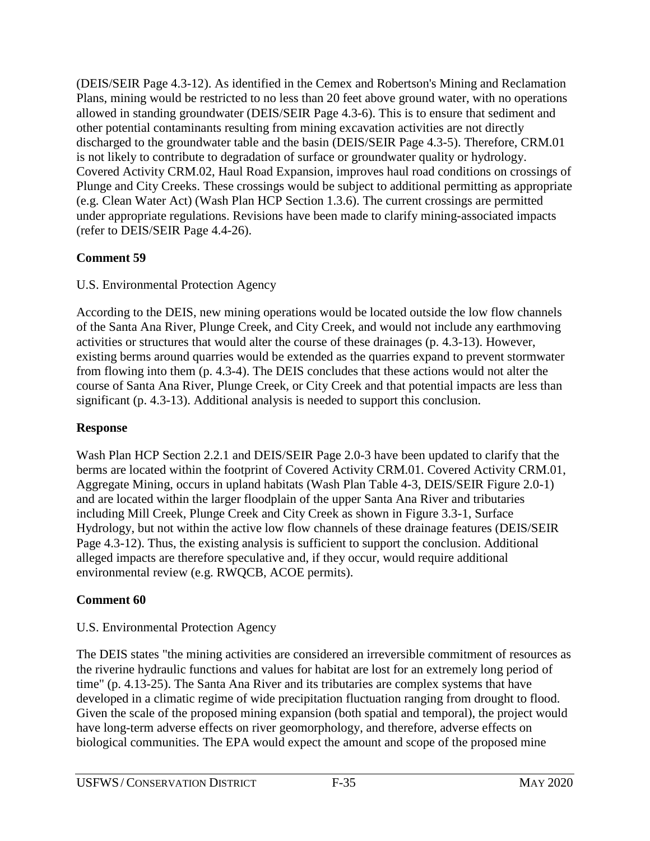(DEIS/SEIR Page 4.3-12). As identified in the Cemex and Robertson's Mining and Reclamation Plans, mining would be restricted to no less than 20 feet above ground water, with no operations allowed in standing groundwater (DEIS/SEIR Page 4.3-6). This is to ensure that sediment and other potential contaminants resulting from mining excavation activities are not directly discharged to the groundwater table and the basin (DEIS/SEIR Page 4.3-5). Therefore, CRM.01 is not likely to contribute to degradation of surface or groundwater quality or hydrology. Covered Activity CRM.02, Haul Road Expansion, improves haul road conditions on crossings of Plunge and City Creeks. These crossings would be subject to additional permitting as appropriate (e.g. Clean Water Act) (Wash Plan HCP Section 1.3.6). The current crossings are permitted under appropriate regulations. Revisions have been made to clarify mining-associated impacts (refer to DEIS/SEIR Page 4.4-26).

# **Comment 59**

# U.S. Environmental Protection Agency

According to the DEIS, new mining operations would be located outside the low flow channels of the Santa Ana River, Plunge Creek, and City Creek, and would not include any earthmoving activities or structures that would alter the course of these drainages (p. 4.3-13). However, existing berms around quarries would be extended as the quarries expand to prevent stormwater from flowing into them (p. 4.3-4). The DEIS concludes that these actions would not alter the course of Santa Ana River, Plunge Creek, or City Creek and that potential impacts are less than significant (p. 4.3-13). Additional analysis is needed to support this conclusion.

# **Response**

Wash Plan HCP Section 2.2.1 and DEIS/SEIR Page 2.0-3 have been updated to clarify that the berms are located within the footprint of Covered Activity CRM.01. Covered Activity CRM.01, Aggregate Mining, occurs in upland habitats (Wash Plan Table 4-3, DEIS/SEIR Figure 2.0-1) and are located within the larger floodplain of the upper Santa Ana River and tributaries including Mill Creek, Plunge Creek and City Creek as shown in Figure 3.3-1, Surface Hydrology, but not within the active low flow channels of these drainage features (DEIS/SEIR Page 4.3-12). Thus, the existing analysis is sufficient to support the conclusion. Additional alleged impacts are therefore speculative and, if they occur, would require additional environmental review (e.g. RWQCB, ACOE permits).

# **Comment 60**

# U.S. Environmental Protection Agency

The DEIS states "the mining activities are considered an irreversible commitment of resources as the riverine hydraulic functions and values for habitat are lost for an extremely long period of time" (p. 4.13-25). The Santa Ana River and its tributaries are complex systems that have developed in a climatic regime of wide precipitation fluctuation ranging from drought to flood. Given the scale of the proposed mining expansion (both spatial and temporal), the project would have long-term adverse effects on river geomorphology, and therefore, adverse effects on biological communities. The EPA would expect the amount and scope of the proposed mine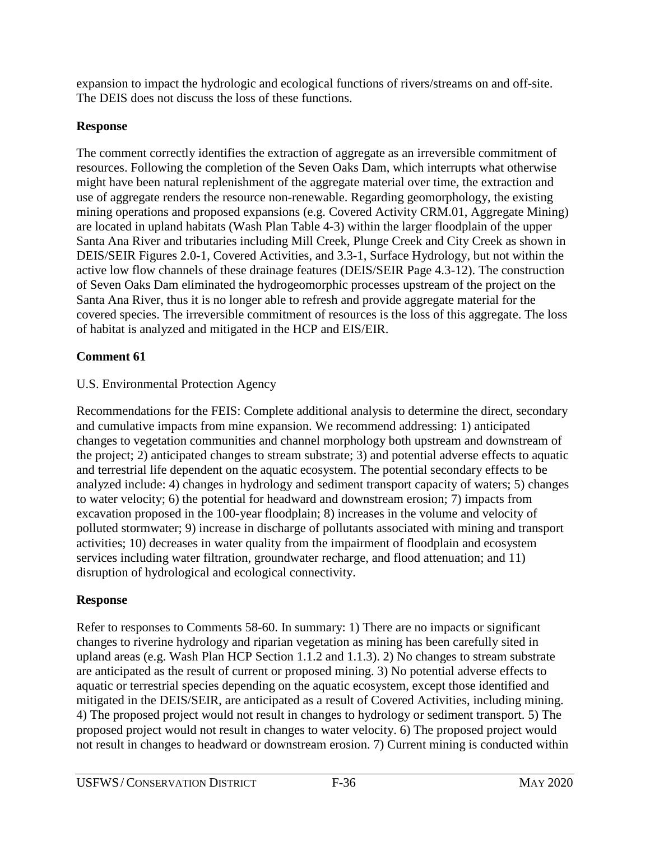expansion to impact the hydrologic and ecological functions of rivers/streams on and off-site. The DEIS does not discuss the loss of these functions.

# **Response**

The comment correctly identifies the extraction of aggregate as an irreversible commitment of resources. Following the completion of the Seven Oaks Dam, which interrupts what otherwise might have been natural replenishment of the aggregate material over time, the extraction and use of aggregate renders the resource non-renewable. Regarding geomorphology, the existing mining operations and proposed expansions (e.g. Covered Activity CRM.01, Aggregate Mining) are located in upland habitats (Wash Plan Table 4-3) within the larger floodplain of the upper Santa Ana River and tributaries including Mill Creek, Plunge Creek and City Creek as shown in DEIS/SEIR Figures 2.0-1, Covered Activities, and 3.3-1, Surface Hydrology, but not within the active low flow channels of these drainage features (DEIS/SEIR Page 4.3-12). The construction of Seven Oaks Dam eliminated the hydrogeomorphic processes upstream of the project on the Santa Ana River, thus it is no longer able to refresh and provide aggregate material for the covered species. The irreversible commitment of resources is the loss of this aggregate. The loss of habitat is analyzed and mitigated in the HCP and EIS/EIR.

# **Comment 61**

# U.S. Environmental Protection Agency

Recommendations for the FEIS: Complete additional analysis to determine the direct, secondary and cumulative impacts from mine expansion. We recommend addressing: 1) anticipated changes to vegetation communities and channel morphology both upstream and downstream of the project; 2) anticipated changes to stream substrate; 3) and potential adverse effects to aquatic and terrestrial life dependent on the aquatic ecosystem. The potential secondary effects to be analyzed include: 4) changes in hydrology and sediment transport capacity of waters; 5) changes to water velocity; 6) the potential for headward and downstream erosion; 7) impacts from excavation proposed in the 100-year floodplain; 8) increases in the volume and velocity of polluted stormwater; 9) increase in discharge of pollutants associated with mining and transport activities; 10) decreases in water quality from the impairment of floodplain and ecosystem services including water filtration, groundwater recharge, and flood attenuation; and 11) disruption of hydrological and ecological connectivity.

# **Response**

Refer to responses to Comments 58-60. In summary: 1) There are no impacts or significant changes to riverine hydrology and riparian vegetation as mining has been carefully sited in upland areas (e.g. Wash Plan HCP Section 1.1.2 and 1.1.3). 2) No changes to stream substrate are anticipated as the result of current or proposed mining. 3) No potential adverse effects to aquatic or terrestrial species depending on the aquatic ecosystem, except those identified and mitigated in the DEIS/SEIR, are anticipated as a result of Covered Activities, including mining. 4) The proposed project would not result in changes to hydrology or sediment transport. 5) The proposed project would not result in changes to water velocity. 6) The proposed project would not result in changes to headward or downstream erosion. 7) Current mining is conducted within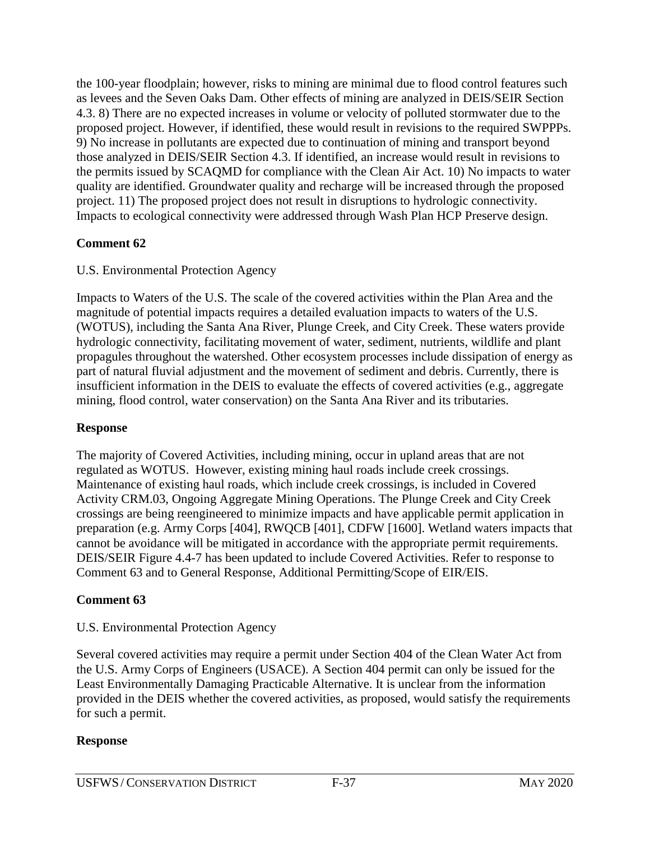the 100-year floodplain; however, risks to mining are minimal due to flood control features such as levees and the Seven Oaks Dam. Other effects of mining are analyzed in DEIS/SEIR Section 4.3. 8) There are no expected increases in volume or velocity of polluted stormwater due to the proposed project. However, if identified, these would result in revisions to the required SWPPPs. 9) No increase in pollutants are expected due to continuation of mining and transport beyond those analyzed in DEIS/SEIR Section 4.3. If identified, an increase would result in revisions to the permits issued by SCAQMD for compliance with the Clean Air Act. 10) No impacts to water quality are identified. Groundwater quality and recharge will be increased through the proposed project. 11) The proposed project does not result in disruptions to hydrologic connectivity. Impacts to ecological connectivity were addressed through Wash Plan HCP Preserve design.

## **Comment 62**

### U.S. Environmental Protection Agency

Impacts to Waters of the U.S. The scale of the covered activities within the Plan Area and the magnitude of potential impacts requires a detailed evaluation impacts to waters of the U.S. (WOTUS), including the Santa Ana River, Plunge Creek, and City Creek. These waters provide hydrologic connectivity, facilitating movement of water, sediment, nutrients, wildlife and plant propagules throughout the watershed. Other ecosystem processes include dissipation of energy as part of natural fluvial adjustment and the movement of sediment and debris. Currently, there is insufficient information in the DEIS to evaluate the effects of covered activities (e.g., aggregate mining, flood control, water conservation) on the Santa Ana River and its tributaries.

### **Response**

The majority of Covered Activities, including mining, occur in upland areas that are not regulated as WOTUS. However, existing mining haul roads include creek crossings. Maintenance of existing haul roads, which include creek crossings, is included in Covered Activity CRM.03, Ongoing Aggregate Mining Operations. The Plunge Creek and City Creek crossings are being reengineered to minimize impacts and have applicable permit application in preparation (e.g. Army Corps [404], RWQCB [401], CDFW [1600]. Wetland waters impacts that cannot be avoidance will be mitigated in accordance with the appropriate permit requirements. DEIS/SEIR Figure 4.4-7 has been updated to include Covered Activities. Refer to response to Comment 63 and to General Response, Additional Permitting/Scope of EIR/EIS.

### **Comment 63**

### U.S. Environmental Protection Agency

Several covered activities may require a permit under Section 404 of the Clean Water Act from the U.S. Army Corps of Engineers (USACE). A Section 404 permit can only be issued for the Least Environmentally Damaging Practicable Alternative. It is unclear from the information provided in the DEIS whether the covered activities, as proposed, would satisfy the requirements for such a permit.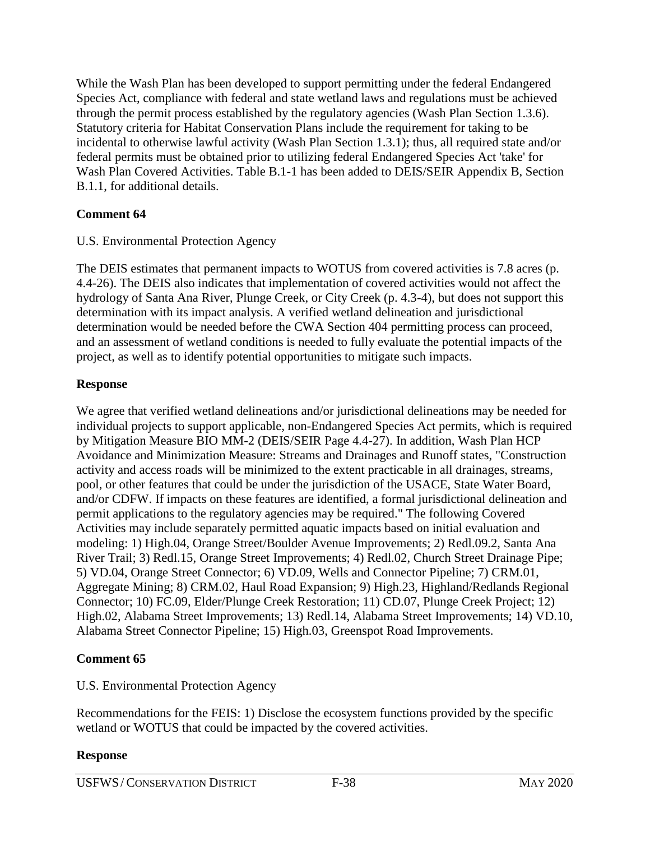While the Wash Plan has been developed to support permitting under the federal Endangered Species Act, compliance with federal and state wetland laws and regulations must be achieved through the permit process established by the regulatory agencies (Wash Plan Section 1.3.6). Statutory criteria for Habitat Conservation Plans include the requirement for taking to be incidental to otherwise lawful activity (Wash Plan Section 1.3.1); thus, all required state and/or federal permits must be obtained prior to utilizing federal Endangered Species Act 'take' for Wash Plan Covered Activities. Table B.1-1 has been added to DEIS/SEIR Appendix B, Section B.1.1, for additional details.

### **Comment 64**

### U.S. Environmental Protection Agency

The DEIS estimates that permanent impacts to WOTUS from covered activities is 7.8 acres (p. 4.4-26). The DEIS also indicates that implementation of covered activities would not affect the hydrology of Santa Ana River, Plunge Creek, or City Creek (p. 4.3-4), but does not support this determination with its impact analysis. A verified wetland delineation and jurisdictional determination would be needed before the CWA Section 404 permitting process can proceed, and an assessment of wetland conditions is needed to fully evaluate the potential impacts of the project, as well as to identify potential opportunities to mitigate such impacts.

## **Response**

We agree that verified wetland delineations and/or jurisdictional delineations may be needed for individual projects to support applicable, non-Endangered Species Act permits, which is required by Mitigation Measure BIO MM-2 (DEIS/SEIR Page 4.4-27). In addition, Wash Plan HCP Avoidance and Minimization Measure: Streams and Drainages and Runoff states, "Construction activity and access roads will be minimized to the extent practicable in all drainages, streams, pool, or other features that could be under the jurisdiction of the USACE, State Water Board, and/or CDFW. If impacts on these features are identified, a formal jurisdictional delineation and permit applications to the regulatory agencies may be required." The following Covered Activities may include separately permitted aquatic impacts based on initial evaluation and modeling: 1) High.04, Orange Street/Boulder Avenue Improvements; 2) Redl.09.2, Santa Ana River Trail; 3) Redl.15, Orange Street Improvements; 4) Redl.02, Church Street Drainage Pipe; 5) VD.04, Orange Street Connector; 6) VD.09, Wells and Connector Pipeline; 7) CRM.01, Aggregate Mining; 8) CRM.02, Haul Road Expansion; 9) High.23, Highland/Redlands Regional Connector; 10) FC.09, Elder/Plunge Creek Restoration; 11) CD.07, Plunge Creek Project; 12) High.02, Alabama Street Improvements; 13) Redl.14, Alabama Street Improvements; 14) VD.10, Alabama Street Connector Pipeline; 15) High.03, Greenspot Road Improvements.

## **Comment 65**

## U.S. Environmental Protection Agency

Recommendations for the FEIS: 1) Disclose the ecosystem functions provided by the specific wetland or WOTUS that could be impacted by the covered activities.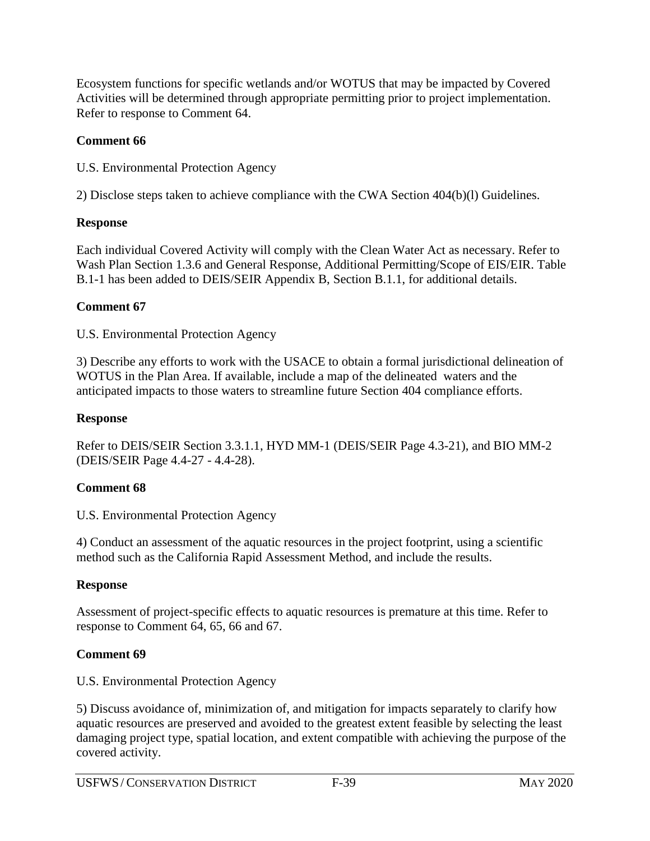Ecosystem functions for specific wetlands and/or WOTUS that may be impacted by Covered Activities will be determined through appropriate permitting prior to project implementation. Refer to response to Comment 64.

## **Comment 66**

U.S. Environmental Protection Agency

2) Disclose steps taken to achieve compliance with the CWA Section 404(b)(l) Guidelines.

# **Response**

Each individual Covered Activity will comply with the Clean Water Act as necessary. Refer to Wash Plan Section 1.3.6 and General Response, Additional Permitting/Scope of EIS/EIR. Table B.1-1 has been added to DEIS/SEIR Appendix B, Section B.1.1, for additional details.

# **Comment 67**

U.S. Environmental Protection Agency

3) Describe any efforts to work with the USACE to obtain a formal jurisdictional delineation of WOTUS in the Plan Area. If available, include a map of the delineated waters and the anticipated impacts to those waters to streamline future Section 404 compliance efforts.

# **Response**

Refer to DEIS/SEIR Section 3.3.1.1, HYD MM-1 (DEIS/SEIR Page 4.3-21), and BIO MM-2 (DEIS/SEIR Page 4.4-27 - 4.4-28).

# **Comment 68**

U.S. Environmental Protection Agency

4) Conduct an assessment of the aquatic resources in the project footprint, using a scientific method such as the California Rapid Assessment Method, and include the results.

# **Response**

Assessment of project-specific effects to aquatic resources is premature at this time. Refer to response to Comment 64, 65, 66 and 67.

# **Comment 69**

U.S. Environmental Protection Agency

5) Discuss avoidance of, minimization of, and mitigation for impacts separately to clarify how aquatic resources are preserved and avoided to the greatest extent feasible by selecting the least damaging project type, spatial location, and extent compatible with achieving the purpose of the covered activity.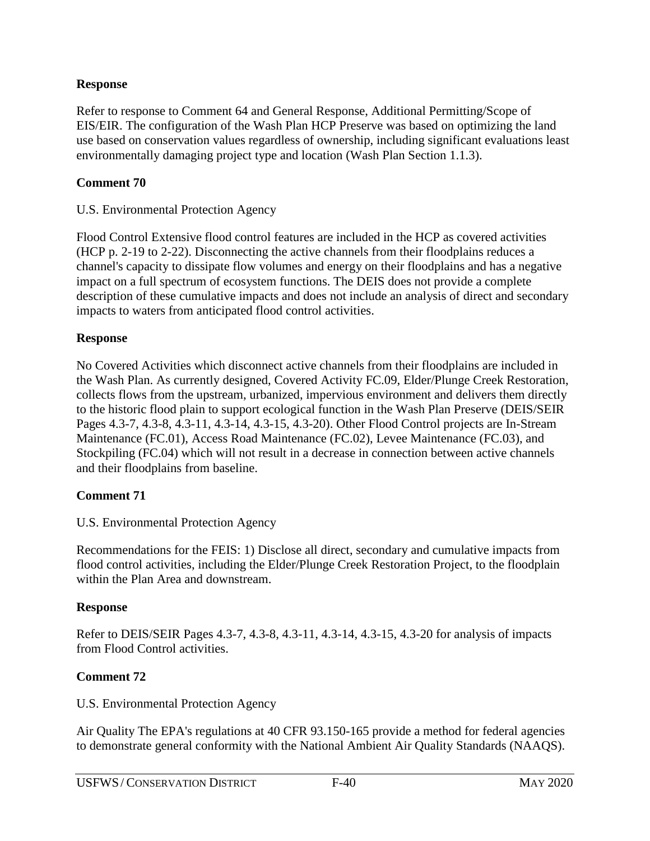Refer to response to Comment 64 and General Response, Additional Permitting/Scope of EIS/EIR. The configuration of the Wash Plan HCP Preserve was based on optimizing the land use based on conservation values regardless of ownership, including significant evaluations least environmentally damaging project type and location (Wash Plan Section 1.1.3).

## **Comment 70**

### U.S. Environmental Protection Agency

Flood Control Extensive flood control features are included in the HCP as covered activities (HCP p. 2-19 to 2-22). Disconnecting the active channels from their floodplains reduces a channel's capacity to dissipate flow volumes and energy on their floodplains and has a negative impact on a full spectrum of ecosystem functions. The DEIS does not provide a complete description of these cumulative impacts and does not include an analysis of direct and secondary impacts to waters from anticipated flood control activities.

## **Response**

No Covered Activities which disconnect active channels from their floodplains are included in the Wash Plan. As currently designed, Covered Activity FC.09, Elder/Plunge Creek Restoration, collects flows from the upstream, urbanized, impervious environment and delivers them directly to the historic flood plain to support ecological function in the Wash Plan Preserve (DEIS/SEIR Pages 4.3-7, 4.3-8, 4.3-11, 4.3-14, 4.3-15, 4.3-20). Other Flood Control projects are In-Stream Maintenance (FC.01), Access Road Maintenance (FC.02), Levee Maintenance (FC.03), and Stockpiling (FC.04) which will not result in a decrease in connection between active channels and their floodplains from baseline.

## **Comment 71**

## U.S. Environmental Protection Agency

Recommendations for the FEIS: 1) Disclose all direct, secondary and cumulative impacts from flood control activities, including the Elder/Plunge Creek Restoration Project, to the floodplain within the Plan Area and downstream.

## **Response**

Refer to DEIS/SEIR Pages 4.3-7, 4.3-8, 4.3-11, 4.3-14, 4.3-15, 4.3-20 for analysis of impacts from Flood Control activities.

## **Comment 72**

U.S. Environmental Protection Agency

Air Quality The EPA's regulations at 40 CFR 93.150-165 provide a method for federal agencies to demonstrate general conformity with the National Ambient Air Quality Standards (NAAQS).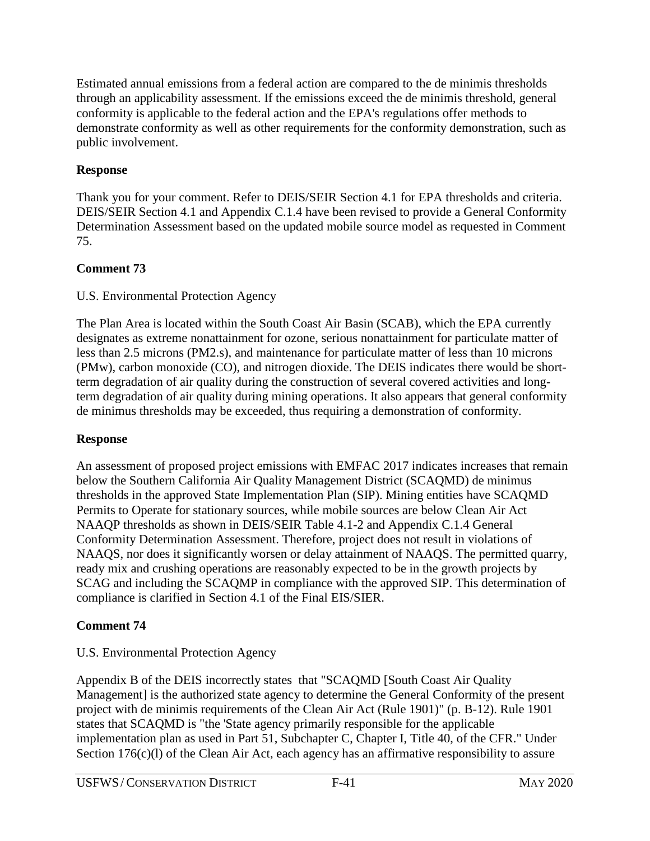Estimated annual emissions from a federal action are compared to the de minimis thresholds through an applicability assessment. If the emissions exceed the de minimis threshold, general conformity is applicable to the federal action and the EPA's regulations offer methods to demonstrate conformity as well as other requirements for the conformity demonstration, such as public involvement.

## **Response**

Thank you for your comment. Refer to DEIS/SEIR Section 4.1 for EPA thresholds and criteria. DEIS/SEIR Section 4.1 and Appendix C.1.4 have been revised to provide a General Conformity Determination Assessment based on the updated mobile source model as requested in Comment 75.

# **Comment 73**

## U.S. Environmental Protection Agency

The Plan Area is located within the South Coast Air Basin (SCAB), which the EPA currently designates as extreme nonattainment for ozone, serious nonattainment for particulate matter of less than 2.5 microns (PM2.s), and maintenance for particulate matter of less than 10 microns (PMw), carbon monoxide (CO), and nitrogen dioxide. The DEIS indicates there would be shortterm degradation of air quality during the construction of several covered activities and longterm degradation of air quality during mining operations. It also appears that general conformity de minimus thresholds may be exceeded, thus requiring a demonstration of conformity.

## **Response**

An assessment of proposed project emissions with EMFAC 2017 indicates increases that remain below the Southern California Air Quality Management District (SCAQMD) de minimus thresholds in the approved State Implementation Plan (SIP). Mining entities have SCAQMD Permits to Operate for stationary sources, while mobile sources are below Clean Air Act NAAQP thresholds as shown in DEIS/SEIR Table 4.1-2 and Appendix C.1.4 General Conformity Determination Assessment. Therefore, project does not result in violations of NAAQS, nor does it significantly worsen or delay attainment of NAAQS. The permitted quarry, ready mix and crushing operations are reasonably expected to be in the growth projects by SCAG and including the SCAQMP in compliance with the approved SIP. This determination of compliance is clarified in Section 4.1 of the Final EIS/SIER.

# **Comment 74**

# U.S. Environmental Protection Agency

Appendix B of the DEIS incorrectly states that "SCAQMD [South Coast Air Quality Management] is the authorized state agency to determine the General Conformity of the present project with de minimis requirements of the Clean Air Act (Rule 1901)" (p. B-12). Rule 1901 states that SCAQMD is "the 'State agency primarily responsible for the applicable implementation plan as used in Part 51, Subchapter C, Chapter I, Title 40, of the CFR." Under Section 176(c)(l) of the Clean Air Act, each agency has an affirmative responsibility to assure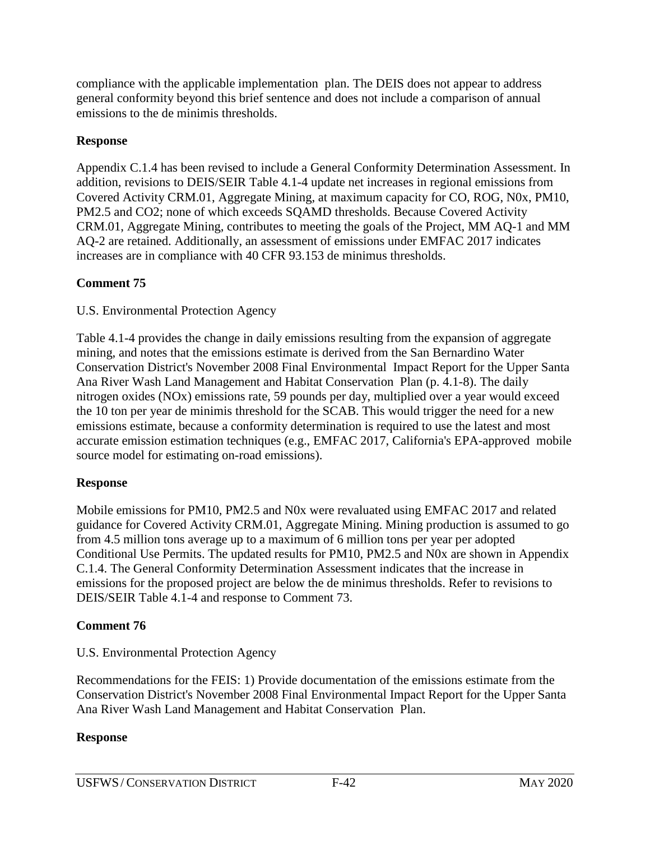compliance with the applicable implementation plan. The DEIS does not appear to address general conformity beyond this brief sentence and does not include a comparison of annual emissions to the de minimis thresholds.

### **Response**

Appendix C.1.4 has been revised to include a General Conformity Determination Assessment. In addition, revisions to DEIS/SEIR Table 4.1-4 update net increases in regional emissions from Covered Activity CRM.01, Aggregate Mining, at maximum capacity for CO, ROG, N0x, PM10, PM2.5 and CO2; none of which exceeds SQAMD thresholds. Because Covered Activity CRM.01, Aggregate Mining, contributes to meeting the goals of the Project, MM AQ-1 and MM AQ-2 are retained. Additionally, an assessment of emissions under EMFAC 2017 indicates increases are in compliance with 40 CFR 93.153 de minimus thresholds.

### **Comment 75**

U.S. Environmental Protection Agency

Table 4.1-4 provides the change in daily emissions resulting from the expansion of aggregate mining, and notes that the emissions estimate is derived from the San Bernardino Water Conservation District's November 2008 Final Environmental Impact Report for the Upper Santa Ana River Wash Land Management and Habitat Conservation Plan (p. 4.1-8). The daily nitrogen oxides (NOx) emissions rate, 59 pounds per day, multiplied over a year would exceed the 10 ton per year de minimis threshold for the SCAB. This would trigger the need for a new emissions estimate, because a conformity determination is required to use the latest and most accurate emission estimation techniques (e.g., EMFAC 2017, California's EPA-approved mobile source model for estimating on-road emissions).

## **Response**

Mobile emissions for PM10, PM2.5 and N0x were revaluated using EMFAC 2017 and related guidance for Covered Activity CRM.01, Aggregate Mining. Mining production is assumed to go from 4.5 million tons average up to a maximum of 6 million tons per year per adopted Conditional Use Permits. The updated results for PM10, PM2.5 and N0x are shown in Appendix C.1.4. The General Conformity Determination Assessment indicates that the increase in emissions for the proposed project are below the de minimus thresholds. Refer to revisions to DEIS/SEIR Table 4.1-4 and response to Comment 73.

## **Comment 76**

U.S. Environmental Protection Agency

Recommendations for the FEIS: 1) Provide documentation of the emissions estimate from the Conservation District's November 2008 Final Environmental Impact Report for the Upper Santa Ana River Wash Land Management and Habitat Conservation Plan.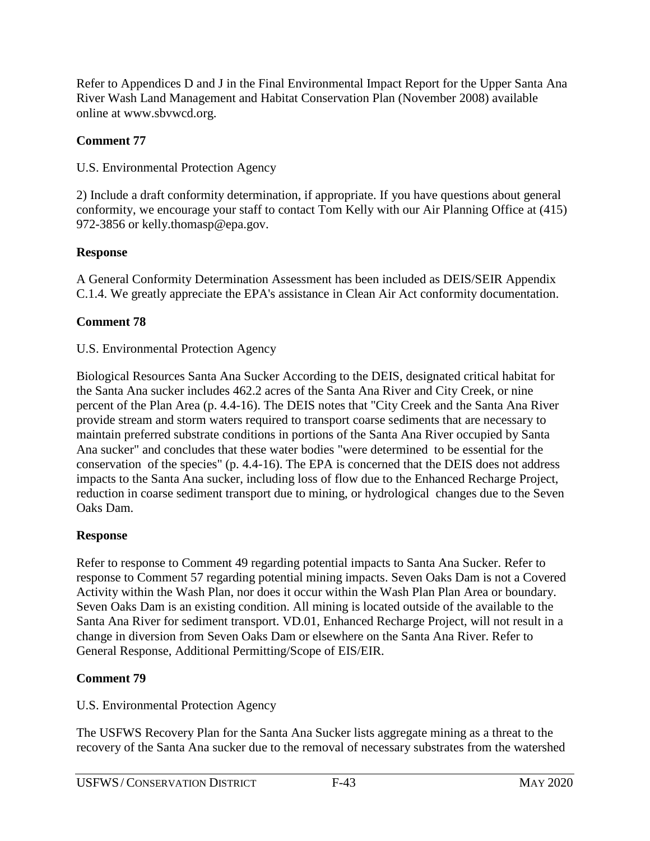Refer to Appendices D and J in the Final Environmental Impact Report for the Upper Santa Ana River Wash Land Management and Habitat Conservation Plan (November 2008) available online at www.sbvwcd.org.

## **Comment 77**

U.S. Environmental Protection Agency

2) Include a draft conformity determination, if appropriate. If you have questions about general conformity, we encourage your staff to contact Tom Kelly with our Air Planning Office at (415) 972-3856 or kelly.thomasp@epa.gov.

# **Response**

A General Conformity Determination Assessment has been included as DEIS/SEIR Appendix C.1.4. We greatly appreciate the EPA's assistance in Clean Air Act conformity documentation.

# **Comment 78**

# U.S. Environmental Protection Agency

Biological Resources Santa Ana Sucker According to the DEIS, designated critical habitat for the Santa Ana sucker includes 462.2 acres of the Santa Ana River and City Creek, or nine percent of the Plan Area (p. 4.4-16). The DEIS notes that "City Creek and the Santa Ana River provide stream and storm waters required to transport coarse sediments that are necessary to maintain preferred substrate conditions in portions of the Santa Ana River occupied by Santa Ana sucker" and concludes that these water bodies "were determined to be essential for the conservation of the species" (p. 4.4-16). The EPA is concerned that the DEIS does not address impacts to the Santa Ana sucker, including loss of flow due to the Enhanced Recharge Project, reduction in coarse sediment transport due to mining, or hydrological changes due to the Seven Oaks Dam.

# **Response**

Refer to response to Comment 49 regarding potential impacts to Santa Ana Sucker. Refer to response to Comment 57 regarding potential mining impacts. Seven Oaks Dam is not a Covered Activity within the Wash Plan, nor does it occur within the Wash Plan Plan Area or boundary. Seven Oaks Dam is an existing condition. All mining is located outside of the available to the Santa Ana River for sediment transport. VD.01, Enhanced Recharge Project, will not result in a change in diversion from Seven Oaks Dam or elsewhere on the Santa Ana River. Refer to General Response, Additional Permitting/Scope of EIS/EIR.

# **Comment 79**

U.S. Environmental Protection Agency

The USFWS Recovery Plan for the Santa Ana Sucker lists aggregate mining as a threat to the recovery of the Santa Ana sucker due to the removal of necessary substrates from the watershed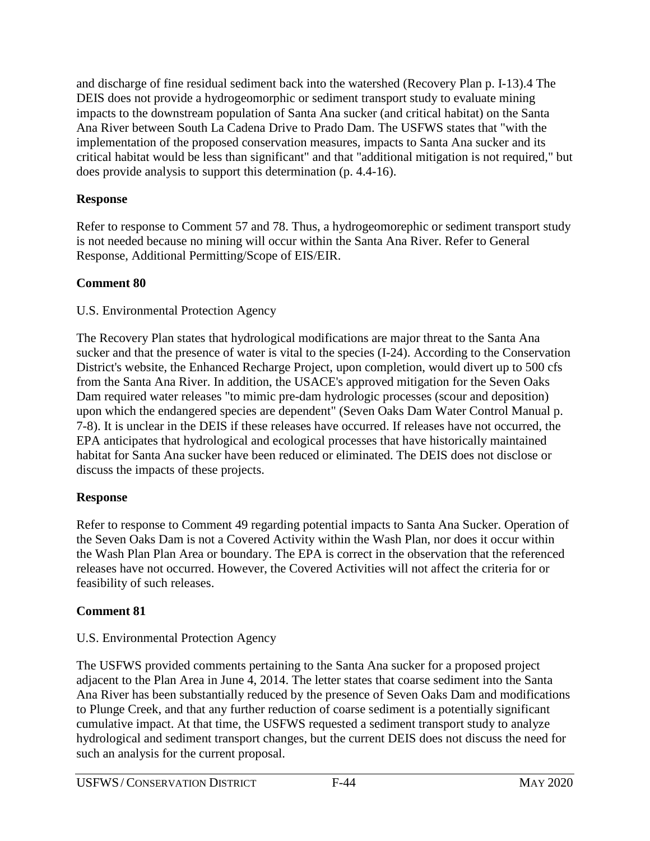and discharge of fine residual sediment back into the watershed (Recovery Plan p. I-13).4 The DEIS does not provide a hydrogeomorphic or sediment transport study to evaluate mining impacts to the downstream population of Santa Ana sucker (and critical habitat) on the Santa Ana River between South La Cadena Drive to Prado Dam. The USFWS states that "with the implementation of the proposed conservation measures, impacts to Santa Ana sucker and its critical habitat would be less than significant" and that "additional mitigation is not required," but does provide analysis to support this determination (p. 4.4-16).

## **Response**

Refer to response to Comment 57 and 78. Thus, a hydrogeomorephic or sediment transport study is not needed because no mining will occur within the Santa Ana River. Refer to General Response, Additional Permitting/Scope of EIS/EIR.

# **Comment 80**

## U.S. Environmental Protection Agency

The Recovery Plan states that hydrological modifications are major threat to the Santa Ana sucker and that the presence of water is vital to the species (I-24). According to the Conservation District's website, the Enhanced Recharge Project, upon completion, would divert up to 500 cfs from the Santa Ana River. In addition, the USACE's approved mitigation for the Seven Oaks Dam required water releases "to mimic pre-dam hydrologic processes (scour and deposition) upon which the endangered species are dependent" (Seven Oaks Dam Water Control Manual p. 7-8). It is unclear in the DEIS if these releases have occurred. If releases have not occurred, the EPA anticipates that hydrological and ecological processes that have historically maintained habitat for Santa Ana sucker have been reduced or eliminated. The DEIS does not disclose or discuss the impacts of these projects.

## **Response**

Refer to response to Comment 49 regarding potential impacts to Santa Ana Sucker. Operation of the Seven Oaks Dam is not a Covered Activity within the Wash Plan, nor does it occur within the Wash Plan Plan Area or boundary. The EPA is correct in the observation that the referenced releases have not occurred. However, the Covered Activities will not affect the criteria for or feasibility of such releases.

# **Comment 81**

# U.S. Environmental Protection Agency

The USFWS provided comments pertaining to the Santa Ana sucker for a proposed project adjacent to the Plan Area in June 4, 2014. The letter states that coarse sediment into the Santa Ana River has been substantially reduced by the presence of Seven Oaks Dam and modifications to Plunge Creek, and that any further reduction of coarse sediment is a potentially significant cumulative impact. At that time, the USFWS requested a sediment transport study to analyze hydrological and sediment transport changes, but the current DEIS does not discuss the need for such an analysis for the current proposal.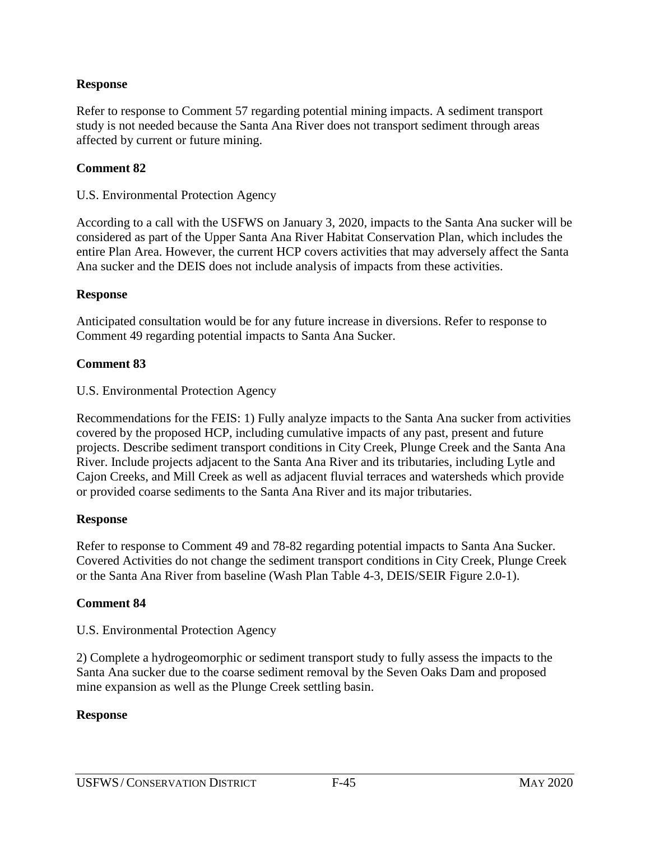Refer to response to Comment 57 regarding potential mining impacts. A sediment transport study is not needed because the Santa Ana River does not transport sediment through areas affected by current or future mining.

#### **Comment 82**

#### U.S. Environmental Protection Agency

According to a call with the USFWS on January 3, 2020, impacts to the Santa Ana sucker will be considered as part of the Upper Santa Ana River Habitat Conservation Plan, which includes the entire Plan Area. However, the current HCP covers activities that may adversely affect the Santa Ana sucker and the DEIS does not include analysis of impacts from these activities.

#### **Response**

Anticipated consultation would be for any future increase in diversions. Refer to response to Comment 49 regarding potential impacts to Santa Ana Sucker.

#### **Comment 83**

U.S. Environmental Protection Agency

Recommendations for the FEIS: 1) Fully analyze impacts to the Santa Ana sucker from activities covered by the proposed HCP, including cumulative impacts of any past, present and future projects. Describe sediment transport conditions in City Creek, Plunge Creek and the Santa Ana River. Include projects adjacent to the Santa Ana River and its tributaries, including Lytle and Cajon Creeks, and Mill Creek as well as adjacent fluvial terraces and watersheds which provide or provided coarse sediments to the Santa Ana River and its major tributaries.

#### **Response**

Refer to response to Comment 49 and 78-82 regarding potential impacts to Santa Ana Sucker. Covered Activities do not change the sediment transport conditions in City Creek, Plunge Creek or the Santa Ana River from baseline (Wash Plan Table 4-3, DEIS/SEIR Figure 2.0-1).

#### **Comment 84**

U.S. Environmental Protection Agency

2) Complete a hydrogeomorphic or sediment transport study to fully assess the impacts to the Santa Ana sucker due to the coarse sediment removal by the Seven Oaks Dam and proposed mine expansion as well as the Plunge Creek settling basin.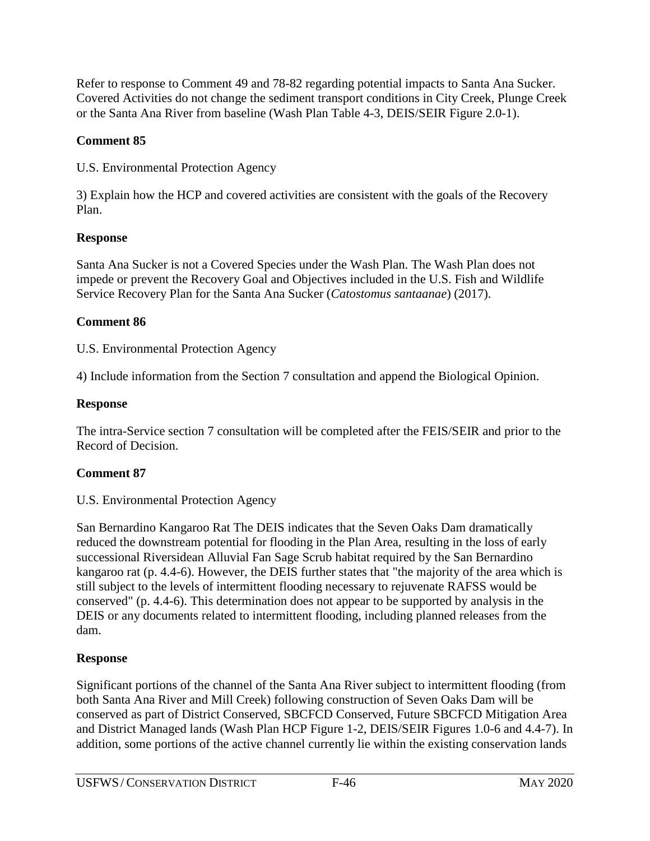Refer to response to Comment 49 and 78-82 regarding potential impacts to Santa Ana Sucker. Covered Activities do not change the sediment transport conditions in City Creek, Plunge Creek or the Santa Ana River from baseline (Wash Plan Table 4-3, DEIS/SEIR Figure 2.0-1).

## **Comment 85**

U.S. Environmental Protection Agency

3) Explain how the HCP and covered activities are consistent with the goals of the Recovery Plan.

## **Response**

Santa Ana Sucker is not a Covered Species under the Wash Plan. The Wash Plan does not impede or prevent the Recovery Goal and Objectives included in the U.S. Fish and Wildlife Service Recovery Plan for the Santa Ana Sucker (*Catostomus santaanae*) (2017).

## **Comment 86**

U.S. Environmental Protection Agency

4) Include information from the Section 7 consultation and append the Biological Opinion.

## **Response**

The intra-Service section 7 consultation will be completed after the FEIS/SEIR and prior to the Record of Decision.

# **Comment 87**

## U.S. Environmental Protection Agency

San Bernardino Kangaroo Rat The DEIS indicates that the Seven Oaks Dam dramatically reduced the downstream potential for flooding in the Plan Area, resulting in the loss of early successional Riversidean Alluvial Fan Sage Scrub habitat required by the San Bernardino kangaroo rat (p. 4.4-6). However, the DEIS further states that "the majority of the area which is still subject to the levels of intermittent flooding necessary to rejuvenate RAFSS would be conserved" (p. 4.4-6). This determination does not appear to be supported by analysis in the DEIS or any documents related to intermittent flooding, including planned releases from the dam.

# **Response**

Significant portions of the channel of the Santa Ana River subject to intermittent flooding (from both Santa Ana River and Mill Creek) following construction of Seven Oaks Dam will be conserved as part of District Conserved, SBCFCD Conserved, Future SBCFCD Mitigation Area and District Managed lands (Wash Plan HCP Figure 1-2, DEIS/SEIR Figures 1.0-6 and 4.4-7). In addition, some portions of the active channel currently lie within the existing conservation lands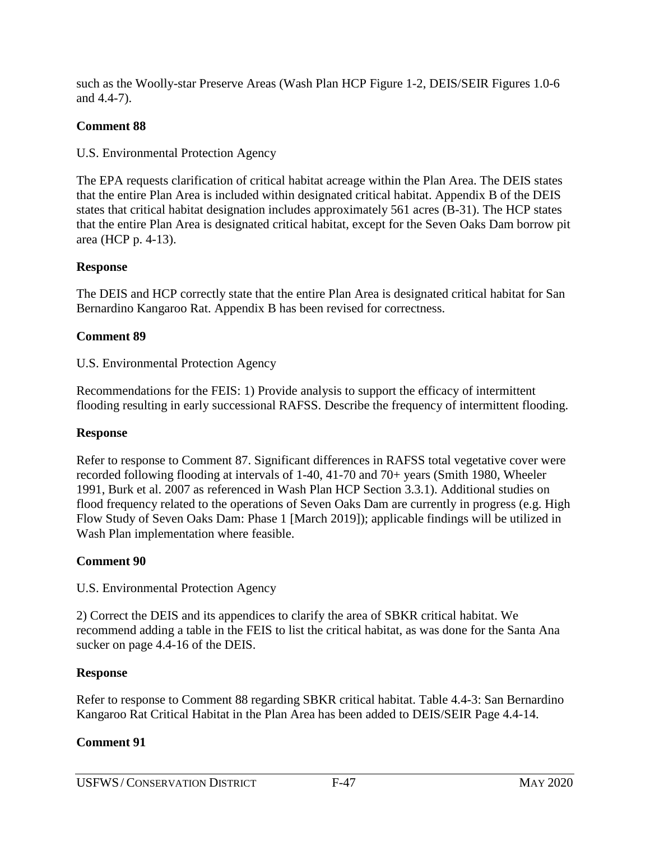such as the Woolly-star Preserve Areas (Wash Plan HCP Figure 1-2, DEIS/SEIR Figures 1.0-6 and 4.4-7).

## **Comment 88**

U.S. Environmental Protection Agency

The EPA requests clarification of critical habitat acreage within the Plan Area. The DEIS states that the entire Plan Area is included within designated critical habitat. Appendix B of the DEIS states that critical habitat designation includes approximately 561 acres (B-31). The HCP states that the entire Plan Area is designated critical habitat, except for the Seven Oaks Dam borrow pit area (HCP p. 4-13).

## **Response**

The DEIS and HCP correctly state that the entire Plan Area is designated critical habitat for San Bernardino Kangaroo Rat. Appendix B has been revised for correctness.

# **Comment 89**

U.S. Environmental Protection Agency

Recommendations for the FEIS: 1) Provide analysis to support the efficacy of intermittent flooding resulting in early successional RAFSS. Describe the frequency of intermittent flooding.

## **Response**

Refer to response to Comment 87. Significant differences in RAFSS total vegetative cover were recorded following flooding at intervals of 1-40, 41-70 and 70+ years (Smith 1980, Wheeler 1991, Burk et al. 2007 as referenced in Wash Plan HCP Section 3.3.1). Additional studies on flood frequency related to the operations of Seven Oaks Dam are currently in progress (e.g. High Flow Study of Seven Oaks Dam: Phase 1 [March 2019]); applicable findings will be utilized in Wash Plan implementation where feasible.

## **Comment 90**

U.S. Environmental Protection Agency

2) Correct the DEIS and its appendices to clarify the area of SBKR critical habitat. We recommend adding a table in the FEIS to list the critical habitat, as was done for the Santa Ana sucker on page 4.4-16 of the DEIS.

## **Response**

Refer to response to Comment 88 regarding SBKR critical habitat. Table 4.4-3: San Bernardino Kangaroo Rat Critical Habitat in the Plan Area has been added to DEIS/SEIR Page 4.4-14.

# **Comment 91**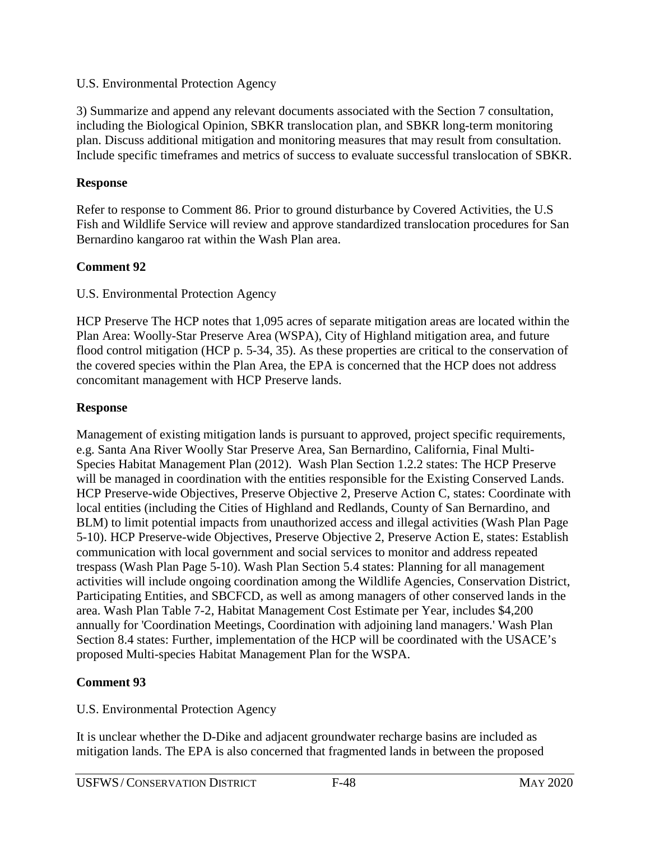#### U.S. Environmental Protection Agency

3) Summarize and append any relevant documents associated with the Section 7 consultation, including the Biological Opinion, SBKR translocation plan, and SBKR long-term monitoring plan. Discuss additional mitigation and monitoring measures that may result from consultation. Include specific timeframes and metrics of success to evaluate successful translocation of SBKR.

### **Response**

Refer to response to Comment 86. Prior to ground disturbance by Covered Activities, the U.S Fish and Wildlife Service will review and approve standardized translocation procedures for San Bernardino kangaroo rat within the Wash Plan area.

## **Comment 92**

### U.S. Environmental Protection Agency

HCP Preserve The HCP notes that 1,095 acres of separate mitigation areas are located within the Plan Area: Woolly-Star Preserve Area (WSPA), City of Highland mitigation area, and future flood control mitigation (HCP p. 5-34, 35). As these properties are critical to the conservation of the covered species within the Plan Area, the EPA is concerned that the HCP does not address concomitant management with HCP Preserve lands.

## **Response**

Management of existing mitigation lands is pursuant to approved, project specific requirements, e.g. Santa Ana River Woolly Star Preserve Area, San Bernardino, California, Final Multi-Species Habitat Management Plan (2012). Wash Plan Section 1.2.2 states: The HCP Preserve will be managed in coordination with the entities responsible for the Existing Conserved Lands. HCP Preserve-wide Objectives, Preserve Objective 2, Preserve Action C, states: Coordinate with local entities (including the Cities of Highland and Redlands, County of San Bernardino, and BLM) to limit potential impacts from unauthorized access and illegal activities (Wash Plan Page 5-10). HCP Preserve-wide Objectives, Preserve Objective 2, Preserve Action E, states: Establish communication with local government and social services to monitor and address repeated trespass (Wash Plan Page 5-10). Wash Plan Section 5.4 states: Planning for all management activities will include ongoing coordination among the Wildlife Agencies, Conservation District, Participating Entities, and SBCFCD, as well as among managers of other conserved lands in the area. Wash Plan Table 7-2, Habitat Management Cost Estimate per Year, includes \$4,200 annually for 'Coordination Meetings, Coordination with adjoining land managers.' Wash Plan Section 8.4 states: Further, implementation of the HCP will be coordinated with the USACE's proposed Multi-species Habitat Management Plan for the WSPA.

## **Comment 93**

U.S. Environmental Protection Agency

It is unclear whether the D-Dike and adjacent groundwater recharge basins are included as mitigation lands. The EPA is also concerned that fragmented lands in between the proposed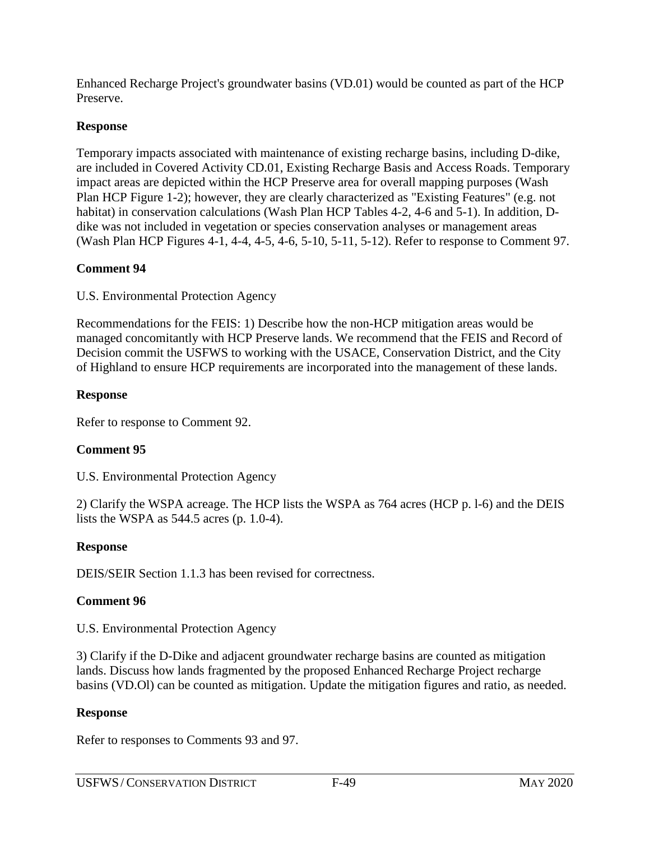Enhanced Recharge Project's groundwater basins (VD.01) would be counted as part of the HCP Preserve.

## **Response**

Temporary impacts associated with maintenance of existing recharge basins, including D-dike, are included in Covered Activity CD.01, Existing Recharge Basis and Access Roads. Temporary impact areas are depicted within the HCP Preserve area for overall mapping purposes (Wash Plan HCP Figure 1-2); however, they are clearly characterized as "Existing Features" (e.g. not habitat) in conservation calculations (Wash Plan HCP Tables 4-2, 4-6 and 5-1). In addition, Ddike was not included in vegetation or species conservation analyses or management areas (Wash Plan HCP Figures 4-1, 4-4, 4-5, 4-6, 5-10, 5-11, 5-12). Refer to response to Comment 97.

### **Comment 94**

U.S. Environmental Protection Agency

Recommendations for the FEIS: 1) Describe how the non-HCP mitigation areas would be managed concomitantly with HCP Preserve lands. We recommend that the FEIS and Record of Decision commit the USFWS to working with the USACE, Conservation District, and the City of Highland to ensure HCP requirements are incorporated into the management of these lands.

## **Response**

Refer to response to Comment 92.

## **Comment 95**

U.S. Environmental Protection Agency

2) Clarify the WSPA acreage. The HCP lists the WSPA as 764 acres (HCP p. l-6) and the DEIS lists the WSPA as 544.5 acres (p. 1.0-4).

## **Response**

DEIS/SEIR Section 1.1.3 has been revised for correctness.

## **Comment 96**

U.S. Environmental Protection Agency

3) Clarify if the D-Dike and adjacent groundwater recharge basins are counted as mitigation lands. Discuss how lands fragmented by the proposed Enhanced Recharge Project recharge basins (VD.Ol) can be counted as mitigation. Update the mitigation figures and ratio, as needed.

## **Response**

Refer to responses to Comments 93 and 97.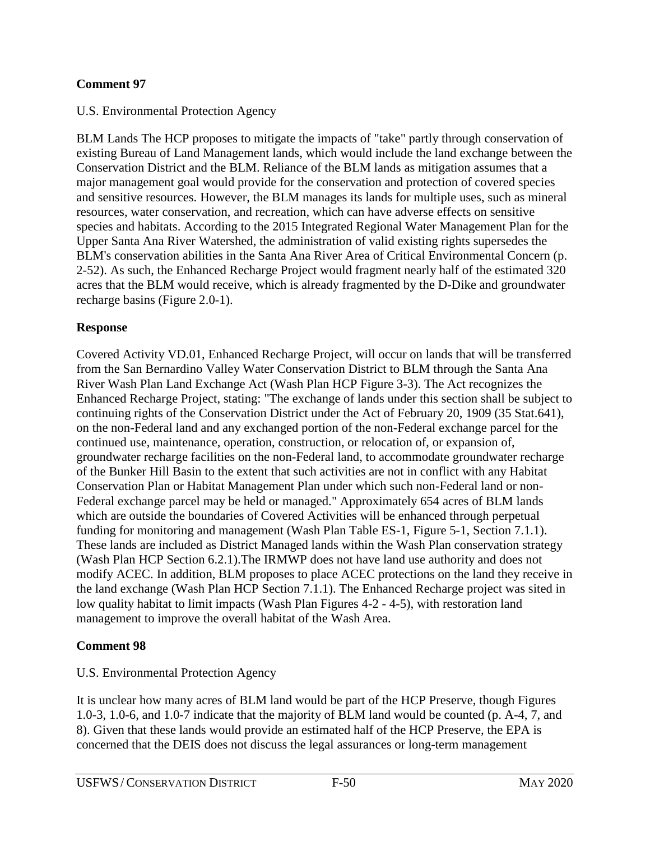### **Comment 97**

### U.S. Environmental Protection Agency

BLM Lands The HCP proposes to mitigate the impacts of "take" partly through conservation of existing Bureau of Land Management lands, which would include the land exchange between the Conservation District and the BLM. Reliance of the BLM lands as mitigation assumes that a major management goal would provide for the conservation and protection of covered species and sensitive resources. However, the BLM manages its lands for multiple uses, such as mineral resources, water conservation, and recreation, which can have adverse effects on sensitive species and habitats. According to the 2015 Integrated Regional Water Management Plan for the Upper Santa Ana River Watershed, the administration of valid existing rights supersedes the BLM's conservation abilities in the Santa Ana River Area of Critical Environmental Concern (p. 2-52). As such, the Enhanced Recharge Project would fragment nearly half of the estimated 320 acres that the BLM would receive, which is already fragmented by the D-Dike and groundwater recharge basins (Figure 2.0-1).

### **Response**

Covered Activity VD.01, Enhanced Recharge Project, will occur on lands that will be transferred from the San Bernardino Valley Water Conservation District to BLM through the Santa Ana River Wash Plan Land Exchange Act (Wash Plan HCP Figure 3-3). The Act recognizes the Enhanced Recharge Project, stating: "The exchange of lands under this section shall be subject to continuing rights of the Conservation District under the Act of February 20, 1909 (35 Stat.641), on the non-Federal land and any exchanged portion of the non-Federal exchange parcel for the continued use, maintenance, operation, construction, or relocation of, or expansion of, groundwater recharge facilities on the non-Federal land, to accommodate groundwater recharge of the Bunker Hill Basin to the extent that such activities are not in conflict with any Habitat Conservation Plan or Habitat Management Plan under which such non-Federal land or non-Federal exchange parcel may be held or managed." Approximately 654 acres of BLM lands which are outside the boundaries of Covered Activities will be enhanced through perpetual funding for monitoring and management (Wash Plan Table ES-1, Figure 5-1, Section 7.1.1). These lands are included as District Managed lands within the Wash Plan conservation strategy (Wash Plan HCP Section 6.2.1).The IRMWP does not have land use authority and does not modify ACEC. In addition, BLM proposes to place ACEC protections on the land they receive in the land exchange (Wash Plan HCP Section 7.1.1). The Enhanced Recharge project was sited in low quality habitat to limit impacts (Wash Plan Figures 4-2 - 4-5), with restoration land management to improve the overall habitat of the Wash Area.

## **Comment 98**

## U.S. Environmental Protection Agency

It is unclear how many acres of BLM land would be part of the HCP Preserve, though Figures 1.0-3, 1.0-6, and 1.0-7 indicate that the majority of BLM land would be counted (p. A-4, 7, and 8). Given that these lands would provide an estimated half of the HCP Preserve, the EPA is concerned that the DEIS does not discuss the legal assurances or long-term management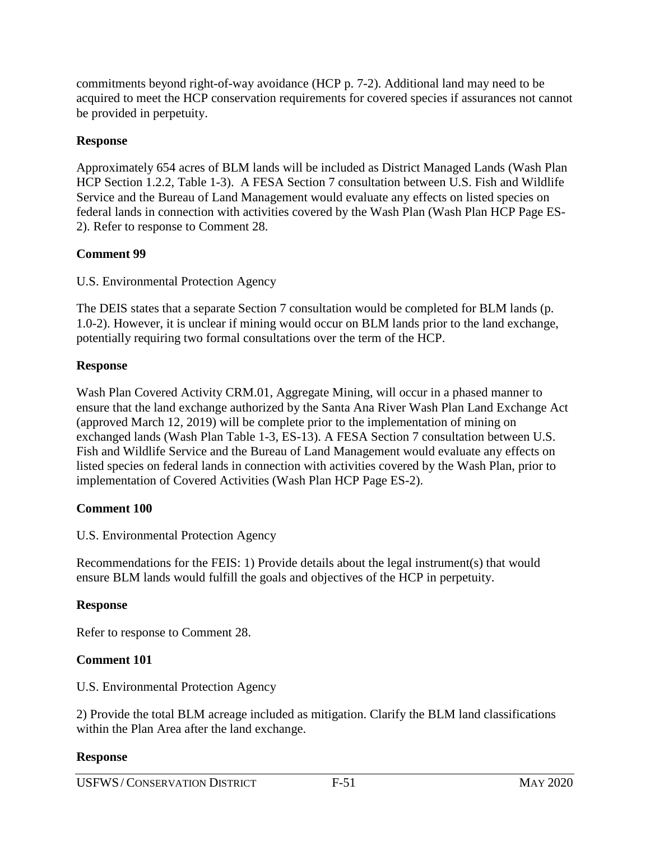commitments beyond right-of-way avoidance (HCP p. 7-2). Additional land may need to be acquired to meet the HCP conservation requirements for covered species if assurances not cannot be provided in perpetuity.

## **Response**

Approximately 654 acres of BLM lands will be included as District Managed Lands (Wash Plan HCP Section 1.2.2, Table 1-3). A FESA Section 7 consultation between U.S. Fish and Wildlife Service and the Bureau of Land Management would evaluate any effects on listed species on federal lands in connection with activities covered by the Wash Plan (Wash Plan HCP Page ES-2). Refer to response to Comment 28.

## **Comment 99**

U.S. Environmental Protection Agency

The DEIS states that a separate Section 7 consultation would be completed for BLM lands (p. 1.0-2). However, it is unclear if mining would occur on BLM lands prior to the land exchange, potentially requiring two formal consultations over the term of the HCP.

## **Response**

Wash Plan Covered Activity CRM.01, Aggregate Mining, will occur in a phased manner to ensure that the land exchange authorized by the Santa Ana River Wash Plan Land Exchange Act (approved March 12, 2019) will be complete prior to the implementation of mining on exchanged lands (Wash Plan Table 1-3, ES-13). A FESA Section 7 consultation between U.S. Fish and Wildlife Service and the Bureau of Land Management would evaluate any effects on listed species on federal lands in connection with activities covered by the Wash Plan, prior to implementation of Covered Activities (Wash Plan HCP Page ES-2).

## **Comment 100**

U.S. Environmental Protection Agency

Recommendations for the FEIS: 1) Provide details about the legal instrument(s) that would ensure BLM lands would fulfill the goals and objectives of the HCP in perpetuity.

## **Response**

Refer to response to Comment 28.

## **Comment 101**

U.S. Environmental Protection Agency

2) Provide the total BLM acreage included as mitigation. Clarify the BLM land classifications within the Plan Area after the land exchange.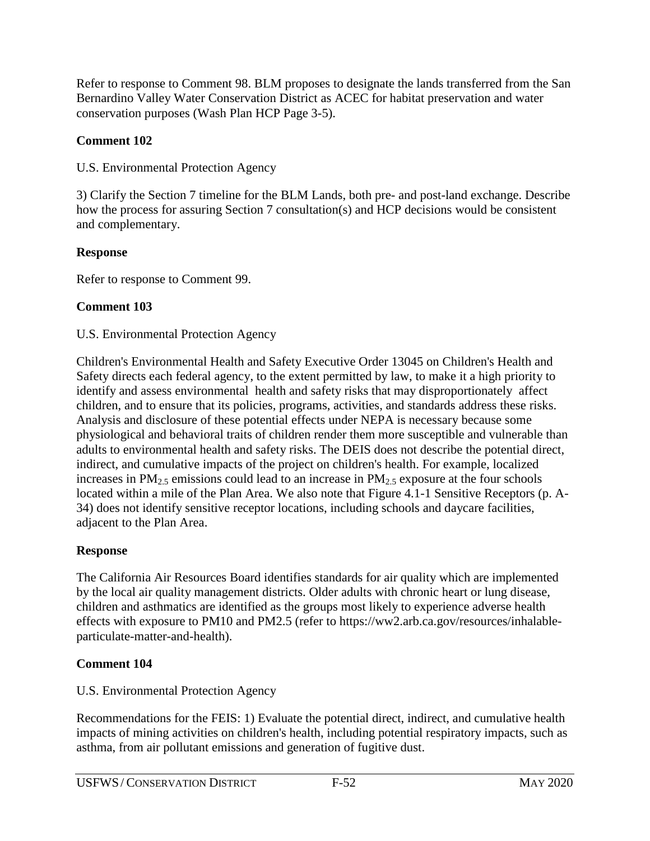Refer to response to Comment 98. BLM proposes to designate the lands transferred from the San Bernardino Valley Water Conservation District as ACEC for habitat preservation and water conservation purposes (Wash Plan HCP Page 3-5).

## **Comment 102**

U.S. Environmental Protection Agency

3) Clarify the Section 7 timeline for the BLM Lands, both pre- and post-land exchange. Describe how the process for assuring Section 7 consultation(s) and HCP decisions would be consistent and complementary.

# **Response**

Refer to response to Comment 99.

# **Comment 103**

## U.S. Environmental Protection Agency

Children's Environmental Health and Safety Executive Order 13045 on Children's Health and Safety directs each federal agency, to the extent permitted by law, to make it a high priority to identify and assess environmental health and safety risks that may disproportionately affect children, and to ensure that its policies, programs, activities, and standards address these risks. Analysis and disclosure of these potential effects under NEPA is necessary because some physiological and behavioral traits of children render them more susceptible and vulnerable than adults to environmental health and safety risks. The DEIS does not describe the potential direct, indirect, and cumulative impacts of the project on children's health. For example, localized increases in  $PM_{2.5}$  emissions could lead to an increase in  $PM_{2.5}$  exposure at the four schools located within a mile of the Plan Area. We also note that Figure 4.1-1 Sensitive Receptors (p. A-34) does not identify sensitive receptor locations, including schools and daycare facilities, adjacent to the Plan Area.

## **Response**

The California Air Resources Board identifies standards for air quality which are implemented by the local air quality management districts. Older adults with chronic heart or lung disease, children and asthmatics are identified as the groups most likely to experience adverse health effects with exposure to PM10 and PM2.5 (refer to https://ww2.arb.ca.gov/resources/inhalableparticulate-matter-and-health).

# **Comment 104**

U.S. Environmental Protection Agency

Recommendations for the FEIS: 1) Evaluate the potential direct, indirect, and cumulative health impacts of mining activities on children's health, including potential respiratory impacts, such as asthma, from air pollutant emissions and generation of fugitive dust.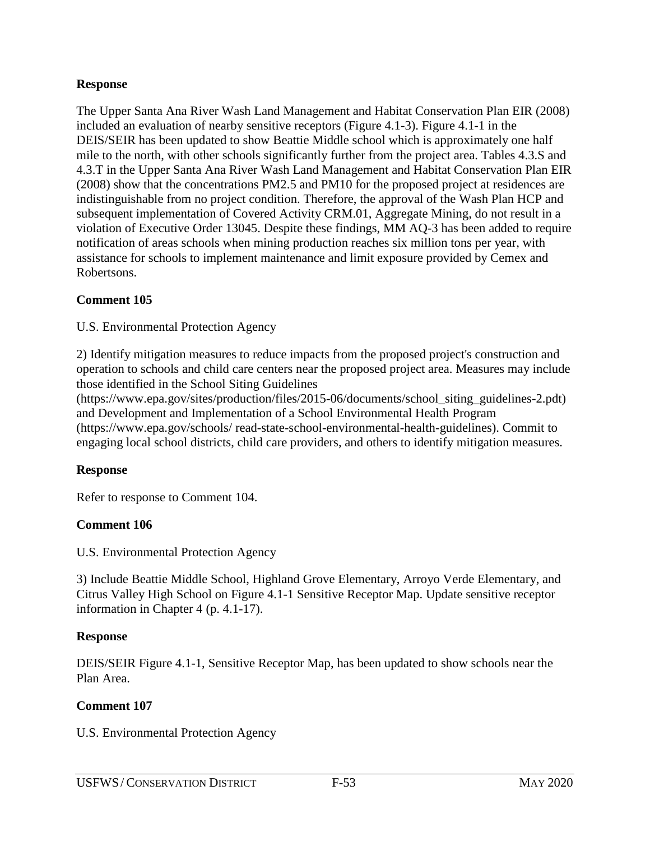The Upper Santa Ana River Wash Land Management and Habitat Conservation Plan EIR (2008) included an evaluation of nearby sensitive receptors (Figure 4.1-3). Figure 4.1-1 in the DEIS/SEIR has been updated to show Beattie Middle school which is approximately one half mile to the north, with other schools significantly further from the project area. Tables 4.3.S and 4.3.T in the Upper Santa Ana River Wash Land Management and Habitat Conservation Plan EIR (2008) show that the concentrations PM2.5 and PM10 for the proposed project at residences are indistinguishable from no project condition. Therefore, the approval of the Wash Plan HCP and subsequent implementation of Covered Activity CRM.01, Aggregate Mining, do not result in a violation of Executive Order 13045. Despite these findings, MM AQ-3 has been added to require notification of areas schools when mining production reaches six million tons per year, with assistance for schools to implement maintenance and limit exposure provided by Cemex and Robertsons.

### **Comment 105**

U.S. Environmental Protection Agency

2) Identify mitigation measures to reduce impacts from the proposed project's construction and operation to schools and child care centers near the proposed project area. Measures may include those identified in the School Siting Guidelines

(https://www.epa.gov/sites/production/files/2015-06/documents/school\_siting\_guidelines-2.pdt) and Development and Implementation of a School Environmental Health Program (https://www.epa.gov/schools/ read-state-school-environmental-health-guidelines). Commit to engaging local school districts, child care providers, and others to identify mitigation measures.

#### **Response**

Refer to response to Comment 104.

#### **Comment 106**

U.S. Environmental Protection Agency

3) Include Beattie Middle School, Highland Grove Elementary, Arroyo Verde Elementary, and Citrus Valley High School on Figure 4.1-1 Sensitive Receptor Map. Update sensitive receptor information in Chapter 4 (p. 4.1-17).

#### **Response**

DEIS/SEIR Figure 4.1-1, Sensitive Receptor Map, has been updated to show schools near the Plan Area.

### **Comment 107**

U.S. Environmental Protection Agency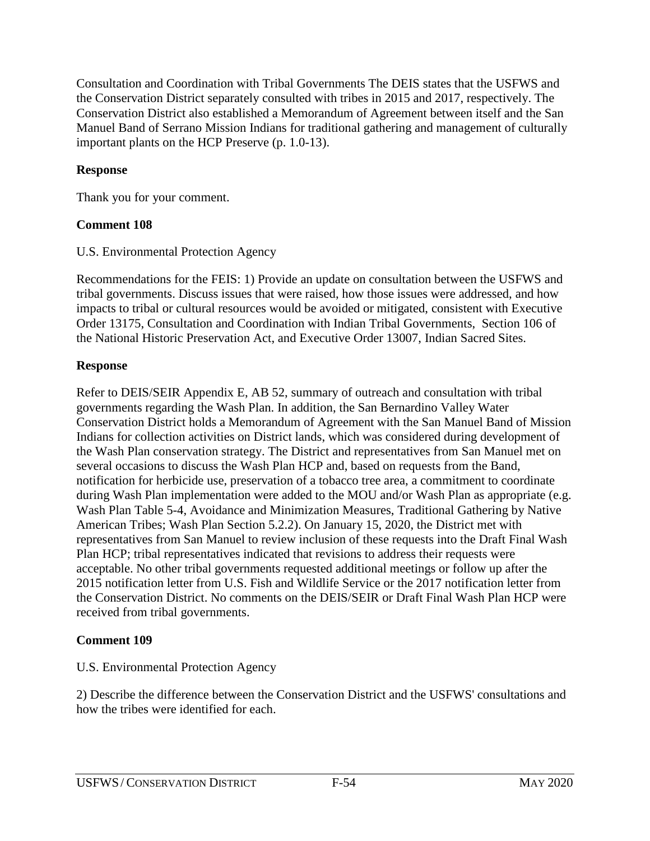Consultation and Coordination with Tribal Governments The DEIS states that the USFWS and the Conservation District separately consulted with tribes in 2015 and 2017, respectively. The Conservation District also established a Memorandum of Agreement between itself and the San Manuel Band of Serrano Mission Indians for traditional gathering and management of culturally important plants on the HCP Preserve (p. 1.0-13).

### **Response**

Thank you for your comment.

## **Comment 108**

U.S. Environmental Protection Agency

Recommendations for the FEIS: 1) Provide an update on consultation between the USFWS and tribal governments. Discuss issues that were raised, how those issues were addressed, and how impacts to tribal or cultural resources would be avoided or mitigated, consistent with Executive Order 13175, Consultation and Coordination with Indian Tribal Governments, Section 106 of the National Historic Preservation Act, and Executive Order 13007, Indian Sacred Sites.

## **Response**

Refer to DEIS/SEIR Appendix E, AB 52, summary of outreach and consultation with tribal governments regarding the Wash Plan. In addition, the San Bernardino Valley Water Conservation District holds a Memorandum of Agreement with the San Manuel Band of Mission Indians for collection activities on District lands, which was considered during development of the Wash Plan conservation strategy. The District and representatives from San Manuel met on several occasions to discuss the Wash Plan HCP and, based on requests from the Band, notification for herbicide use, preservation of a tobacco tree area, a commitment to coordinate during Wash Plan implementation were added to the MOU and/or Wash Plan as appropriate (e.g. Wash Plan Table 5-4, Avoidance and Minimization Measures, Traditional Gathering by Native American Tribes; Wash Plan Section 5.2.2). On January 15, 2020, the District met with representatives from San Manuel to review inclusion of these requests into the Draft Final Wash Plan HCP; tribal representatives indicated that revisions to address their requests were acceptable. No other tribal governments requested additional meetings or follow up after the 2015 notification letter from U.S. Fish and Wildlife Service or the 2017 notification letter from the Conservation District. No comments on the DEIS/SEIR or Draft Final Wash Plan HCP were received from tribal governments.

# **Comment 109**

## U.S. Environmental Protection Agency

2) Describe the difference between the Conservation District and the USFWS' consultations and how the tribes were identified for each.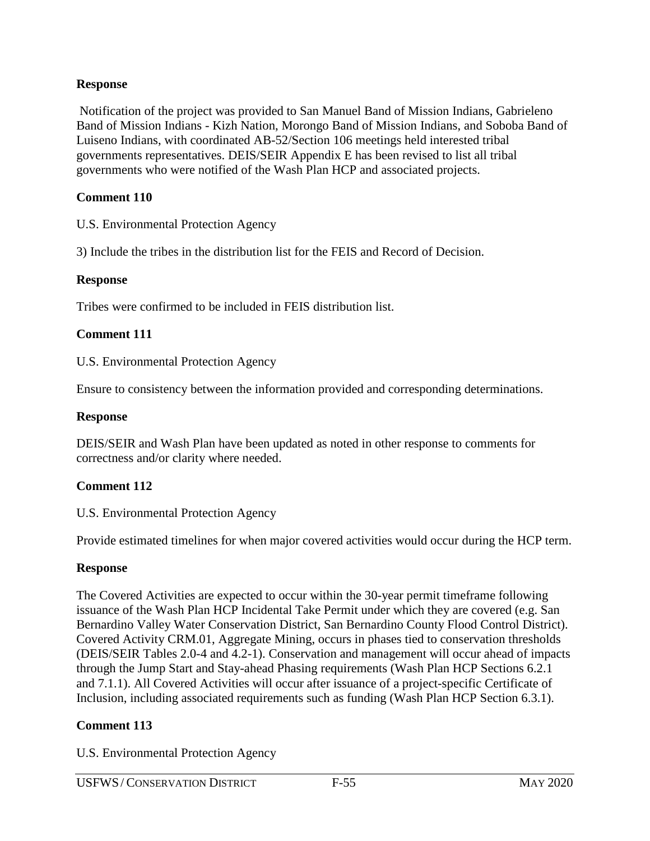Notification of the project was provided to San Manuel Band of Mission Indians, Gabrieleno Band of Mission Indians - Kizh Nation, Morongo Band of Mission Indians, and Soboba Band of Luiseno Indians, with coordinated AB-52/Section 106 meetings held interested tribal governments representatives. DEIS/SEIR Appendix E has been revised to list all tribal governments who were notified of the Wash Plan HCP and associated projects.

#### **Comment 110**

U.S. Environmental Protection Agency

3) Include the tribes in the distribution list for the FEIS and Record of Decision.

#### **Response**

Tribes were confirmed to be included in FEIS distribution list.

#### **Comment 111**

U.S. Environmental Protection Agency

Ensure to consistency between the information provided and corresponding determinations.

#### **Response**

DEIS/SEIR and Wash Plan have been updated as noted in other response to comments for correctness and/or clarity where needed.

### **Comment 112**

U.S. Environmental Protection Agency

Provide estimated timelines for when major covered activities would occur during the HCP term.

#### **Response**

The Covered Activities are expected to occur within the 30-year permit timeframe following issuance of the Wash Plan HCP Incidental Take Permit under which they are covered (e.g. San Bernardino Valley Water Conservation District, San Bernardino County Flood Control District). Covered Activity CRM.01, Aggregate Mining, occurs in phases tied to conservation thresholds (DEIS/SEIR Tables 2.0-4 and 4.2-1). Conservation and management will occur ahead of impacts through the Jump Start and Stay-ahead Phasing requirements (Wash Plan HCP Sections 6.2.1 and 7.1.1). All Covered Activities will occur after issuance of a project-specific Certificate of Inclusion, including associated requirements such as funding (Wash Plan HCP Section 6.3.1).

### **Comment 113**

U.S. Environmental Protection Agency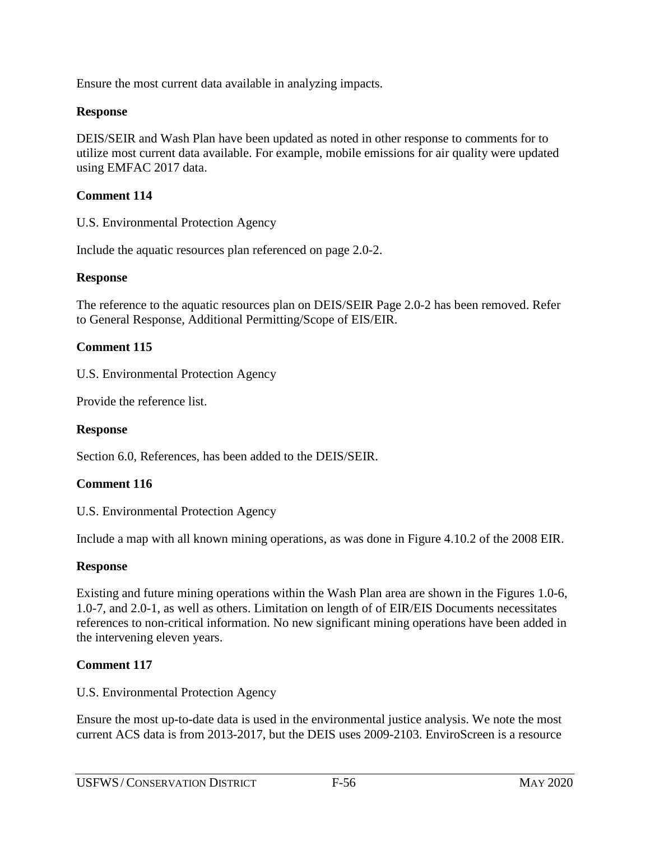Ensure the most current data available in analyzing impacts.

### **Response**

DEIS/SEIR and Wash Plan have been updated as noted in other response to comments for to utilize most current data available. For example, mobile emissions for air quality were updated using EMFAC 2017 data.

### **Comment 114**

U.S. Environmental Protection Agency

Include the aquatic resources plan referenced on page 2.0-2.

#### **Response**

The reference to the aquatic resources plan on DEIS/SEIR Page 2.0-2 has been removed. Refer to General Response, Additional Permitting/Scope of EIS/EIR.

#### **Comment 115**

U.S. Environmental Protection Agency

Provide the reference list.

### **Response**

Section 6.0, References, has been added to the DEIS/SEIR.

### **Comment 116**

U.S. Environmental Protection Agency

Include a map with all known mining operations, as was done in Figure 4.10.2 of the 2008 EIR.

#### **Response**

Existing and future mining operations within the Wash Plan area are shown in the Figures 1.0-6, 1.0-7, and 2.0-1, as well as others. Limitation on length of of EIR/EIS Documents necessitates references to non-critical information. No new significant mining operations have been added in the intervening eleven years.

### **Comment 117**

U.S. Environmental Protection Agency

Ensure the most up-to-date data is used in the environmental justice analysis. We note the most current ACS data is from 2013-2017, but the DEIS uses 2009-2103. EnviroScreen is a resource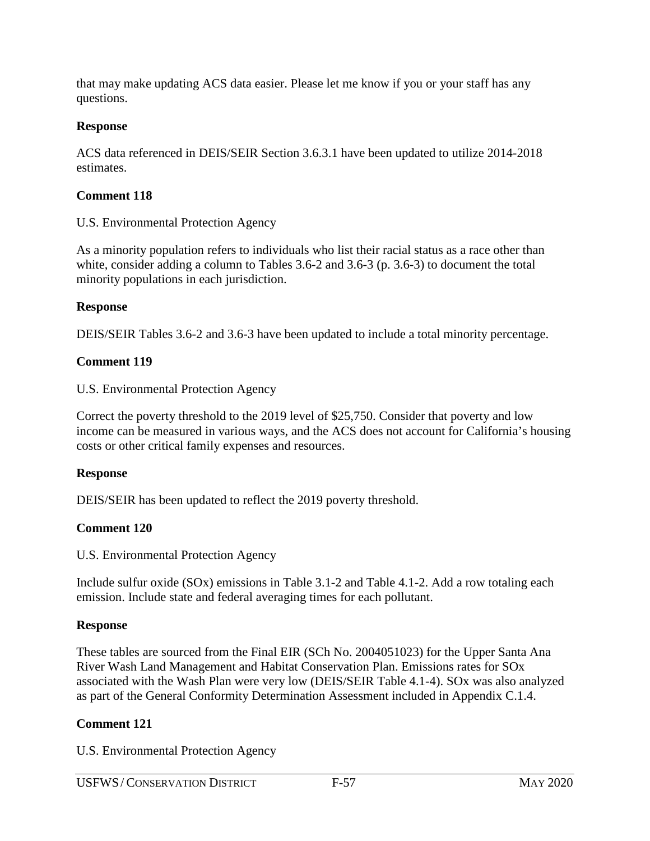that may make updating ACS data easier. Please let me know if you or your staff has any questions.

### **Response**

ACS data referenced in DEIS/SEIR Section 3.6.3.1 have been updated to utilize 2014-2018 estimates.

### **Comment 118**

U.S. Environmental Protection Agency

As a minority population refers to individuals who list their racial status as a race other than white, consider adding a column to Tables 3.6-2 and 3.6-3 (p. 3.6-3) to document the total minority populations in each jurisdiction.

### **Response**

DEIS/SEIR Tables 3.6-2 and 3.6-3 have been updated to include a total minority percentage.

### **Comment 119**

U.S. Environmental Protection Agency

Correct the poverty threshold to the 2019 level of \$25,750. Consider that poverty and low income can be measured in various ways, and the ACS does not account for California's housing costs or other critical family expenses and resources.

### **Response**

DEIS/SEIR has been updated to reflect the 2019 poverty threshold.

## **Comment 120**

U.S. Environmental Protection Agency

Include sulfur oxide (SOx) emissions in Table 3.1-2 and Table 4.1-2. Add a row totaling each emission. Include state and federal averaging times for each pollutant.

## **Response**

These tables are sourced from the Final EIR (SCh No. 2004051023) for the Upper Santa Ana River Wash Land Management and Habitat Conservation Plan. Emissions rates for SOx associated with the Wash Plan were very low (DEIS/SEIR Table 4.1-4). SOx was also analyzed as part of the General Conformity Determination Assessment included in Appendix C.1.4.

## **Comment 121**

U.S. Environmental Protection Agency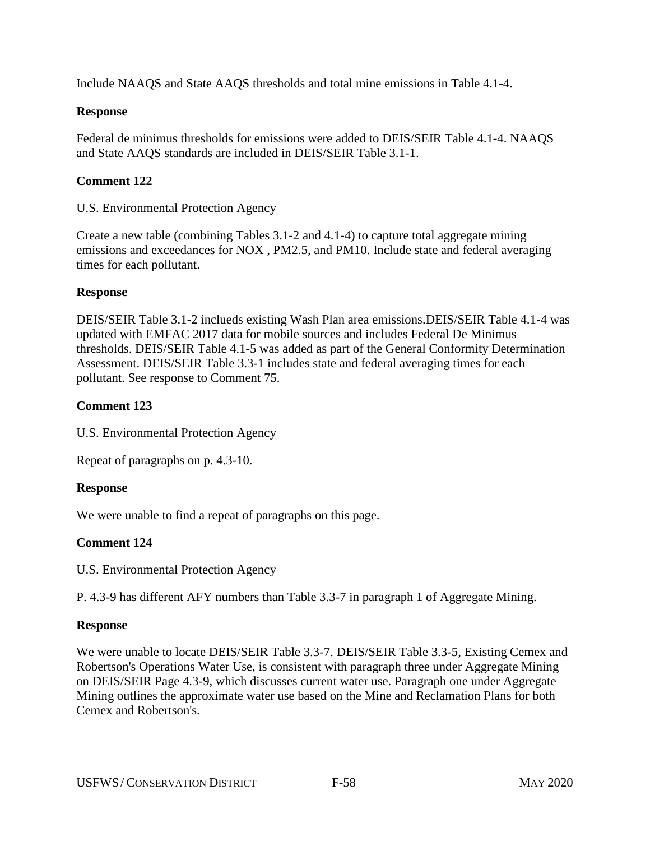Include NAAQS and State AAQS thresholds and total mine emissions in Table 4.1-4.

### **Response**

Federal de minimus thresholds for emissions were added to DEIS/SEIR Table 4.1-4. NAAQS and State AAQS standards are included in DEIS/SEIR Table 3.1-1.

## **Comment 122**

U.S. Environmental Protection Agency

Create a new table (combining Tables 3.1-2 and 4.1-4) to capture total aggregate mining emissions and exceedances for NOX , PM2.5, and PM10. Include state and federal averaging times for each pollutant.

### **Response**

DEIS/SEIR Table 3.1-2 inclueds existing Wash Plan area emissions.DEIS/SEIR Table 4.1-4 was updated with EMFAC 2017 data for mobile sources and includes Federal De Minimus thresholds. DEIS/SEIR Table 4.1-5 was added as part of the General Conformity Determination Assessment. DEIS/SEIR Table 3.3-1 includes state and federal averaging times for each pollutant. See response to Comment 75.

## **Comment 123**

U.S. Environmental Protection Agency

Repeat of paragraphs on p. 4.3-10.

## **Response**

We were unable to find a repeat of paragraphs on this page.

# **Comment 124**

U.S. Environmental Protection Agency

P. 4.3-9 has different AFY numbers than Table 3.3-7 in paragraph 1 of Aggregate Mining.

## **Response**

We were unable to locate DEIS/SEIR Table 3.3-7. DEIS/SEIR Table 3.3-5, Existing Cemex and Robertson's Operations Water Use, is consistent with paragraph three under Aggregate Mining on DEIS/SEIR Page 4.3-9, which discusses current water use. Paragraph one under Aggregate Mining outlines the approximate water use based on the Mine and Reclamation Plans for both Cemex and Robertson's.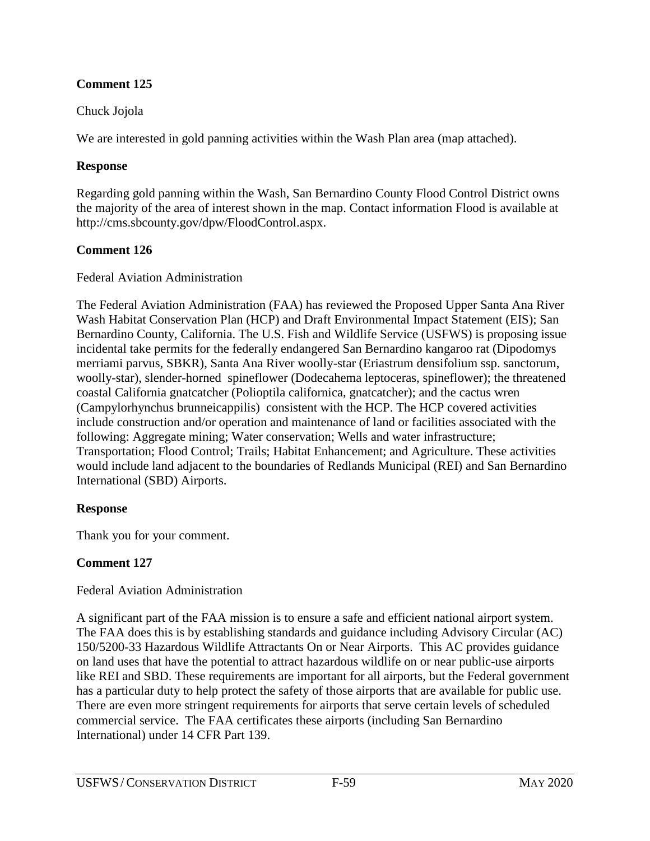### **Comment 125**

### Chuck Jojola

We are interested in gold panning activities within the Wash Plan area (map attached).

### **Response**

Regarding gold panning within the Wash, San Bernardino County Flood Control District owns the majority of the area of interest shown in the map. Contact information Flood is available at http://cms.sbcounty.gov/dpw/FloodControl.aspx.

## **Comment 126**

Federal Aviation Administration

The Federal Aviation Administration (FAA) has reviewed the Proposed Upper Santa Ana River Wash Habitat Conservation Plan (HCP) and Draft Environmental Impact Statement (EIS); San Bernardino County, California. The U.S. Fish and Wildlife Service (USFWS) is proposing issue incidental take permits for the federally endangered San Bernardino kangaroo rat (Dipodomys merriami parvus, SBKR), Santa Ana River woolly-star (Eriastrum densifolium ssp. sanctorum, woolly-star), slender-horned spineflower (Dodecahema leptoceras, spineflower); the threatened coastal California gnatcatcher (Polioptila californica, gnatcatcher); and the cactus wren (Campylorhynchus brunneicappilis) consistent with the HCP. The HCP covered activities include construction and/or operation and maintenance of land or facilities associated with the following: Aggregate mining; Water conservation; Wells and water infrastructure; Transportation; Flood Control; Trails; Habitat Enhancement; and Agriculture. These activities would include land adjacent to the boundaries of Redlands Municipal (REI) and San Bernardino International (SBD) Airports.

## **Response**

Thank you for your comment.

## **Comment 127**

## Federal Aviation Administration

A significant part of the FAA mission is to ensure a safe and efficient national airport system. The FAA does this is by establishing standards and guidance including Advisory Circular (AC) 150/5200-33 Hazardous Wildlife Attractants On or Near Airports. This AC provides guidance on land uses that have the potential to attract hazardous wildlife on or near public-use airports like REI and SBD. These requirements are important for all airports, but the Federal government has a particular duty to help protect the safety of those airports that are available for public use. There are even more stringent requirements for airports that serve certain levels of scheduled commercial service. The FAA certificates these airports (including San Bernardino International) under 14 CFR Part 139.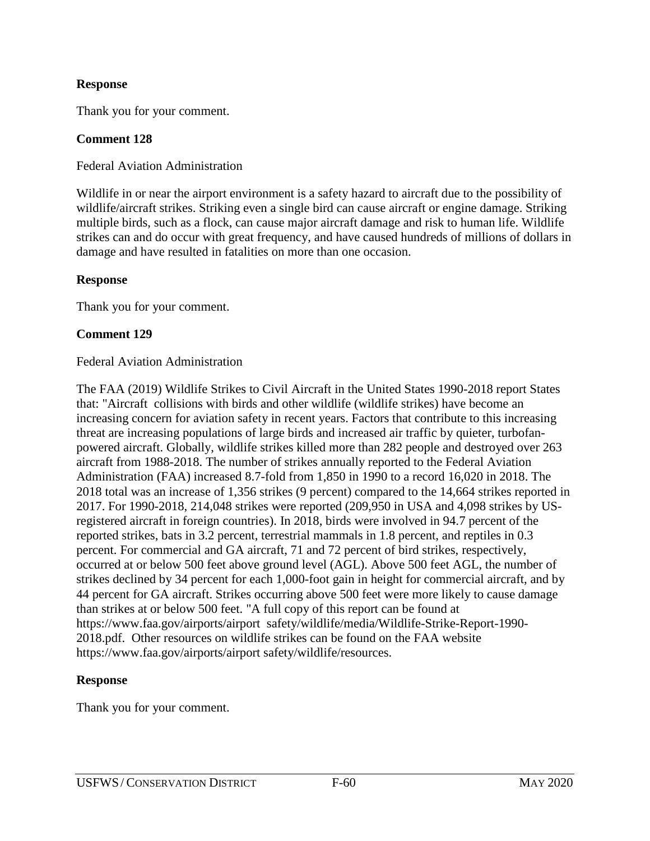Thank you for your comment.

#### **Comment 128**

Federal Aviation Administration

Wildlife in or near the airport environment is a safety hazard to aircraft due to the possibility of wildlife/aircraft strikes. Striking even a single bird can cause aircraft or engine damage. Striking multiple birds, such as a flock, can cause major aircraft damage and risk to human life. Wildlife strikes can and do occur with great frequency, and have caused hundreds of millions of dollars in damage and have resulted in fatalities on more than one occasion.

#### **Response**

Thank you for your comment.

#### **Comment 129**

#### Federal Aviation Administration

The FAA (2019) Wildlife Strikes to Civil Aircraft in the United States 1990-2018 report States that: "Aircraft collisions with birds and other wildlife (wildlife strikes) have become an increasing concern for aviation safety in recent years. Factors that contribute to this increasing threat are increasing populations of large birds and increased air traffic by quieter, turbofanpowered aircraft. Globally, wildlife strikes killed more than 282 people and destroyed over 263 aircraft from 1988-2018. The number of strikes annually reported to the Federal Aviation Administration (FAA) increased 8.7-fold from 1,850 in 1990 to a record 16,020 in 2018. The 2018 total was an increase of 1,356 strikes (9 percent) compared to the 14,664 strikes reported in 2017. For 1990-2018, 214,048 strikes were reported (209,950 in USA and 4,098 strikes by USregistered aircraft in foreign countries). In 2018, birds were involved in 94.7 percent of the reported strikes, bats in 3.2 percent, terrestrial mammals in 1.8 percent, and reptiles in 0.3 percent. For commercial and GA aircraft, 71 and 72 percent of bird strikes, respectively, occurred at or below 500 feet above ground level (AGL). Above 500 feet AGL, the number of strikes declined by 34 percent for each 1,000-foot gain in height for commercial aircraft, and by 44 percent for GA aircraft. Strikes occurring above 500 feet were more likely to cause damage than strikes at or below 500 feet. "A full copy of this report can be found at https://www.faa.gov/airports/airport safety/wildlife/media/Wildlife-Strike-Report-1990- 2018.pdf. Other resources on wildlife strikes can be found on the FAA website https://www.faa.gov/airports/airport safety/wildlife/resources.

#### **Response**

Thank you for your comment.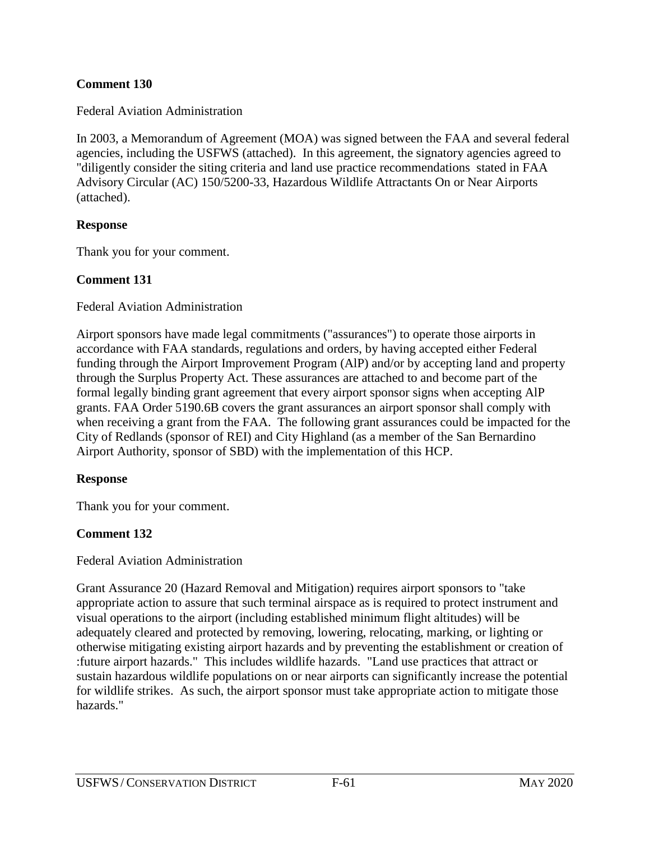### **Comment 130**

Federal Aviation Administration

In 2003, a Memorandum of Agreement (MOA) was signed between the FAA and several federal agencies, including the USFWS (attached). In this agreement, the signatory agencies agreed to "diligently consider the siting criteria and land use practice recommendations stated in FAA Advisory Circular (AC) 150/5200-33, Hazardous Wildlife Attractants On or Near Airports (attached).

### **Response**

Thank you for your comment.

### **Comment 131**

Federal Aviation Administration

Airport sponsors have made legal commitments ("assurances") to operate those airports in accordance with FAA standards, regulations and orders, by having accepted either Federal funding through the Airport Improvement Program (AlP) and/or by accepting land and property through the Surplus Property Act. These assurances are attached to and become part of the formal legally binding grant agreement that every airport sponsor signs when accepting AlP grants. FAA Order 5190.6B covers the grant assurances an airport sponsor shall comply with when receiving a grant from the FAA. The following grant assurances could be impacted for the City of Redlands (sponsor of REI) and City Highland (as a member of the San Bernardino Airport Authority, sponsor of SBD) with the implementation of this HCP.

### **Response**

Thank you for your comment.

## **Comment 132**

#### Federal Aviation Administration

Grant Assurance 20 (Hazard Removal and Mitigation) requires airport sponsors to "take appropriate action to assure that such terminal airspace as is required to protect instrument and visual operations to the airport (including established minimum flight altitudes) will be adequately cleared and protected by removing, lowering, relocating, marking, or lighting or otherwise mitigating existing airport hazards and by preventing the establishment or creation of :future airport hazards." This includes wildlife hazards. "Land use practices that attract or sustain hazardous wildlife populations on or near airports can significantly increase the potential for wildlife strikes. As such, the airport sponsor must take appropriate action to mitigate those hazards."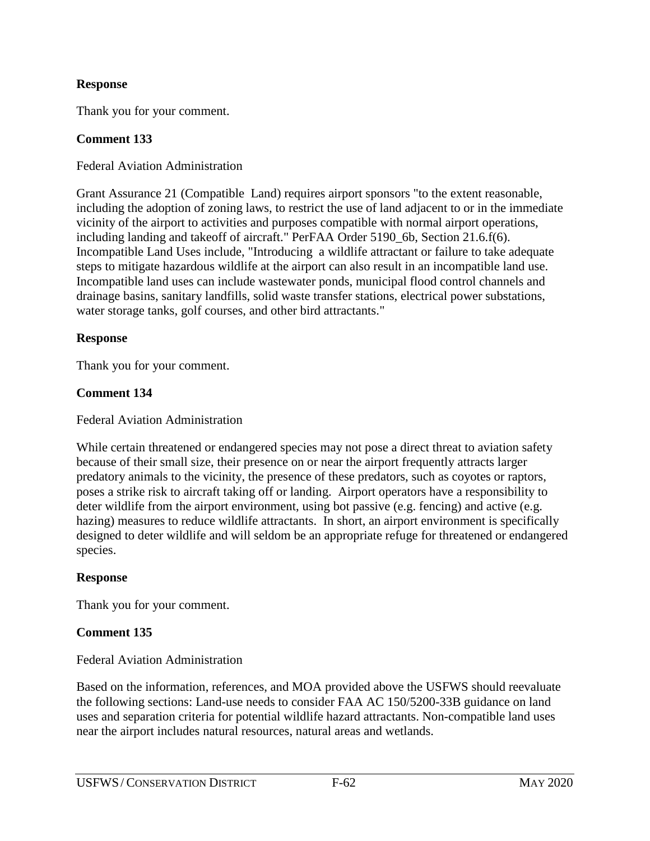Thank you for your comment.

### **Comment 133**

Federal Aviation Administration

Grant Assurance 21 (Compatible Land) requires airport sponsors "to the extent reasonable, including the adoption of zoning laws, to restrict the use of land adjacent to or in the immediate vicinity of the airport to activities and purposes compatible with normal airport operations, including landing and takeoff of aircraft." PerFAA Order 5190\_6b, Section 21.6.f(6). Incompatible Land Uses include, "Introducing a wildlife attractant or failure to take adequate steps to mitigate hazardous wildlife at the airport can also result in an incompatible land use. Incompatible land uses can include wastewater ponds, municipal flood control channels and drainage basins, sanitary landfills, solid waste transfer stations, electrical power substations, water storage tanks, golf courses, and other bird attractants."

#### **Response**

Thank you for your comment.

### **Comment 134**

Federal Aviation Administration

While certain threatened or endangered species may not pose a direct threat to aviation safety because of their small size, their presence on or near the airport frequently attracts larger predatory animals to the vicinity, the presence of these predators, such as coyotes or raptors, poses a strike risk to aircraft taking off or landing. Airport operators have a responsibility to deter wildlife from the airport environment, using bot passive (e.g. fencing) and active (e.g. hazing) measures to reduce wildlife attractants. In short, an airport environment is specifically designed to deter wildlife and will seldom be an appropriate refuge for threatened or endangered species.

### **Response**

Thank you for your comment.

### **Comment 135**

Federal Aviation Administration

Based on the information, references, and MOA provided above the USFWS should reevaluate the following sections: Land-use needs to consider FAA AC 150/5200-33B guidance on land uses and separation criteria for potential wildlife hazard attractants. Non-compatible land uses near the airport includes natural resources, natural areas and wetlands.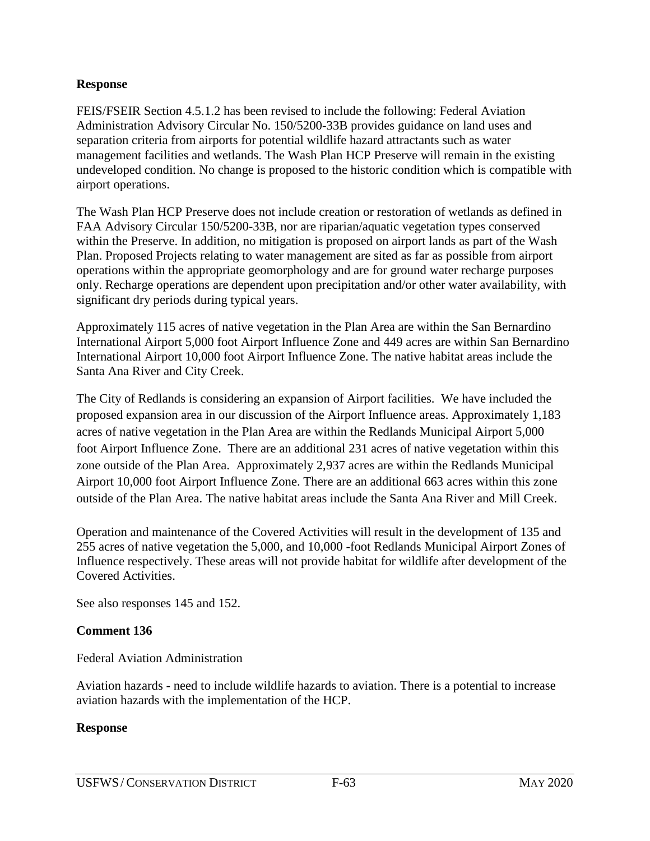FEIS/FSEIR Section 4.5.1.2 has been revised to include the following: Federal Aviation Administration Advisory Circular No. 150/5200-33B provides guidance on land uses and separation criteria from airports for potential wildlife hazard attractants such as water management facilities and wetlands. The Wash Plan HCP Preserve will remain in the existing undeveloped condition. No change is proposed to the historic condition which is compatible with airport operations.

The Wash Plan HCP Preserve does not include creation or restoration of wetlands as defined in FAA Advisory Circular 150/5200-33B, nor are riparian/aquatic vegetation types conserved within the Preserve. In addition, no mitigation is proposed on airport lands as part of the Wash Plan. Proposed Projects relating to water management are sited as far as possible from airport operations within the appropriate geomorphology and are for ground water recharge purposes only. Recharge operations are dependent upon precipitation and/or other water availability, with significant dry periods during typical years.

Approximately 115 acres of native vegetation in the Plan Area are within the San Bernardino International Airport 5,000 foot Airport Influence Zone and 449 acres are within San Bernardino International Airport 10,000 foot Airport Influence Zone. The native habitat areas include the Santa Ana River and City Creek.

The City of Redlands is considering an expansion of Airport facilities. We have included the proposed expansion area in our discussion of the Airport Influence areas. Approximately 1,183 acres of native vegetation in the Plan Area are within the Redlands Municipal Airport 5,000 foot Airport Influence Zone. There are an additional 231 acres of native vegetation within this zone outside of the Plan Area. Approximately 2,937 acres are within the Redlands Municipal Airport 10,000 foot Airport Influence Zone. There are an additional 663 acres within this zone outside of the Plan Area. The native habitat areas include the Santa Ana River and Mill Creek.

Operation and maintenance of the Covered Activities will result in the development of 135 and 255 acres of native vegetation the 5,000, and 10,000 -foot Redlands Municipal Airport Zones of Influence respectively. These areas will not provide habitat for wildlife after development of the Covered Activities.

See also responses 145 and 152.

### **Comment 136**

Federal Aviation Administration

Aviation hazards - need to include wildlife hazards to aviation. There is a potential to increase aviation hazards with the implementation of the HCP.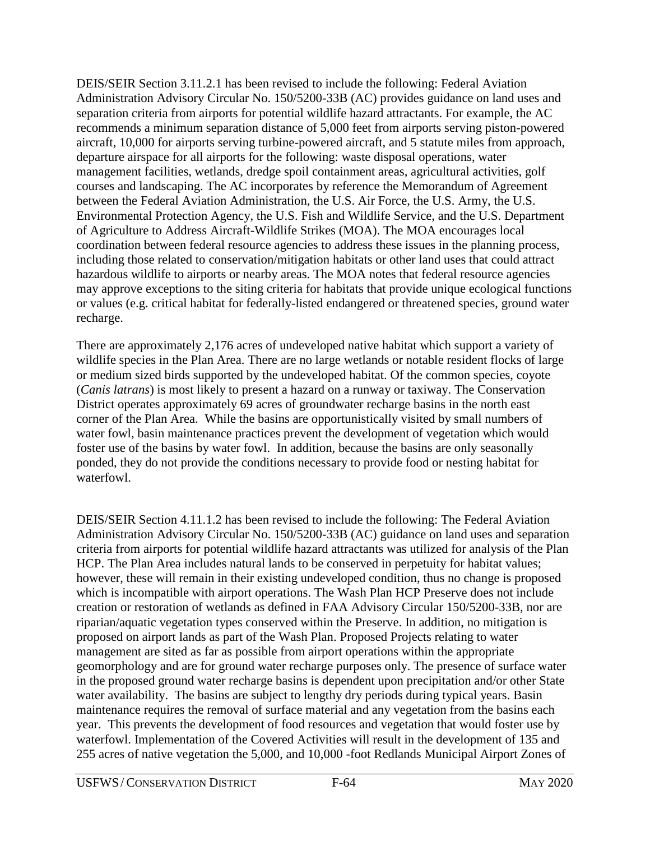DEIS/SEIR Section 3.11.2.1 has been revised to include the following: Federal Aviation Administration Advisory Circular No. 150/5200-33B (AC) provides guidance on land uses and separation criteria from airports for potential wildlife hazard attractants. For example, the AC recommends a minimum separation distance of 5,000 feet from airports serving piston-powered aircraft, 10,000 for airports serving turbine-powered aircraft, and 5 statute miles from approach, departure airspace for all airports for the following: waste disposal operations, water management facilities, wetlands, dredge spoil containment areas, agricultural activities, golf courses and landscaping. The AC incorporates by reference the Memorandum of Agreement between the Federal Aviation Administration, the U.S. Air Force, the U.S. Army, the U.S. Environmental Protection Agency, the U.S. Fish and Wildlife Service, and the U.S. Department of Agriculture to Address Aircraft-Wildlife Strikes (MOA). The MOA encourages local coordination between federal resource agencies to address these issues in the planning process, including those related to conservation/mitigation habitats or other land uses that could attract hazardous wildlife to airports or nearby areas. The MOA notes that federal resource agencies may approve exceptions to the siting criteria for habitats that provide unique ecological functions or values (e.g. critical habitat for federally-listed endangered or threatened species, ground water recharge.

There are approximately 2,176 acres of undeveloped native habitat which support a variety of wildlife species in the Plan Area. There are no large wetlands or notable resident flocks of large or medium sized birds supported by the undeveloped habitat. Of the common species, coyote (*Canis latrans*) is most likely to present a hazard on a runway or taxiway. The Conservation District operates approximately 69 acres of groundwater recharge basins in the north east corner of the Plan Area. While the basins are opportunistically visited by small numbers of water fowl, basin maintenance practices prevent the development of vegetation which would foster use of the basins by water fowl. In addition, because the basins are only seasonally ponded, they do not provide the conditions necessary to provide food or nesting habitat for waterfowl.

DEIS/SEIR Section 4.11.1.2 has been revised to include the following: The Federal Aviation Administration Advisory Circular No. 150/5200-33B (AC) guidance on land uses and separation criteria from airports for potential wildlife hazard attractants was utilized for analysis of the Plan HCP. The Plan Area includes natural lands to be conserved in perpetuity for habitat values; however, these will remain in their existing undeveloped condition, thus no change is proposed which is incompatible with airport operations. The Wash Plan HCP Preserve does not include creation or restoration of wetlands as defined in FAA Advisory Circular 150/5200-33B, nor are riparian/aquatic vegetation types conserved within the Preserve. In addition, no mitigation is proposed on airport lands as part of the Wash Plan. Proposed Projects relating to water management are sited as far as possible from airport operations within the appropriate geomorphology and are for ground water recharge purposes only. The presence of surface water in the proposed ground water recharge basins is dependent upon precipitation and/or other State water availability. The basins are subject to lengthy dry periods during typical years. Basin maintenance requires the removal of surface material and any vegetation from the basins each year. This prevents the development of food resources and vegetation that would foster use by waterfowl. Implementation of the Covered Activities will result in the development of 135 and 255 acres of native vegetation the 5,000, and 10,000 -foot Redlands Municipal Airport Zones of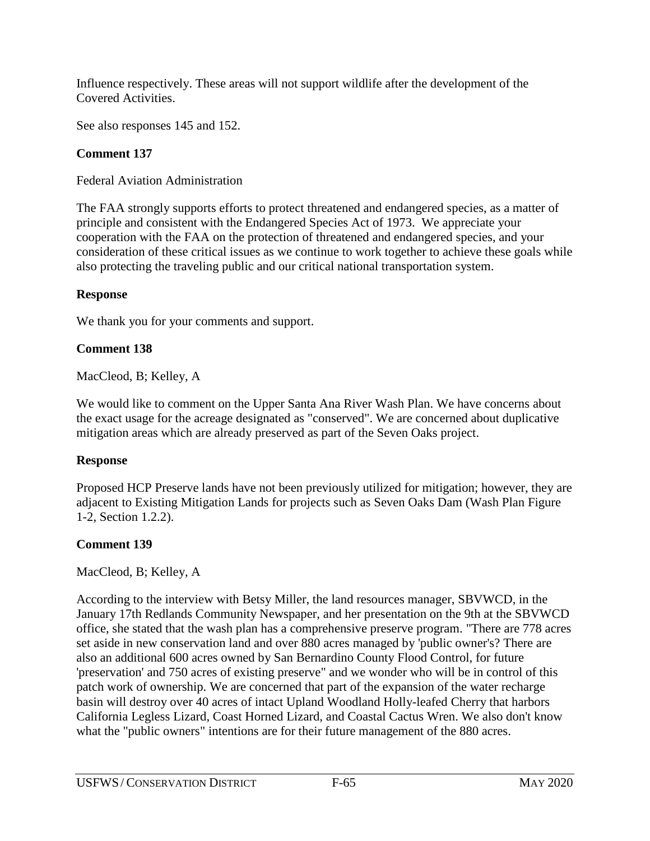Influence respectively. These areas will not support wildlife after the development of the Covered Activities.

See also responses 145 and 152.

## **Comment 137**

Federal Aviation Administration

The FAA strongly supports efforts to protect threatened and endangered species, as a matter of principle and consistent with the Endangered Species Act of 1973. We appreciate your cooperation with the FAA on the protection of threatened and endangered species, and your consideration of these critical issues as we continue to work together to achieve these goals while also protecting the traveling public and our critical national transportation system.

### **Response**

We thank you for your comments and support.

## **Comment 138**

MacCleod, B; Kelley, A

We would like to comment on the Upper Santa Ana River Wash Plan. We have concerns about the exact usage for the acreage designated as "conserved". We are concerned about duplicative mitigation areas which are already preserved as part of the Seven Oaks project.

## **Response**

Proposed HCP Preserve lands have not been previously utilized for mitigation; however, they are adjacent to Existing Mitigation Lands for projects such as Seven Oaks Dam (Wash Plan Figure 1-2, Section 1.2.2).

## **Comment 139**

MacCleod, B; Kelley, A

According to the interview with Betsy Miller, the land resources manager, SBVWCD, in the January 17th Redlands Community Newspaper, and her presentation on the 9th at the SBVWCD office, she stated that the wash plan has a comprehensive preserve program. "There are 778 acres set aside in new conservation land and over 880 acres managed by 'public owner's? There are also an additional 600 acres owned by San Bernardino County Flood Control, for future 'preservation' and 750 acres of existing preserve" and we wonder who will be in control of this patch work of ownership. We are concerned that part of the expansion of the water recharge basin will destroy over 40 acres of intact Upland Woodland Holly-leafed Cherry that harbors California Legless Lizard, Coast Horned Lizard, and Coastal Cactus Wren. We also don't know what the "public owners" intentions are for their future management of the 880 acres.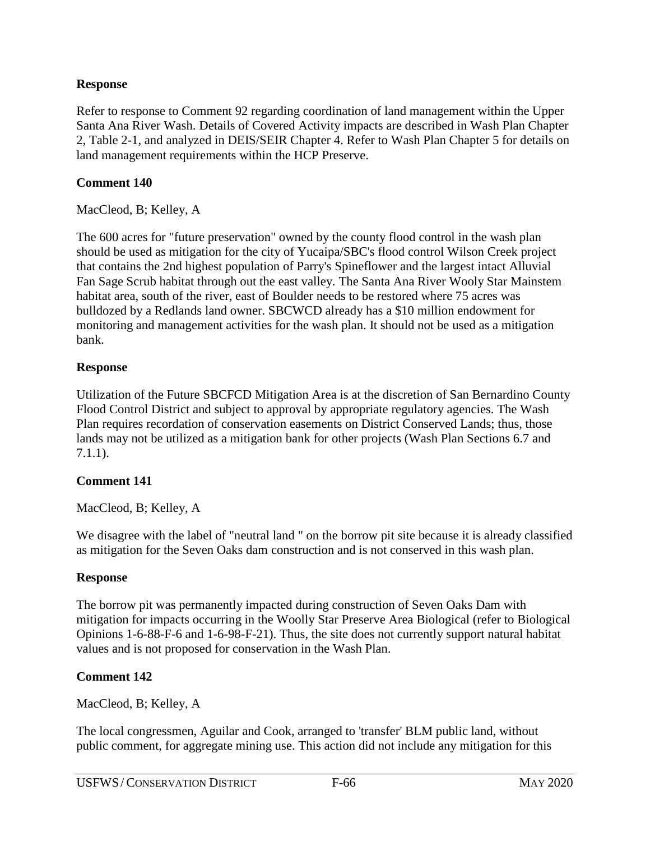Refer to response to Comment 92 regarding coordination of land management within the Upper Santa Ana River Wash. Details of Covered Activity impacts are described in Wash Plan Chapter 2, Table 2-1, and analyzed in DEIS/SEIR Chapter 4. Refer to Wash Plan Chapter 5 for details on land management requirements within the HCP Preserve.

### **Comment 140**

MacCleod, B; Kelley, A

The 600 acres for "future preservation" owned by the county flood control in the wash plan should be used as mitigation for the city of Yucaipa/SBC's flood control Wilson Creek project that contains the 2nd highest population of Parry's Spineflower and the largest intact Alluvial Fan Sage Scrub habitat through out the east valley. The Santa Ana River Wooly Star Mainstem habitat area, south of the river, east of Boulder needs to be restored where 75 acres was bulldozed by a Redlands land owner. SBCWCD already has a \$10 million endowment for monitoring and management activities for the wash plan. It should not be used as a mitigation bank.

### **Response**

Utilization of the Future SBCFCD Mitigation Area is at the discretion of San Bernardino County Flood Control District and subject to approval by appropriate regulatory agencies. The Wash Plan requires recordation of conservation easements on District Conserved Lands; thus, those lands may not be utilized as a mitigation bank for other projects (Wash Plan Sections 6.7 and 7.1.1).

## **Comment 141**

MacCleod, B; Kelley, A

We disagree with the label of "neutral land " on the borrow pit site because it is already classified as mitigation for the Seven Oaks dam construction and is not conserved in this wash plan.

### **Response**

The borrow pit was permanently impacted during construction of Seven Oaks Dam with mitigation for impacts occurring in the Woolly Star Preserve Area Biological (refer to Biological Opinions 1-6-88-F-6 and 1-6-98-F-21). Thus, the site does not currently support natural habitat values and is not proposed for conservation in the Wash Plan.

## **Comment 142**

MacCleod, B; Kelley, A

The local congressmen, Aguilar and Cook, arranged to 'transfer' BLM public land, without public comment, for aggregate mining use. This action did not include any mitigation for this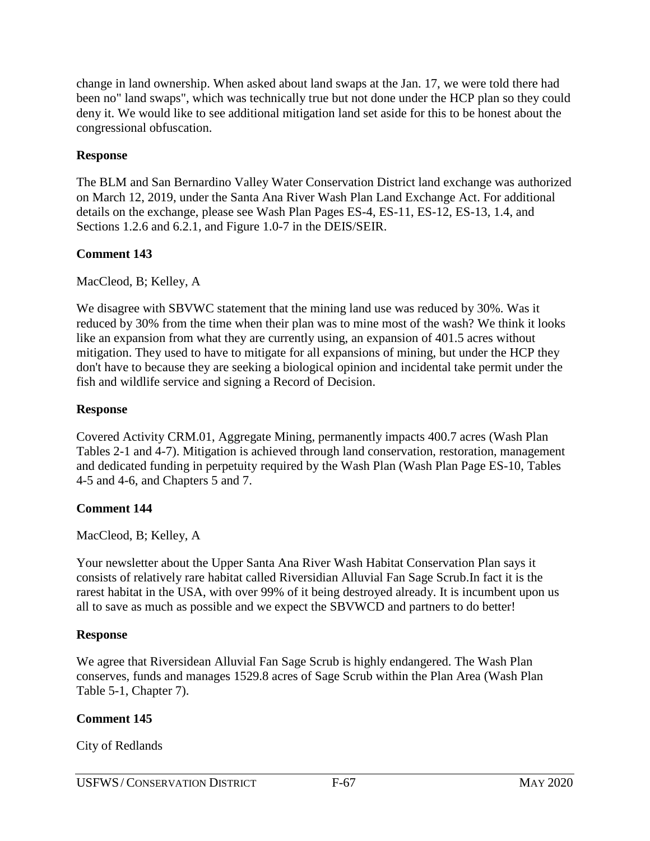change in land ownership. When asked about land swaps at the Jan. 17, we were told there had been no" land swaps", which was technically true but not done under the HCP plan so they could deny it. We would like to see additional mitigation land set aside for this to be honest about the congressional obfuscation.

### **Response**

The BLM and San Bernardino Valley Water Conservation District land exchange was authorized on March 12, 2019, under the Santa Ana River Wash Plan Land Exchange Act. For additional details on the exchange, please see Wash Plan Pages ES-4, ES-11, ES-12, ES-13, 1.4, and Sections 1.2.6 and 6.2.1, and Figure 1.0-7 in the DEIS/SEIR.

## **Comment 143**

MacCleod, B; Kelley, A

We disagree with SBVWC statement that the mining land use was reduced by 30%. Was it reduced by 30% from the time when their plan was to mine most of the wash? We think it looks like an expansion from what they are currently using, an expansion of 401.5 acres without mitigation. They used to have to mitigate for all expansions of mining, but under the HCP they don't have to because they are seeking a biological opinion and incidental take permit under the fish and wildlife service and signing a Record of Decision.

### **Response**

Covered Activity CRM.01, Aggregate Mining, permanently impacts 400.7 acres (Wash Plan Tables 2-1 and 4-7). Mitigation is achieved through land conservation, restoration, management and dedicated funding in perpetuity required by the Wash Plan (Wash Plan Page ES-10, Tables 4-5 and 4-6, and Chapters 5 and 7.

### **Comment 144**

MacCleod, B; Kelley, A

Your newsletter about the Upper Santa Ana River Wash Habitat Conservation Plan says it consists of relatively rare habitat called Riversidian Alluvial Fan Sage Scrub.In fact it is the rarest habitat in the USA, with over 99% of it being destroyed already. It is incumbent upon us all to save as much as possible and we expect the SBVWCD and partners to do better!

### **Response**

We agree that Riversidean Alluvial Fan Sage Scrub is highly endangered. The Wash Plan conserves, funds and manages 1529.8 acres of Sage Scrub within the Plan Area (Wash Plan Table 5-1, Chapter 7).

## **Comment 145**

City of Redlands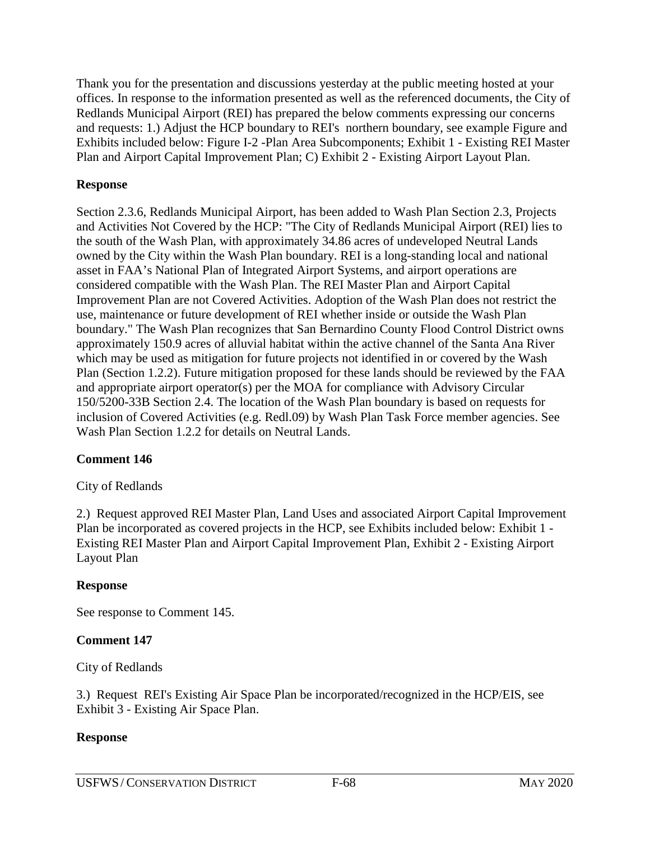Thank you for the presentation and discussions yesterday at the public meeting hosted at your offices. In response to the information presented as well as the referenced documents, the City of Redlands Municipal Airport (REI) has prepared the below comments expressing our concerns and requests: 1.) Adjust the HCP boundary to REI's northern boundary, see example Figure and Exhibits included below: Figure I-2 -Plan Area Subcomponents; Exhibit 1 - Existing REI Master Plan and Airport Capital Improvement Plan; C) Exhibit 2 - Existing Airport Layout Plan.

## **Response**

Section 2.3.6, Redlands Municipal Airport, has been added to Wash Plan Section 2.3, Projects and Activities Not Covered by the HCP: "The City of Redlands Municipal Airport (REI) lies to the south of the Wash Plan, with approximately 34.86 acres of undeveloped Neutral Lands owned by the City within the Wash Plan boundary. REI is a long-standing local and national asset in FAA's National Plan of Integrated Airport Systems, and airport operations are considered compatible with the Wash Plan. The REI Master Plan and Airport Capital Improvement Plan are not Covered Activities. Adoption of the Wash Plan does not restrict the use, maintenance or future development of REI whether inside or outside the Wash Plan boundary." The Wash Plan recognizes that San Bernardino County Flood Control District owns approximately 150.9 acres of alluvial habitat within the active channel of the Santa Ana River which may be used as mitigation for future projects not identified in or covered by the Wash Plan (Section 1.2.2). Future mitigation proposed for these lands should be reviewed by the FAA and appropriate airport operator(s) per the MOA for compliance with Advisory Circular 150/5200-33B Section 2.4. The location of the Wash Plan boundary is based on requests for inclusion of Covered Activities (e.g. Redl.09) by Wash Plan Task Force member agencies. See Wash Plan Section 1.2.2 for details on Neutral Lands.

## **Comment 146**

## City of Redlands

2.) Request approved REI Master Plan, Land Uses and associated Airport Capital Improvement Plan be incorporated as covered projects in the HCP, see Exhibits included below: Exhibit 1 - Existing REI Master Plan and Airport Capital Improvement Plan, Exhibit 2 - Existing Airport Layout Plan

### **Response**

See response to Comment 145.

## **Comment 147**

City of Redlands

3.) Request REI's Existing Air Space Plan be incorporated/recognized in the HCP/EIS, see Exhibit 3 - Existing Air Space Plan.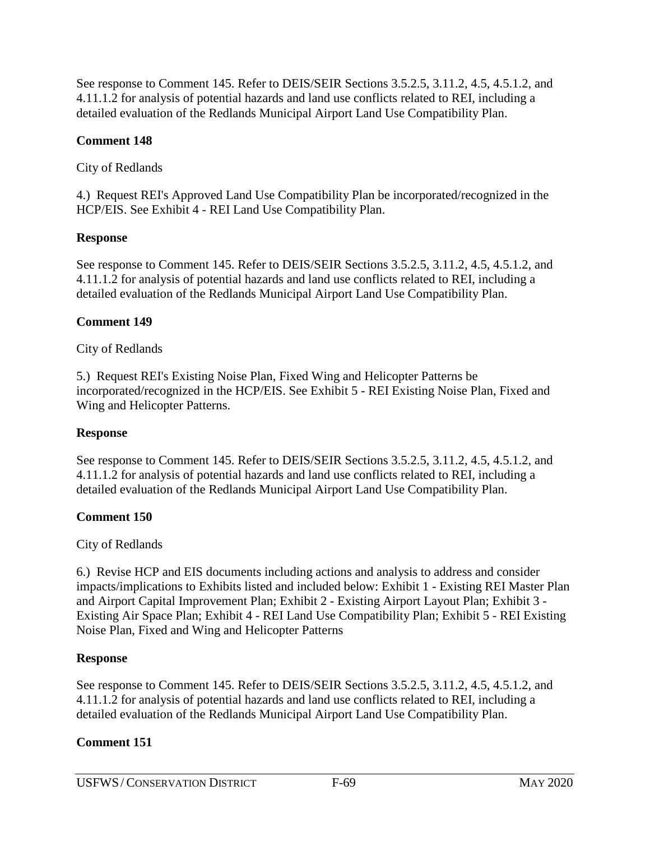See response to Comment 145. Refer to DEIS/SEIR Sections 3.5.2.5, 3.11.2, 4.5, 4.5.1.2, and 4.11.1.2 for analysis of potential hazards and land use conflicts related to REI, including a detailed evaluation of the Redlands Municipal Airport Land Use Compatibility Plan.

## **Comment 148**

City of Redlands

4.) Request REI's Approved Land Use Compatibility Plan be incorporated/recognized in the HCP/EIS. See Exhibit 4 - REI Land Use Compatibility Plan.

# **Response**

See response to Comment 145. Refer to DEIS/SEIR Sections 3.5.2.5, 3.11.2, 4.5, 4.5.1.2, and 4.11.1.2 for analysis of potential hazards and land use conflicts related to REI, including a detailed evaluation of the Redlands Municipal Airport Land Use Compatibility Plan.

# **Comment 149**

# City of Redlands

5.) Request REI's Existing Noise Plan, Fixed Wing and Helicopter Patterns be incorporated/recognized in the HCP/EIS. See Exhibit 5 - REI Existing Noise Plan, Fixed and Wing and Helicopter Patterns.

# **Response**

See response to Comment 145. Refer to DEIS/SEIR Sections 3.5.2.5, 3.11.2, 4.5, 4.5.1.2, and 4.11.1.2 for analysis of potential hazards and land use conflicts related to REI, including a detailed evaluation of the Redlands Municipal Airport Land Use Compatibility Plan.

# **Comment 150**

City of Redlands

6.) Revise HCP and EIS documents including actions and analysis to address and consider impacts/implications to Exhibits listed and included below: Exhibit 1 - Existing REI Master Plan and Airport Capital Improvement Plan; Exhibit 2 - Existing Airport Layout Plan; Exhibit 3 - Existing Air Space Plan; Exhibit 4 - REI Land Use Compatibility Plan; Exhibit 5 - REI Existing Noise Plan, Fixed and Wing and Helicopter Patterns

# **Response**

See response to Comment 145. Refer to DEIS/SEIR Sections 3.5.2.5, 3.11.2, 4.5, 4.5.1.2, and 4.11.1.2 for analysis of potential hazards and land use conflicts related to REI, including a detailed evaluation of the Redlands Municipal Airport Land Use Compatibility Plan.

# **Comment 151**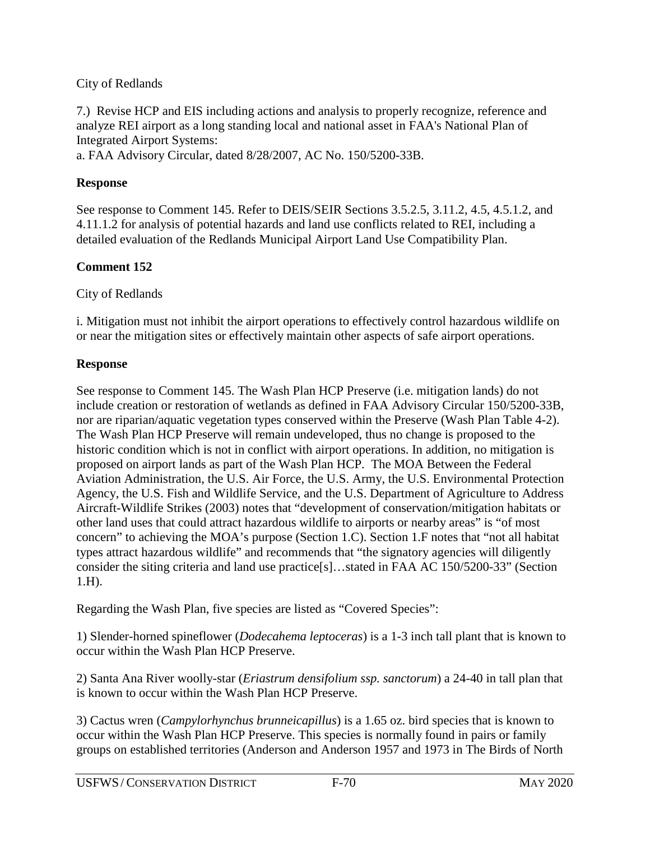### City of Redlands

7.) Revise HCP and EIS including actions and analysis to properly recognize, reference and analyze REI airport as a long standing local and national asset in FAA's National Plan of Integrated Airport Systems:

a. FAA Advisory Circular, dated 8/28/2007, AC No. 150/5200-33B.

### **Response**

See response to Comment 145. Refer to DEIS/SEIR Sections 3.5.2.5, 3.11.2, 4.5, 4.5.1.2, and 4.11.1.2 for analysis of potential hazards and land use conflicts related to REI, including a detailed evaluation of the Redlands Municipal Airport Land Use Compatibility Plan.

## **Comment 152**

City of Redlands

i. Mitigation must not inhibit the airport operations to effectively control hazardous wildlife on or near the mitigation sites or effectively maintain other aspects of safe airport operations.

### **Response**

See response to Comment 145. The Wash Plan HCP Preserve (i.e. mitigation lands) do not include creation or restoration of wetlands as defined in FAA Advisory Circular 150/5200-33B, nor are riparian/aquatic vegetation types conserved within the Preserve (Wash Plan Table 4-2). The Wash Plan HCP Preserve will remain undeveloped, thus no change is proposed to the historic condition which is not in conflict with airport operations. In addition, no mitigation is proposed on airport lands as part of the Wash Plan HCP. The MOA Between the Federal Aviation Administration, the U.S. Air Force, the U.S. Army, the U.S. Environmental Protection Agency, the U.S. Fish and Wildlife Service, and the U.S. Department of Agriculture to Address Aircraft-Wildlife Strikes (2003) notes that "development of conservation/mitigation habitats or other land uses that could attract hazardous wildlife to airports or nearby areas" is "of most concern" to achieving the MOA's purpose (Section 1.C). Section 1.F notes that "not all habitat types attract hazardous wildlife" and recommends that "the signatory agencies will diligently consider the siting criteria and land use practice[s]…stated in FAA AC 150/5200-33" (Section 1.H).

Regarding the Wash Plan, five species are listed as "Covered Species":

1) Slender-horned spineflower (*Dodecahema leptoceras*) is a 1-3 inch tall plant that is known to occur within the Wash Plan HCP Preserve.

2) Santa Ana River woolly-star (*Eriastrum densifolium ssp. sanctorum*) a 24-40 in tall plan that is known to occur within the Wash Plan HCP Preserve.

3) Cactus wren (*Campylorhynchus brunneicapillus*) is a 1.65 oz. bird species that is known to occur within the Wash Plan HCP Preserve. This species is normally found in pairs or family groups on established territories (Anderson and Anderson 1957 and 1973 in The Birds of North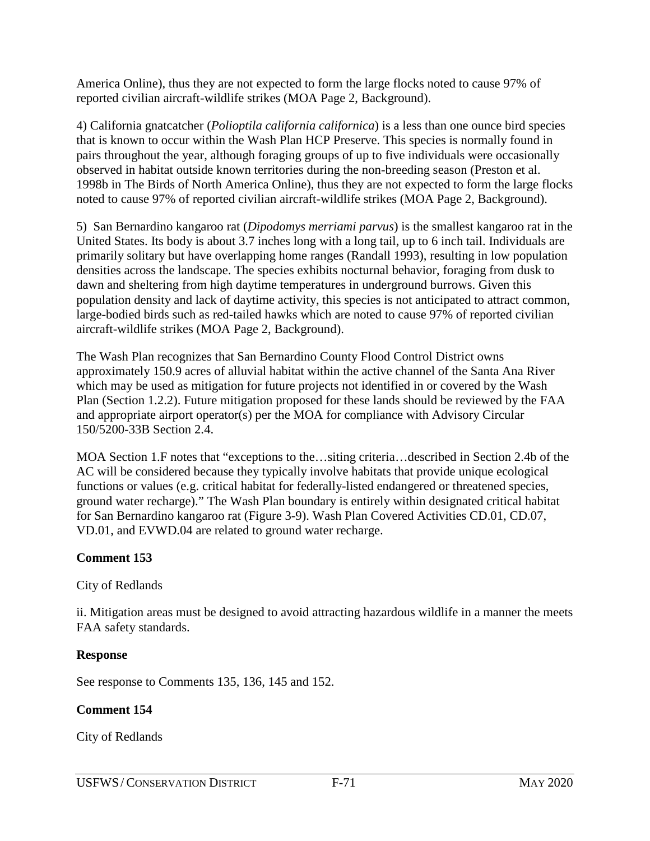America Online), thus they are not expected to form the large flocks noted to cause 97% of reported civilian aircraft-wildlife strikes (MOA Page 2, Background).

4) California gnatcatcher (*Polioptila california californica*) is a less than one ounce bird species that is known to occur within the Wash Plan HCP Preserve. This species is normally found in pairs throughout the year, although foraging groups of up to five individuals were occasionally observed in habitat outside known territories during the non-breeding season (Preston et al. 1998b in The Birds of North America Online), thus they are not expected to form the large flocks noted to cause 97% of reported civilian aircraft-wildlife strikes (MOA Page 2, Background).

5) San Bernardino kangaroo rat (*Dipodomys merriami parvus*) is the smallest kangaroo rat in the United States. Its body is about 3.7 inches long with a long tail, up to 6 inch tail. Individuals are primarily solitary but have overlapping home ranges (Randall 1993), resulting in low population densities across the landscape. The species exhibits nocturnal behavior, foraging from dusk to dawn and sheltering from high daytime temperatures in underground burrows. Given this population density and lack of daytime activity, this species is not anticipated to attract common, large-bodied birds such as red-tailed hawks which are noted to cause 97% of reported civilian aircraft-wildlife strikes (MOA Page 2, Background).

The Wash Plan recognizes that San Bernardino County Flood Control District owns approximately 150.9 acres of alluvial habitat within the active channel of the Santa Ana River which may be used as mitigation for future projects not identified in or covered by the Wash Plan (Section 1.2.2). Future mitigation proposed for these lands should be reviewed by the FAA and appropriate airport operator(s) per the MOA for compliance with Advisory Circular 150/5200-33B Section 2.4.

MOA Section 1.F notes that "exceptions to the…siting criteria…described in Section 2.4b of the AC will be considered because they typically involve habitats that provide unique ecological functions or values (e.g. critical habitat for federally-listed endangered or threatened species, ground water recharge)." The Wash Plan boundary is entirely within designated critical habitat for San Bernardino kangaroo rat (Figure 3-9). Wash Plan Covered Activities CD.01, CD.07, VD.01, and EVWD.04 are related to ground water recharge.

## **Comment 153**

City of Redlands

ii. Mitigation areas must be designed to avoid attracting hazardous wildlife in a manner the meets FAA safety standards.

## **Response**

See response to Comments 135, 136, 145 and 152.

## **Comment 154**

City of Redlands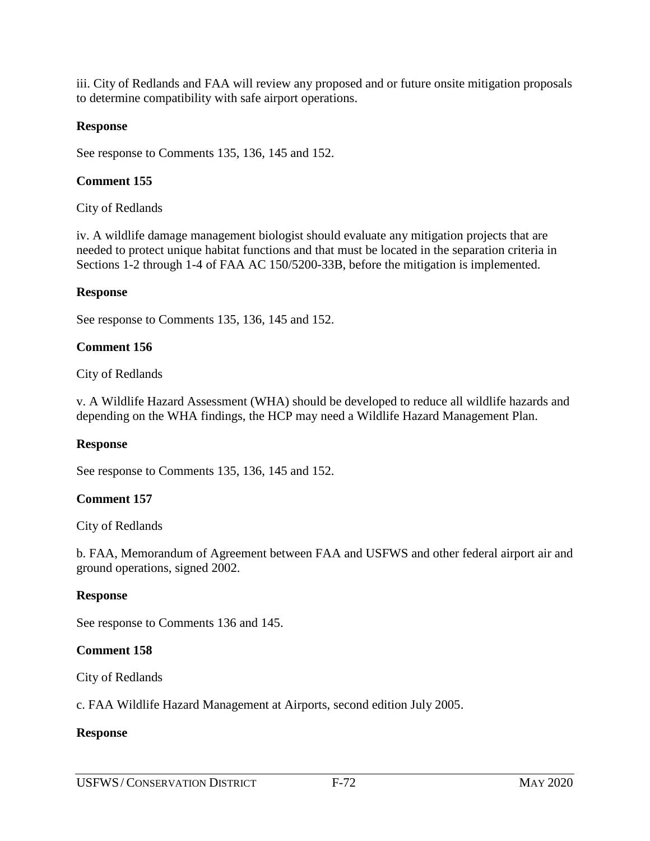iii. City of Redlands and FAA will review any proposed and or future onsite mitigation proposals to determine compatibility with safe airport operations.

### **Response**

See response to Comments 135, 136, 145 and 152.

### **Comment 155**

City of Redlands

iv. A wildlife damage management biologist should evaluate any mitigation projects that are needed to protect unique habitat functions and that must be located in the separation criteria in Sections 1-2 through 1-4 of FAA AC 150/5200-33B, before the mitigation is implemented.

#### **Response**

See response to Comments 135, 136, 145 and 152.

#### **Comment 156**

City of Redlands

v. A Wildlife Hazard Assessment (WHA) should be developed to reduce all wildlife hazards and depending on the WHA findings, the HCP may need a Wildlife Hazard Management Plan.

#### **Response**

See response to Comments 135, 136, 145 and 152.

### **Comment 157**

City of Redlands

b. FAA, Memorandum of Agreement between FAA and USFWS and other federal airport air and ground operations, signed 2002.

#### **Response**

See response to Comments 136 and 145.

### **Comment 158**

City of Redlands

c. FAA Wildlife Hazard Management at Airports, second edition July 2005.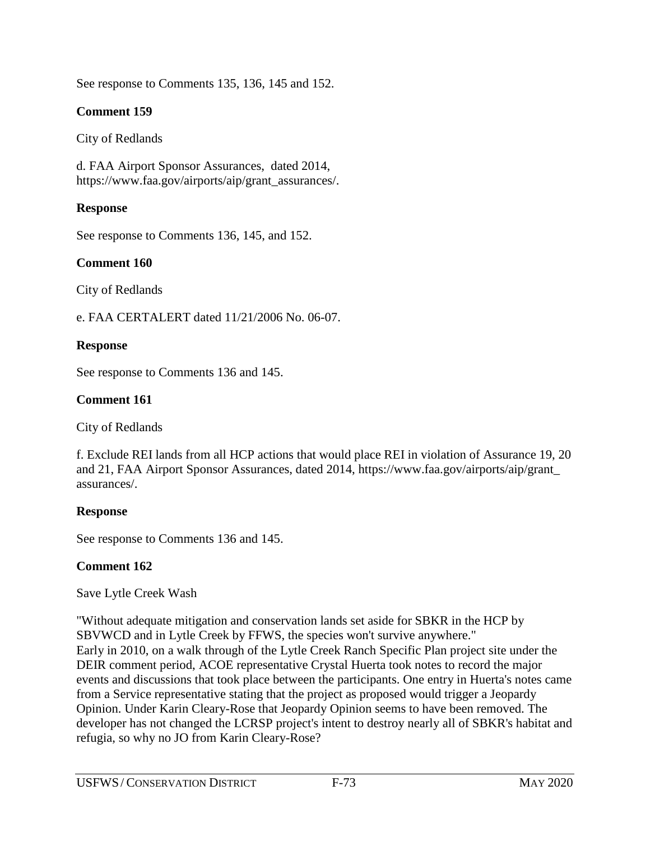See response to Comments 135, 136, 145 and 152.

### **Comment 159**

#### City of Redlands

d. FAA Airport Sponsor Assurances, dated 2014, https://www.faa.gov/airports/aip/grant\_assurances/.

### **Response**

See response to Comments 136, 145, and 152.

### **Comment 160**

City of Redlands

e. FAA CERTALERT dated 11/21/2006 No. 06-07.

### **Response**

See response to Comments 136 and 145.

### **Comment 161**

City of Redlands

f. Exclude REI lands from all HCP actions that would place REI in violation of Assurance 19, 20 and 21, FAA Airport Sponsor Assurances, dated 2014, https://www.faa.gov/airports/aip/grant\_ assurances/.

### **Response**

See response to Comments 136 and 145.

### **Comment 162**

Save Lytle Creek Wash

"Without adequate mitigation and conservation lands set aside for SBKR in the HCP by SBVWCD and in Lytle Creek by FFWS, the species won't survive anywhere." Early in 2010, on a walk through of the Lytle Creek Ranch Specific Plan project site under the DEIR comment period, ACOE representative Crystal Huerta took notes to record the major events and discussions that took place between the participants. One entry in Huerta's notes came from a Service representative stating that the project as proposed would trigger a Jeopardy Opinion. Under Karin Cleary-Rose that Jeopardy Opinion seems to have been removed. The developer has not changed the LCRSP project's intent to destroy nearly all of SBKR's habitat and refugia, so why no JO from Karin Cleary-Rose?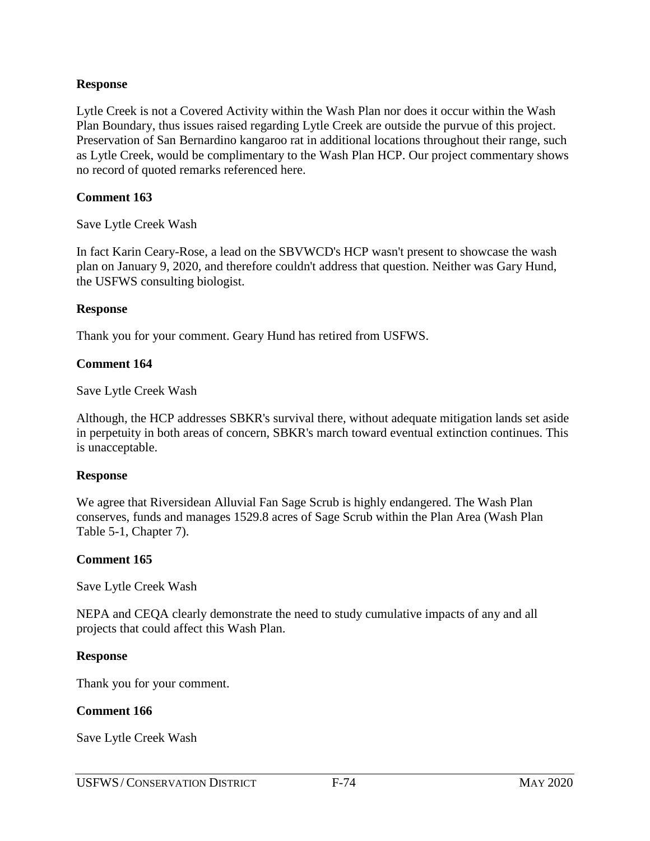#### **Response**

Lytle Creek is not a Covered Activity within the Wash Plan nor does it occur within the Wash Plan Boundary, thus issues raised regarding Lytle Creek are outside the purvue of this project. Preservation of San Bernardino kangaroo rat in additional locations throughout their range, such as Lytle Creek, would be complimentary to the Wash Plan HCP. Our project commentary shows no record of quoted remarks referenced here.

### **Comment 163**

Save Lytle Creek Wash

In fact Karin Ceary-Rose, a lead on the SBVWCD's HCP wasn't present to showcase the wash plan on January 9, 2020, and therefore couldn't address that question. Neither was Gary Hund, the USFWS consulting biologist.

### **Response**

Thank you for your comment. Geary Hund has retired from USFWS.

### **Comment 164**

Save Lytle Creek Wash

Although, the HCP addresses SBKR's survival there, without adequate mitigation lands set aside in perpetuity in both areas of concern, SBKR's march toward eventual extinction continues. This is unacceptable.

#### **Response**

We agree that Riversidean Alluvial Fan Sage Scrub is highly endangered. The Wash Plan conserves, funds and manages 1529.8 acres of Sage Scrub within the Plan Area (Wash Plan Table 5-1, Chapter 7).

### **Comment 165**

Save Lytle Creek Wash

NEPA and CEQA clearly demonstrate the need to study cumulative impacts of any and all projects that could affect this Wash Plan.

### **Response**

Thank you for your comment.

### **Comment 166**

Save Lytle Creek Wash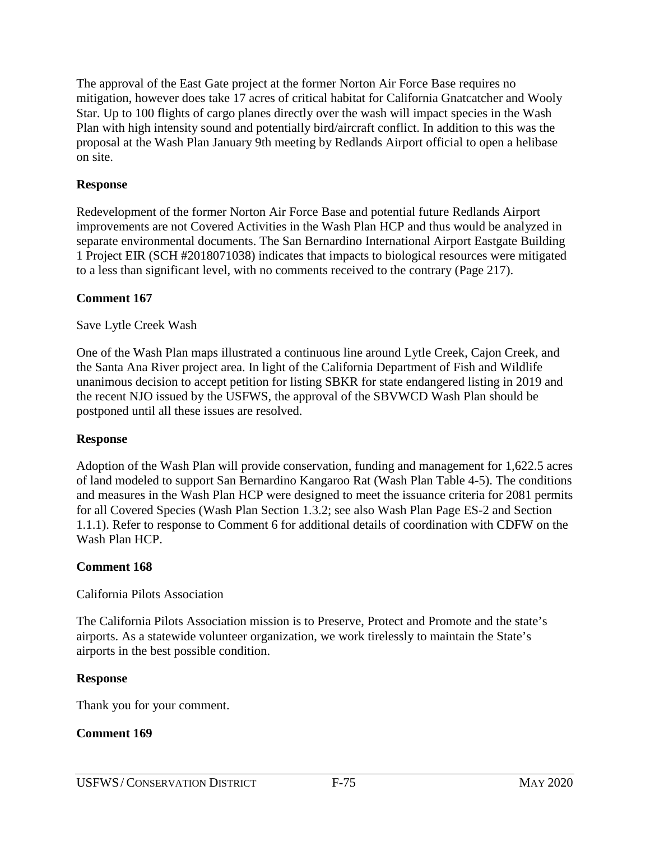The approval of the East Gate project at the former Norton Air Force Base requires no mitigation, however does take 17 acres of critical habitat for California Gnatcatcher and Wooly Star. Up to 100 flights of cargo planes directly over the wash will impact species in the Wash Plan with high intensity sound and potentially bird/aircraft conflict. In addition to this was the proposal at the Wash Plan January 9th meeting by Redlands Airport official to open a helibase on site.

### **Response**

Redevelopment of the former Norton Air Force Base and potential future Redlands Airport improvements are not Covered Activities in the Wash Plan HCP and thus would be analyzed in separate environmental documents. The San Bernardino International Airport Eastgate Building 1 Project EIR (SCH #2018071038) indicates that impacts to biological resources were mitigated to a less than significant level, with no comments received to the contrary (Page 217).

### **Comment 167**

### Save Lytle Creek Wash

One of the Wash Plan maps illustrated a continuous line around Lytle Creek, Cajon Creek, and the Santa Ana River project area. In light of the California Department of Fish and Wildlife unanimous decision to accept petition for listing SBKR for state endangered listing in 2019 and the recent NJO issued by the USFWS, the approval of the SBVWCD Wash Plan should be postponed until all these issues are resolved.

### **Response**

Adoption of the Wash Plan will provide conservation, funding and management for 1,622.5 acres of land modeled to support San Bernardino Kangaroo Rat (Wash Plan Table 4-5). The conditions and measures in the Wash Plan HCP were designed to meet the issuance criteria for 2081 permits for all Covered Species (Wash Plan Section 1.3.2; see also Wash Plan Page ES-2 and Section 1.1.1). Refer to response to Comment 6 for additional details of coordination with CDFW on the Wash Plan HCP.

### **Comment 168**

# California Pilots Association

The California Pilots Association mission is to Preserve, Protect and Promote and the state's airports. As a statewide volunteer organization, we work tirelessly to maintain the State's airports in the best possible condition.

# **Response**

Thank you for your comment.

### **Comment 169**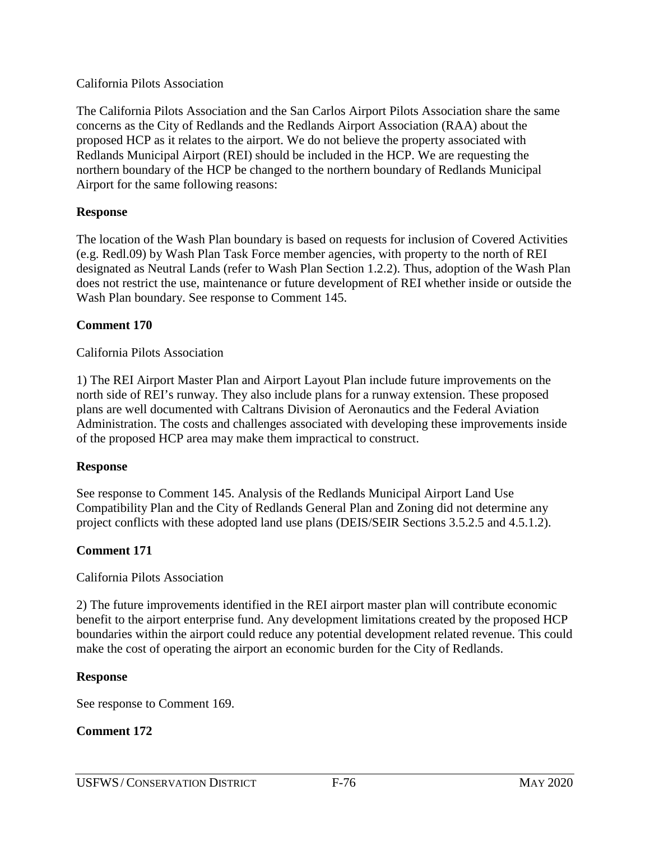### California Pilots Association

The California Pilots Association and the San Carlos Airport Pilots Association share the same concerns as the City of Redlands and the Redlands Airport Association (RAA) about the proposed HCP as it relates to the airport. We do not believe the property associated with Redlands Municipal Airport (REI) should be included in the HCP. We are requesting the northern boundary of the HCP be changed to the northern boundary of Redlands Municipal Airport for the same following reasons:

### **Response**

The location of the Wash Plan boundary is based on requests for inclusion of Covered Activities (e.g. Redl.09) by Wash Plan Task Force member agencies, with property to the north of REI designated as Neutral Lands (refer to Wash Plan Section 1.2.2). Thus, adoption of the Wash Plan does not restrict the use, maintenance or future development of REI whether inside or outside the Wash Plan boundary. See response to Comment 145.

### **Comment 170**

California Pilots Association

1) The REI Airport Master Plan and Airport Layout Plan include future improvements on the north side of REI's runway. They also include plans for a runway extension. These proposed plans are well documented with Caltrans Division of Aeronautics and the Federal Aviation Administration. The costs and challenges associated with developing these improvements inside of the proposed HCP area may make them impractical to construct.

### **Response**

See response to Comment 145. Analysis of the Redlands Municipal Airport Land Use Compatibility Plan and the City of Redlands General Plan and Zoning did not determine any project conflicts with these adopted land use plans (DEIS/SEIR Sections 3.5.2.5 and 4.5.1.2).

### **Comment 171**

### California Pilots Association

2) The future improvements identified in the REI airport master plan will contribute economic benefit to the airport enterprise fund. Any development limitations created by the proposed HCP boundaries within the airport could reduce any potential development related revenue. This could make the cost of operating the airport an economic burden for the City of Redlands.

### **Response**

See response to Comment 169.

### **Comment 172**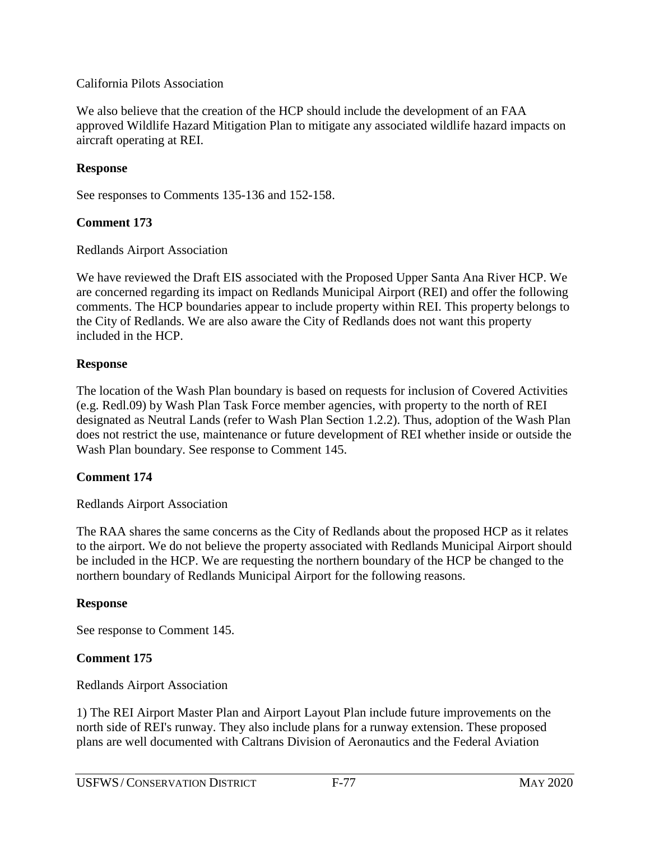### California Pilots Association

We also believe that the creation of the HCP should include the development of an FAA approved Wildlife Hazard Mitigation Plan to mitigate any associated wildlife hazard impacts on aircraft operating at REI.

### **Response**

See responses to Comments 135-136 and 152-158.

### **Comment 173**

Redlands Airport Association

We have reviewed the Draft EIS associated with the Proposed Upper Santa Ana River HCP. We are concerned regarding its impact on Redlands Municipal Airport (REI) and offer the following comments. The HCP boundaries appear to include property within REI. This property belongs to the City of Redlands. We are also aware the City of Redlands does not want this property included in the HCP.

### **Response**

The location of the Wash Plan boundary is based on requests for inclusion of Covered Activities (e.g. Redl.09) by Wash Plan Task Force member agencies, with property to the north of REI designated as Neutral Lands (refer to Wash Plan Section 1.2.2). Thus, adoption of the Wash Plan does not restrict the use, maintenance or future development of REI whether inside or outside the Wash Plan boundary. See response to Comment 145.

#### **Comment 174**

Redlands Airport Association

The RAA shares the same concerns as the City of Redlands about the proposed HCP as it relates to the airport. We do not believe the property associated with Redlands Municipal Airport should be included in the HCP. We are requesting the northern boundary of the HCP be changed to the northern boundary of Redlands Municipal Airport for the following reasons.

#### **Response**

See response to Comment 145.

### **Comment 175**

Redlands Airport Association

1) The REI Airport Master Plan and Airport Layout Plan include future improvements on the north side of REI's runway. They also include plans for a runway extension. These proposed plans are well documented with Caltrans Division of Aeronautics and the Federal Aviation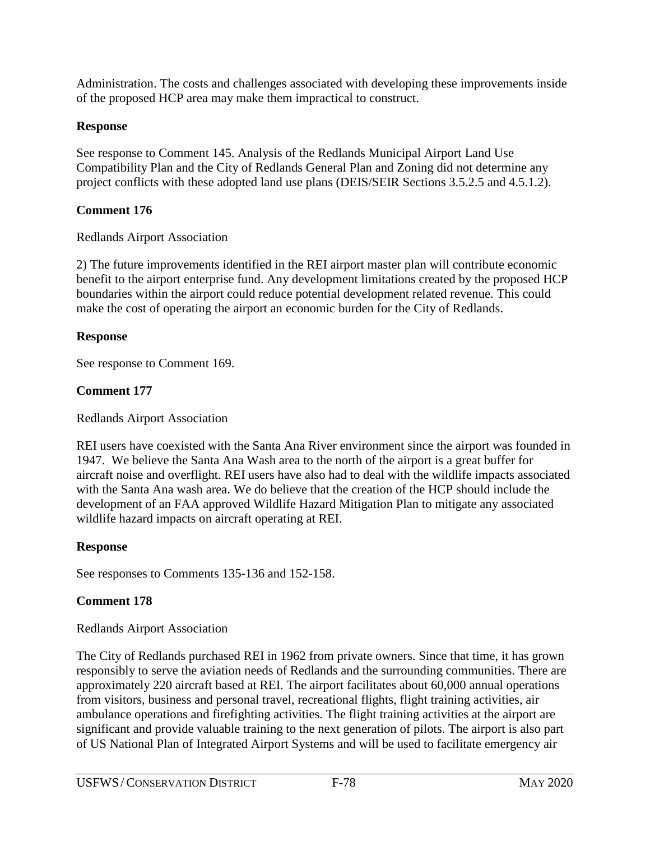Administration. The costs and challenges associated with developing these improvements inside of the proposed HCP area may make them impractical to construct.

# **Response**

See response to Comment 145. Analysis of the Redlands Municipal Airport Land Use Compatibility Plan and the City of Redlands General Plan and Zoning did not determine any project conflicts with these adopted land use plans (DEIS/SEIR Sections 3.5.2.5 and 4.5.1.2).

# **Comment 176**

Redlands Airport Association

2) The future improvements identified in the REI airport master plan will contribute economic benefit to the airport enterprise fund. Any development limitations created by the proposed HCP boundaries within the airport could reduce potential development related revenue. This could make the cost of operating the airport an economic burden for the City of Redlands.

# **Response**

See response to Comment 169.

# **Comment 177**

Redlands Airport Association

REI users have coexisted with the Santa Ana River environment since the airport was founded in 1947. We believe the Santa Ana Wash area to the north of the airport is a great buffer for aircraft noise and overflight. REI users have also had to deal with the wildlife impacts associated with the Santa Ana wash area. We do believe that the creation of the HCP should include the development of an FAA approved Wildlife Hazard Mitigation Plan to mitigate any associated wildlife hazard impacts on aircraft operating at REI.

# **Response**

See responses to Comments 135-136 and 152-158.

# **Comment 178**

Redlands Airport Association

The City of Redlands purchased REI in 1962 from private owners. Since that time, it has grown responsibly to serve the aviation needs of Redlands and the surrounding communities. There are approximately 220 aircraft based at REI. The airport facilitates about 60,000 annual operations from visitors, business and personal travel, recreational flights, flight training activities, air ambulance operations and firefighting activities. The flight training activities at the airport are significant and provide valuable training to the next generation of pilots. The airport is also part of US National Plan of Integrated Airport Systems and will be used to facilitate emergency air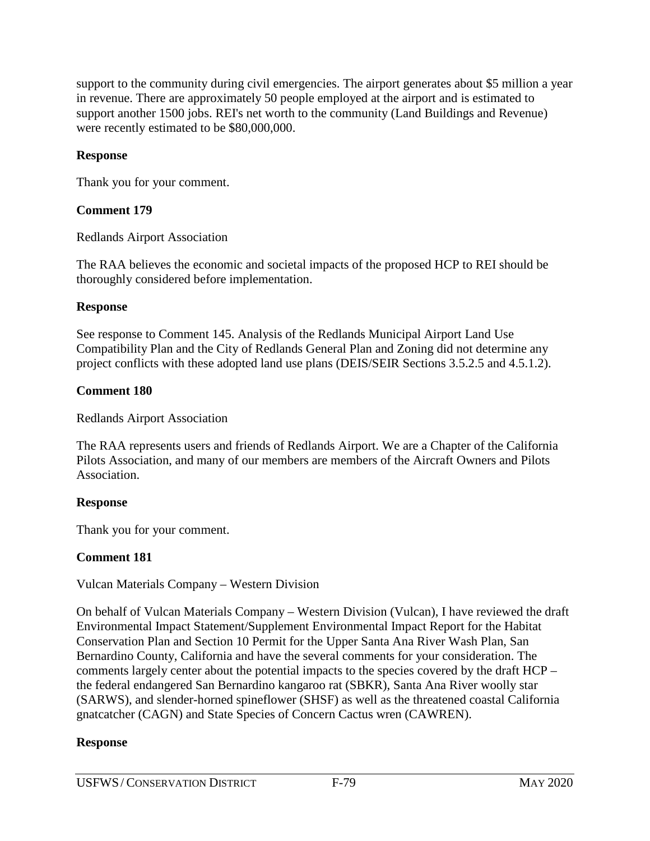support to the community during civil emergencies. The airport generates about \$5 million a year in revenue. There are approximately 50 people employed at the airport and is estimated to support another 1500 jobs. REI's net worth to the community (Land Buildings and Revenue) were recently estimated to be \$80,000,000.

### **Response**

Thank you for your comment.

# **Comment 179**

Redlands Airport Association

The RAA believes the economic and societal impacts of the proposed HCP to REI should be thoroughly considered before implementation.

# **Response**

See response to Comment 145. Analysis of the Redlands Municipal Airport Land Use Compatibility Plan and the City of Redlands General Plan and Zoning did not determine any project conflicts with these adopted land use plans (DEIS/SEIR Sections 3.5.2.5 and 4.5.1.2).

# **Comment 180**

Redlands Airport Association

The RAA represents users and friends of Redlands Airport. We are a Chapter of the California Pilots Association, and many of our members are members of the Aircraft Owners and Pilots Association.

# **Response**

Thank you for your comment.

# **Comment 181**

# Vulcan Materials Company – Western Division

On behalf of Vulcan Materials Company – Western Division (Vulcan), I have reviewed the draft Environmental Impact Statement/Supplement Environmental Impact Report for the Habitat Conservation Plan and Section 10 Permit for the Upper Santa Ana River Wash Plan, San Bernardino County, California and have the several comments for your consideration. The comments largely center about the potential impacts to the species covered by the draft HCP – the federal endangered San Bernardino kangaroo rat (SBKR), Santa Ana River woolly star (SARWS), and slender-horned spineflower (SHSF) as well as the threatened coastal California gnatcatcher (CAGN) and State Species of Concern Cactus wren (CAWREN).

# **Response**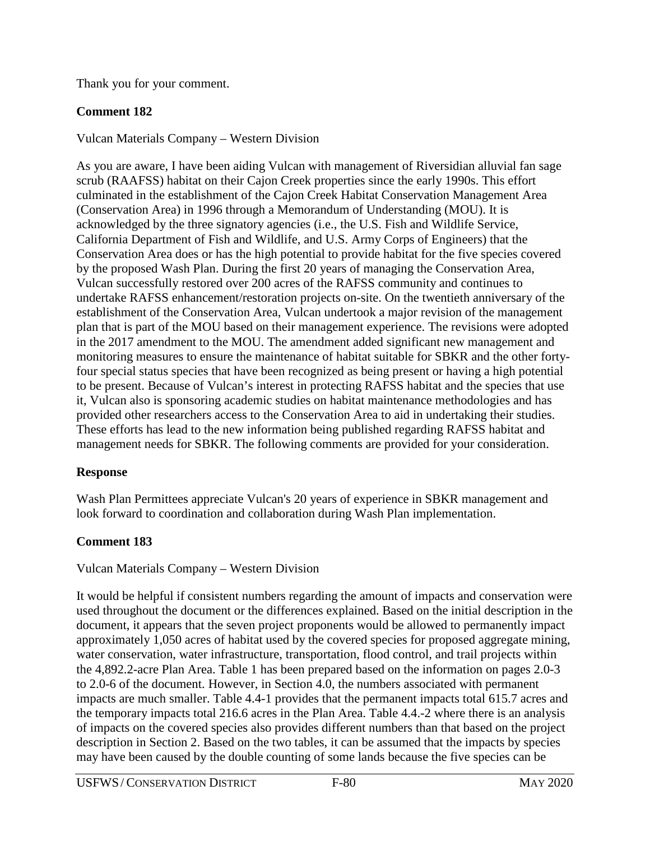Thank you for your comment.

# **Comment 182**

Vulcan Materials Company – Western Division

As you are aware, I have been aiding Vulcan with management of Riversidian alluvial fan sage scrub (RAAFSS) habitat on their Cajon Creek properties since the early 1990s. This effort culminated in the establishment of the Cajon Creek Habitat Conservation Management Area (Conservation Area) in 1996 through a Memorandum of Understanding (MOU). It is acknowledged by the three signatory agencies (i.e., the U.S. Fish and Wildlife Service, California Department of Fish and Wildlife, and U.S. Army Corps of Engineers) that the Conservation Area does or has the high potential to provide habitat for the five species covered by the proposed Wash Plan. During the first 20 years of managing the Conservation Area, Vulcan successfully restored over 200 acres of the RAFSS community and continues to undertake RAFSS enhancement/restoration projects on-site. On the twentieth anniversary of the establishment of the Conservation Area, Vulcan undertook a major revision of the management plan that is part of the MOU based on their management experience. The revisions were adopted in the 2017 amendment to the MOU. The amendment added significant new management and monitoring measures to ensure the maintenance of habitat suitable for SBKR and the other fortyfour special status species that have been recognized as being present or having a high potential to be present. Because of Vulcan's interest in protecting RAFSS habitat and the species that use it, Vulcan also is sponsoring academic studies on habitat maintenance methodologies and has provided other researchers access to the Conservation Area to aid in undertaking their studies. These efforts has lead to the new information being published regarding RAFSS habitat and management needs for SBKR. The following comments are provided for your consideration.

# **Response**

Wash Plan Permittees appreciate Vulcan's 20 years of experience in SBKR management and look forward to coordination and collaboration during Wash Plan implementation.

# **Comment 183**

# Vulcan Materials Company – Western Division

It would be helpful if consistent numbers regarding the amount of impacts and conservation were used throughout the document or the differences explained. Based on the initial description in the document, it appears that the seven project proponents would be allowed to permanently impact approximately 1,050 acres of habitat used by the covered species for proposed aggregate mining, water conservation, water infrastructure, transportation, flood control, and trail projects within the 4,892.2-acre Plan Area. Table 1 has been prepared based on the information on pages 2.0-3 to 2.0-6 of the document. However, in Section 4.0, the numbers associated with permanent impacts are much smaller. Table 4.4-1 provides that the permanent impacts total 615.7 acres and the temporary impacts total 216.6 acres in the Plan Area. Table 4.4.-2 where there is an analysis of impacts on the covered species also provides different numbers than that based on the project description in Section 2. Based on the two tables, it can be assumed that the impacts by species may have been caused by the double counting of some lands because the five species can be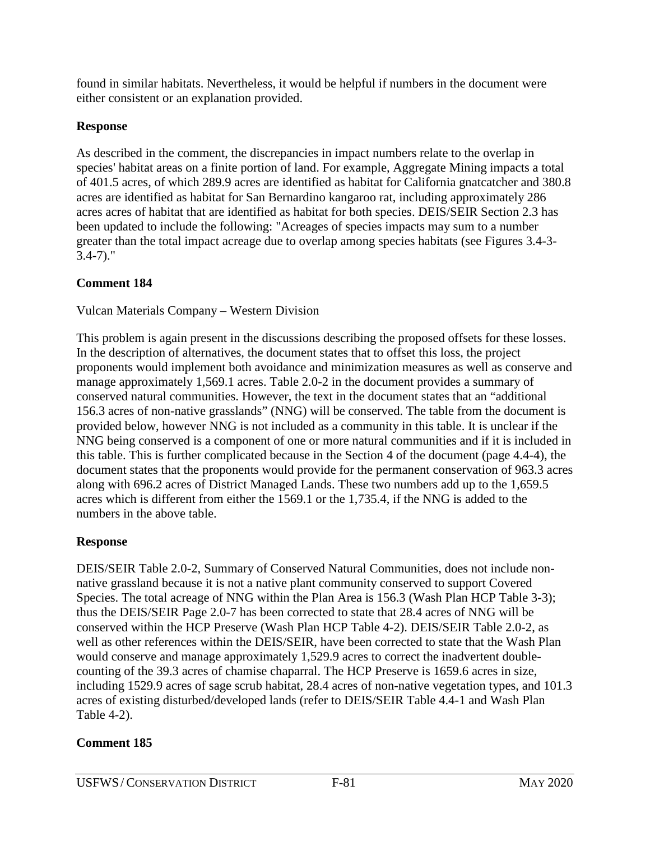found in similar habitats. Nevertheless, it would be helpful if numbers in the document were either consistent or an explanation provided.

# **Response**

As described in the comment, the discrepancies in impact numbers relate to the overlap in species' habitat areas on a finite portion of land. For example, Aggregate Mining impacts a total of 401.5 acres, of which 289.9 acres are identified as habitat for California gnatcatcher and 380.8 acres are identified as habitat for San Bernardino kangaroo rat, including approximately 286 acres acres of habitat that are identified as habitat for both species. DEIS/SEIR Section 2.3 has been updated to include the following: "Acreages of species impacts may sum to a number greater than the total impact acreage due to overlap among species habitats (see Figures 3.4-3- 3.4-7)."

# **Comment 184**

# Vulcan Materials Company – Western Division

This problem is again present in the discussions describing the proposed offsets for these losses. In the description of alternatives, the document states that to offset this loss, the project proponents would implement both avoidance and minimization measures as well as conserve and manage approximately 1,569.1 acres. Table 2.0-2 in the document provides a summary of conserved natural communities. However, the text in the document states that an "additional 156.3 acres of non-native grasslands" (NNG) will be conserved. The table from the document is provided below, however NNG is not included as a community in this table. It is unclear if the NNG being conserved is a component of one or more natural communities and if it is included in this table. This is further complicated because in the Section 4 of the document (page 4.4-4), the document states that the proponents would provide for the permanent conservation of 963.3 acres along with 696.2 acres of District Managed Lands. These two numbers add up to the 1,659.5 acres which is different from either the 1569.1 or the 1,735.4, if the NNG is added to the numbers in the above table.

# **Response**

DEIS/SEIR Table 2.0-2, Summary of Conserved Natural Communities, does not include nonnative grassland because it is not a native plant community conserved to support Covered Species. The total acreage of NNG within the Plan Area is 156.3 (Wash Plan HCP Table 3-3); thus the DEIS/SEIR Page 2.0-7 has been corrected to state that 28.4 acres of NNG will be conserved within the HCP Preserve (Wash Plan HCP Table 4-2). DEIS/SEIR Table 2.0-2, as well as other references within the DEIS/SEIR, have been corrected to state that the Wash Plan would conserve and manage approximately 1,529.9 acres to correct the inadvertent doublecounting of the 39.3 acres of chamise chaparral. The HCP Preserve is 1659.6 acres in size, including 1529.9 acres of sage scrub habitat, 28.4 acres of non-native vegetation types, and 101.3 acres of existing disturbed/developed lands (refer to DEIS/SEIR Table 4.4-1 and Wash Plan Table 4-2).

# **Comment 185**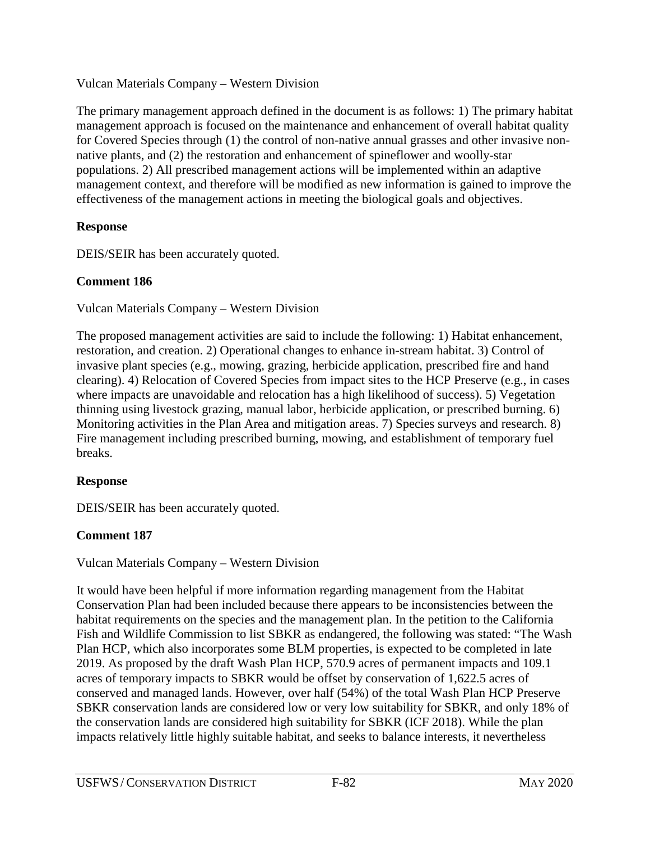### Vulcan Materials Company – Western Division

The primary management approach defined in the document is as follows: 1) The primary habitat management approach is focused on the maintenance and enhancement of overall habitat quality for Covered Species through (1) the control of non-native annual grasses and other invasive nonnative plants, and (2) the restoration and enhancement of spineflower and woolly-star populations. 2) All prescribed management actions will be implemented within an adaptive management context, and therefore will be modified as new information is gained to improve the effectiveness of the management actions in meeting the biological goals and objectives.

# **Response**

DEIS/SEIR has been accurately quoted.

# **Comment 186**

Vulcan Materials Company – Western Division

The proposed management activities are said to include the following: 1) Habitat enhancement, restoration, and creation. 2) Operational changes to enhance in-stream habitat. 3) Control of invasive plant species (e.g., mowing, grazing, herbicide application, prescribed fire and hand clearing). 4) Relocation of Covered Species from impact sites to the HCP Preserve (e.g., in cases where impacts are unavoidable and relocation has a high likelihood of success). 5) Vegetation thinning using livestock grazing, manual labor, herbicide application, or prescribed burning. 6) Monitoring activities in the Plan Area and mitigation areas. 7) Species surveys and research. 8) Fire management including prescribed burning, mowing, and establishment of temporary fuel breaks.

# **Response**

DEIS/SEIR has been accurately quoted.

# **Comment 187**

# Vulcan Materials Company – Western Division

It would have been helpful if more information regarding management from the Habitat Conservation Plan had been included because there appears to be inconsistencies between the habitat requirements on the species and the management plan. In the petition to the California Fish and Wildlife Commission to list SBKR as endangered, the following was stated: "The Wash Plan HCP, which also incorporates some BLM properties, is expected to be completed in late 2019. As proposed by the draft Wash Plan HCP, 570.9 acres of permanent impacts and 109.1 acres of temporary impacts to SBKR would be offset by conservation of 1,622.5 acres of conserved and managed lands. However, over half (54%) of the total Wash Plan HCP Preserve SBKR conservation lands are considered low or very low suitability for SBKR, and only 18% of the conservation lands are considered high suitability for SBKR (ICF 2018). While the plan impacts relatively little highly suitable habitat, and seeks to balance interests, it nevertheless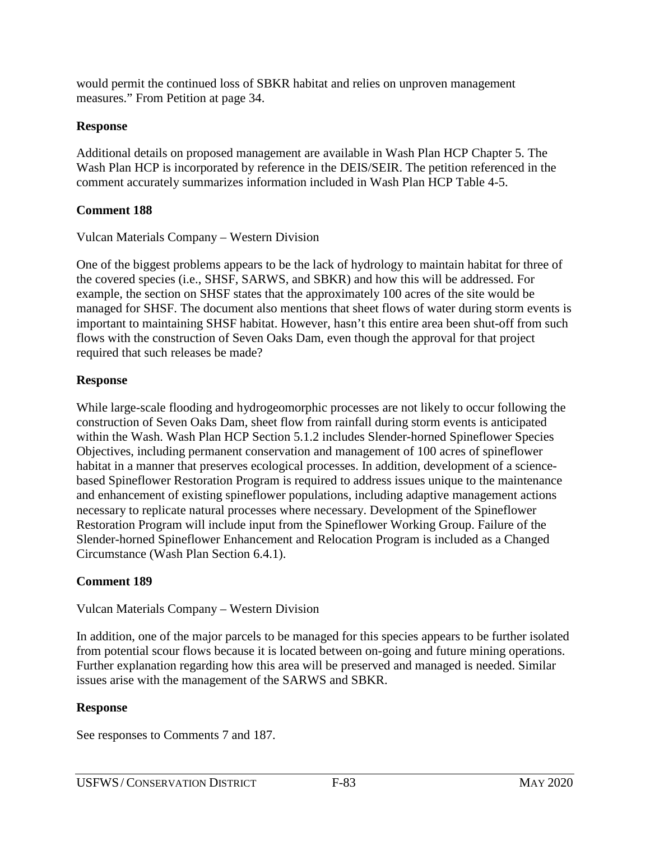would permit the continued loss of SBKR habitat and relies on unproven management measures." From Petition at page 34.

### **Response**

Additional details on proposed management are available in Wash Plan HCP Chapter 5. The Wash Plan HCP is incorporated by reference in the DEIS/SEIR. The petition referenced in the comment accurately summarizes information included in Wash Plan HCP Table 4-5.

# **Comment 188**

Vulcan Materials Company – Western Division

One of the biggest problems appears to be the lack of hydrology to maintain habitat for three of the covered species (i.e., SHSF, SARWS, and SBKR) and how this will be addressed. For example, the section on SHSF states that the approximately 100 acres of the site would be managed for SHSF. The document also mentions that sheet flows of water during storm events is important to maintaining SHSF habitat. However, hasn't this entire area been shut-off from such flows with the construction of Seven Oaks Dam, even though the approval for that project required that such releases be made?

# **Response**

While large-scale flooding and hydrogeomorphic processes are not likely to occur following the construction of Seven Oaks Dam, sheet flow from rainfall during storm events is anticipated within the Wash. Wash Plan HCP Section 5.1.2 includes Slender-horned Spineflower Species Objectives, including permanent conservation and management of 100 acres of spineflower habitat in a manner that preserves ecological processes. In addition, development of a sciencebased Spineflower Restoration Program is required to address issues unique to the maintenance and enhancement of existing spineflower populations, including adaptive management actions necessary to replicate natural processes where necessary. Development of the Spineflower Restoration Program will include input from the Spineflower Working Group. Failure of the Slender-horned Spineflower Enhancement and Relocation Program is included as a Changed Circumstance (Wash Plan Section 6.4.1).

# **Comment 189**

### Vulcan Materials Company – Western Division

In addition, one of the major parcels to be managed for this species appears to be further isolated from potential scour flows because it is located between on-going and future mining operations. Further explanation regarding how this area will be preserved and managed is needed. Similar issues arise with the management of the SARWS and SBKR.

### **Response**

See responses to Comments 7 and 187.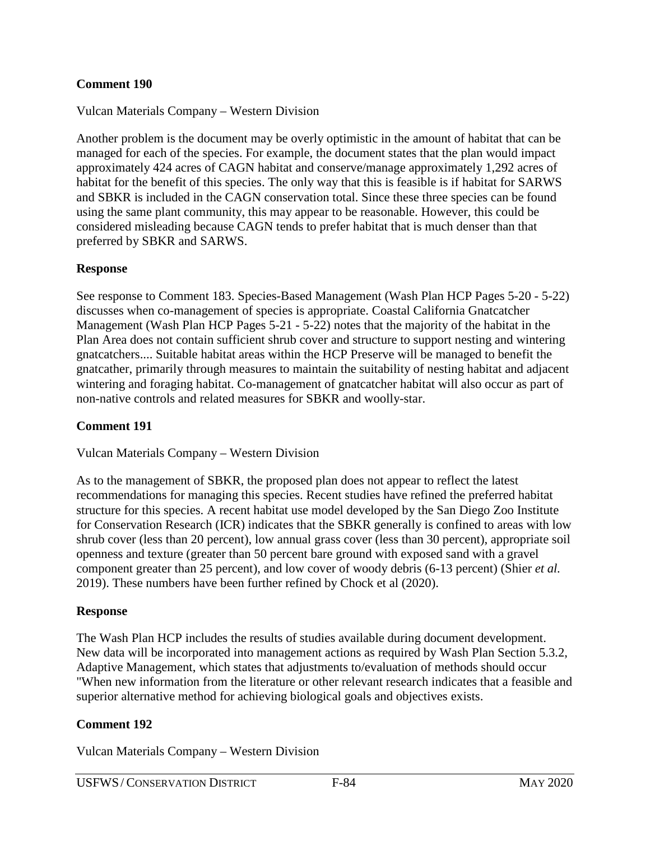### **Comment 190**

Vulcan Materials Company – Western Division

Another problem is the document may be overly optimistic in the amount of habitat that can be managed for each of the species. For example, the document states that the plan would impact approximately 424 acres of CAGN habitat and conserve/manage approximately 1,292 acres of habitat for the benefit of this species. The only way that this is feasible is if habitat for SARWS and SBKR is included in the CAGN conservation total. Since these three species can be found using the same plant community, this may appear to be reasonable. However, this could be considered misleading because CAGN tends to prefer habitat that is much denser than that preferred by SBKR and SARWS.

#### **Response**

See response to Comment 183. Species-Based Management (Wash Plan HCP Pages 5-20 - 5-22) discusses when co-management of species is appropriate. Coastal California Gnatcatcher Management (Wash Plan HCP Pages 5-21 - 5-22) notes that the majority of the habitat in the Plan Area does not contain sufficient shrub cover and structure to support nesting and wintering gnatcatchers.... Suitable habitat areas within the HCP Preserve will be managed to benefit the gnatcather, primarily through measures to maintain the suitability of nesting habitat and adjacent wintering and foraging habitat. Co-management of gnatcatcher habitat will also occur as part of non-native controls and related measures for SBKR and woolly-star.

### **Comment 191**

Vulcan Materials Company – Western Division

As to the management of SBKR, the proposed plan does not appear to reflect the latest recommendations for managing this species. Recent studies have refined the preferred habitat structure for this species. A recent habitat use model developed by the San Diego Zoo Institute for Conservation Research (ICR) indicates that the SBKR generally is confined to areas with low shrub cover (less than 20 percent), low annual grass cover (less than 30 percent), appropriate soil openness and texture (greater than 50 percent bare ground with exposed sand with a gravel component greater than 25 percent), and low cover of woody debris (6-13 percent) (Shier *et al.*  2019). These numbers have been further refined by Chock et al (2020).

#### **Response**

The Wash Plan HCP includes the results of studies available during document development. New data will be incorporated into management actions as required by Wash Plan Section 5.3.2, Adaptive Management, which states that adjustments to/evaluation of methods should occur "When new information from the literature or other relevant research indicates that a feasible and superior alternative method for achieving biological goals and objectives exists.

### **Comment 192**

Vulcan Materials Company – Western Division